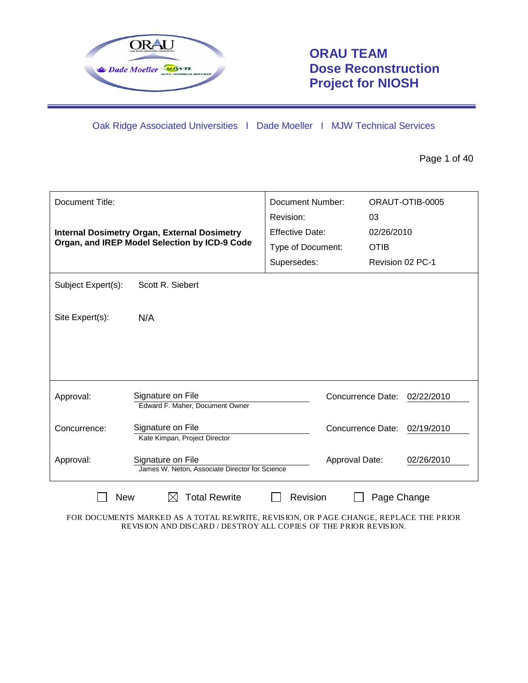

# **ORAU TEAM Dose Reconstruction Project for NIOSH**

Oak Ridge Associated Universities I Dade Moeller I MJW Technical Services

Page 1 of 40

| Document Title:    |                                                                           | Document Number:<br>Revision: | ORAUT-OTIB-0005<br>03 |                  |  |
|--------------------|---------------------------------------------------------------------------|-------------------------------|-----------------------|------------------|--|
|                    | <b>Internal Dosimetry Organ, External Dosimetry</b>                       | Effective Date:               | 02/26/2010            |                  |  |
|                    | Organ, and IREP Model Selection by ICD-9 Code                             | Type of Document:             | <b>OTIB</b>           |                  |  |
|                    |                                                                           | Supersedes:                   |                       | Revision 02 PC-1 |  |
| Subject Expert(s): | Scott R. Siebert                                                          |                               |                       |                  |  |
| Site Expert(s):    | N/A                                                                       |                               |                       |                  |  |
|                    |                                                                           |                               |                       |                  |  |
| Approval:          | Signature on File<br>Edward F. Maher, Document Owner                      |                               | Concurrence Date:     | 02/22/2010       |  |
| Concurrence:       | Signature on File<br>Kate Kimpan, Project Director                        |                               | Concurrence Date:     | 02/19/2010       |  |
| Approval:          | Signature on File<br>James W. Neton, Associate Director for Science       | Approval Date:                |                       | 02/26/2010       |  |
|                    | <b>Total Rewrite</b><br>Revision<br><b>New</b><br>Page Change<br>$\times$ |                               |                       |                  |  |

FOR DOCUMENTS MARKED AS A TOTAL REWRITE, REVISION, OR PAGE CHANGE, REPLACE THE PRIOR REVISION AND DISCARD / DESTROY ALL COPIES OF THE PRIOR REVISION.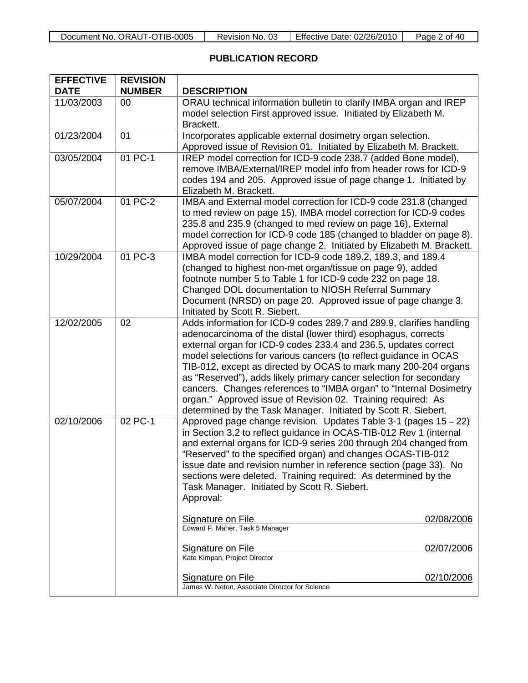| Document No. ORAUT-OTIB-0005 | Revision No. 03 | Effective Date: 02/26/2010 | Page 2 of 40 |
|------------------------------|-----------------|----------------------------|--------------|
|------------------------------|-----------------|----------------------------|--------------|

## **PUBLICATION RECORD**

| <b>EFFECTIVE</b><br><b>DATE</b> | <b>REVISION</b><br><b>NUMBER</b> | <b>DESCRIPTION</b>                                                                                                                                                                                                                                                                                                                                                                                                                                                                                                                                                                                                              |  |
|---------------------------------|----------------------------------|---------------------------------------------------------------------------------------------------------------------------------------------------------------------------------------------------------------------------------------------------------------------------------------------------------------------------------------------------------------------------------------------------------------------------------------------------------------------------------------------------------------------------------------------------------------------------------------------------------------------------------|--|
| 11/03/2003                      | 00                               | ORAU technical information bulletin to clarify IMBA organ and IREP<br>model selection First approved issue. Initiated by Elizabeth M.<br>Brackett.                                                                                                                                                                                                                                                                                                                                                                                                                                                                              |  |
| 01/23/2004                      | 01                               | Incorporates applicable external dosimetry organ selection.<br>Approved issue of Revision 01. Initiated by Elizabeth M. Brackett.                                                                                                                                                                                                                                                                                                                                                                                                                                                                                               |  |
| 03/05/2004                      | 01 PC-1                          | IREP model correction for ICD-9 code 238.7 (added Bone model),<br>remove IMBA/External/IREP model info from header rows for ICD-9<br>codes 194 and 205. Approved issue of page change 1. Initiated by<br>Elizabeth M. Brackett.                                                                                                                                                                                                                                                                                                                                                                                                 |  |
| 05/07/2004                      | 01 PC-2                          | IMBA and External model correction for ICD-9 code 231.8 (changed<br>to med review on page 15), IMBA model correction for ICD-9 codes<br>235.8 and 235.9 (changed to med review on page 16), External<br>model correction for ICD-9 code 185 (changed to bladder on page 8).<br>Approved issue of page change 2. Initiated by Elizabeth M. Brackett.                                                                                                                                                                                                                                                                             |  |
| 10/29/2004                      | 01 PC-3                          | IMBA model correction for ICD-9 code 189.2, 189.3, and 189.4<br>(changed to highest non-met organ/tissue on page 9), added<br>footnote number 5 to Table 1 for ICD-9 code 232 on page 18.<br>Changed DOL documentation to NIOSH Referral Summary<br>Document (NRSD) on page 20. Approved issue of page change 3.<br>Initiated by Scott R. Siebert.                                                                                                                                                                                                                                                                              |  |
| 12/02/2005                      | 02                               | Adds information for ICD-9 codes 289.7 and 289.9, clarifies handling<br>adenocarcinoma of the distal (lower third) esophagus, corrects<br>external organ for ICD-9 codes 233.4 and 236.5, updates correct<br>model selections for various cancers (to reflect guidance in OCAS<br>TIB-012, except as directed by OCAS to mark many 200-204 organs<br>as "Reserved"), adds likely primary cancer selection for secondary<br>cancers. Changes references to "IMBA organ" to "Internal Dosimetry<br>organ." Approved issue of Revision 02. Training required: As<br>determined by the Task Manager. Initiated by Scott R. Siebert. |  |
| 02/10/2006                      | 02 PC-1                          | Approved page change revision. Updates Table 3-1 (pages 15 - 22)<br>in Section 3.2 to reflect guidance in OCAS-TIB-012 Rev 1 (internal<br>and external organs for ICD-9 series 200 through 204 changed from<br>"Reserved" to the specified organ) and changes OCAS-TIB-012<br>issue date and revision number in reference section (page 33). No<br>sections were deleted. Training required: As determined by the<br>Task Manager. Initiated by Scott R. Siebert.<br>Approval:                                                                                                                                                  |  |
|                                 |                                  | 02/08/2006<br><b>Signature on File</b><br>Edward F. Maher, Task 5 Manager                                                                                                                                                                                                                                                                                                                                                                                                                                                                                                                                                       |  |
|                                 |                                  | <b>Signature on File</b><br>02/07/2006<br>Kate Kimpan, Project Director                                                                                                                                                                                                                                                                                                                                                                                                                                                                                                                                                         |  |
|                                 |                                  | <b>Signature on File</b><br>02/10/2006<br>James W. Neton, Associate Director for Science                                                                                                                                                                                                                                                                                                                                                                                                                                                                                                                                        |  |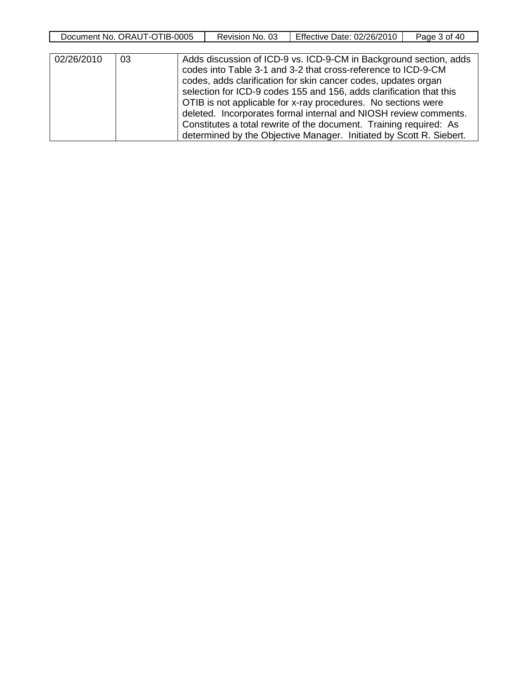| <b>IB-0005</b><br>ORAU<br>Document<br>N0<br>' -( . | -03<br>Revision<br>No. | <b>Effective</b><br>02/26/2010<br>Date:⊹ | 40<br>3 of<br>Page |
|----------------------------------------------------|------------------------|------------------------------------------|--------------------|
|                                                    |                        |                                          |                    |

| 02/26/2010 | 03 | Adds discussion of ICD-9 vs. ICD-9-CM in Background section, adds<br>codes into Table 3-1 and 3-2 that cross-reference to ICD-9-CM<br>codes, adds clarification for skin cancer codes, updates organ<br>selection for ICD-9 codes 155 and 156, adds clarification that this<br>OTIB is not applicable for x-ray procedures. No sections were<br>deleted. Incorporates formal internal and NIOSH review comments.<br>Constitutes a total rewrite of the document. Training required: As |
|------------|----|----------------------------------------------------------------------------------------------------------------------------------------------------------------------------------------------------------------------------------------------------------------------------------------------------------------------------------------------------------------------------------------------------------------------------------------------------------------------------------------|
|            |    | determined by the Objective Manager. Initiated by Scott R. Siebert.                                                                                                                                                                                                                                                                                                                                                                                                                    |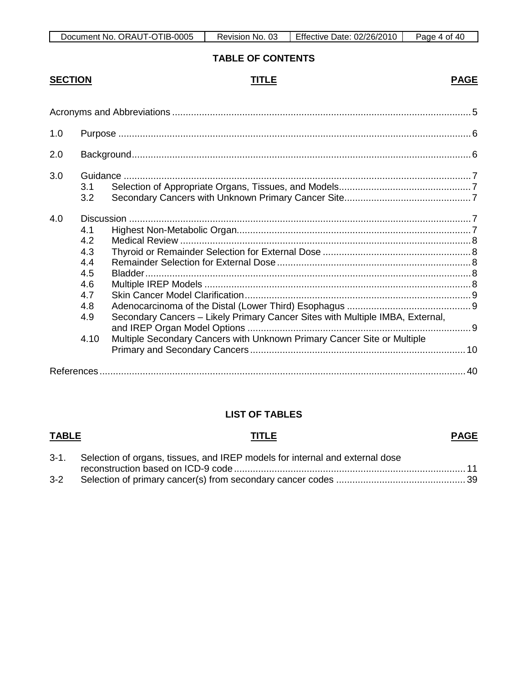| TIB-0005<br>ORAUT-OT<br>Document No. | -03<br>No.<br>Revision | Effective<br>Date: 02/26/2010 | -40<br>Page<br>4 of |
|--------------------------------------|------------------------|-------------------------------|---------------------|

# **TABLE OF CONTENTS**

# **SECTION TITLE PAGE**

| 1.0 |                                                                     |                                                                                                                                                          |  |  |
|-----|---------------------------------------------------------------------|----------------------------------------------------------------------------------------------------------------------------------------------------------|--|--|
| 2.0 |                                                                     |                                                                                                                                                          |  |  |
| 3.0 | 3.1<br>3.2                                                          |                                                                                                                                                          |  |  |
| 4.0 | 4.1<br>4.2<br>4.3<br>4.4<br>4.5<br>4.6<br>4.7<br>4.8<br>4.9<br>4.10 | Secondary Cancers - Likely Primary Cancer Sites with Multiple IMBA, External,<br>Multiple Secondary Cancers with Unknown Primary Cancer Site or Multiple |  |  |
|     |                                                                     |                                                                                                                                                          |  |  |

# **LIST OF TABLES**

#### **TABLE TITLE PAGE**

|     | 3-1. Selection of organs, tissues, and IREP models for internal and external dose |  |
|-----|-----------------------------------------------------------------------------------|--|
|     |                                                                                   |  |
| 3-2 |                                                                                   |  |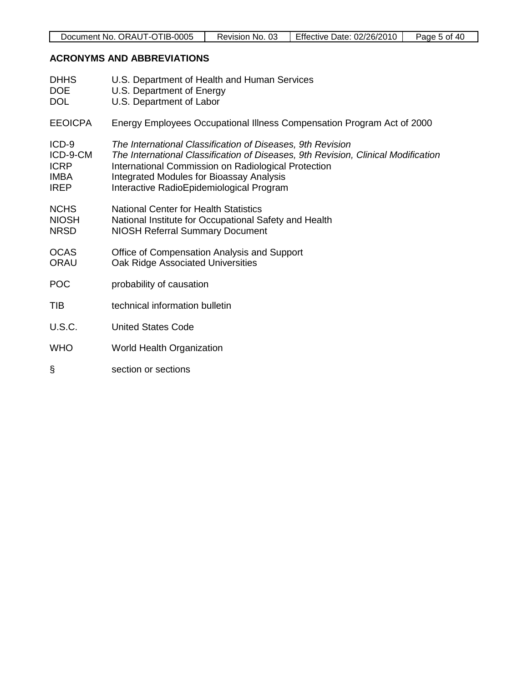| Document No. ORAUT-OTIB-0005 | No. 03<br>Revision | Effective ∟<br>Date: 02/26/2010 | 40<br>. nt<br>Page |
|------------------------------|--------------------|---------------------------------|--------------------|
|                              |                    |                                 |                    |

# **ACRONYMS AND ABBREVIATIONS**

| <b>DHHS</b><br>DOE<br><b>DOL</b>                                 | U.S. Department of Health and Human Services<br>U.S. Department of Energy<br>U.S. Department of Labor                                                                                                                                                                                                 |
|------------------------------------------------------------------|-------------------------------------------------------------------------------------------------------------------------------------------------------------------------------------------------------------------------------------------------------------------------------------------------------|
| <b>EEOICPA</b>                                                   | Energy Employees Occupational Illness Compensation Program Act of 2000                                                                                                                                                                                                                                |
| $ICD-9$<br>ICD-9-CM<br><b>ICRP</b><br><b>IMBA</b><br><b>IREP</b> | The International Classification of Diseases, 9th Revision<br>The International Classification of Diseases, 9th Revision, Clinical Modification<br>International Commission on Radiological Protection<br><b>Integrated Modules for Bioassay Analysis</b><br>Interactive RadioEpidemiological Program |
| <b>NCHS</b><br><b>NIOSH</b><br><b>NRSD</b>                       | <b>National Center for Health Statistics</b><br>National Institute for Occupational Safety and Health<br><b>NIOSH Referral Summary Document</b>                                                                                                                                                       |
| <b>OCAS</b><br><b>ORAU</b>                                       | Office of Compensation Analysis and Support<br>Oak Ridge Associated Universities                                                                                                                                                                                                                      |
| <b>POC</b>                                                       | probability of causation                                                                                                                                                                                                                                                                              |
| <b>TIB</b>                                                       | technical information bulletin                                                                                                                                                                                                                                                                        |
| <b>U.S.C.</b>                                                    | <b>United States Code</b>                                                                                                                                                                                                                                                                             |
| <b>WHO</b>                                                       | World Health Organization                                                                                                                                                                                                                                                                             |
| ş                                                                | section or sections                                                                                                                                                                                                                                                                                   |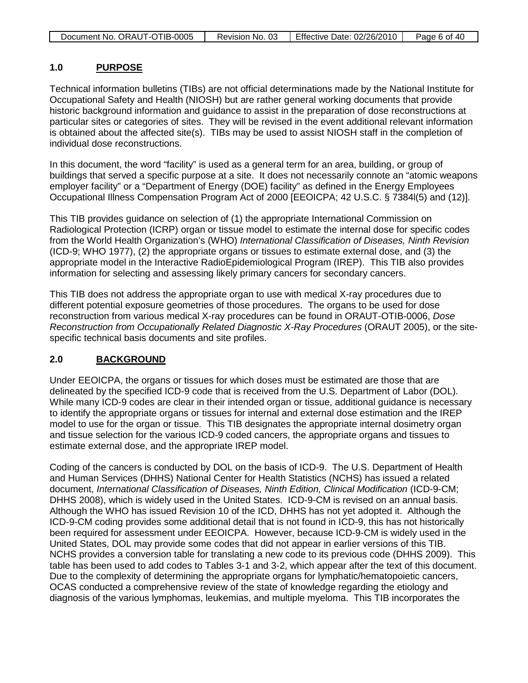| Document No. ORAUT-OTIB-0005 | Revision No. 03   Effective Date: 02/26/2010 | Page 6 of 40 |
|------------------------------|----------------------------------------------|--------------|

#### **1.0 PURPOSE**

Technical information bulletins (TIBs) are not official determinations made by the National Institute for Occupational Safety and Health (NIOSH) but are rather general working documents that provide historic background information and guidance to assist in the preparation of dose reconstructions at particular sites or categories of sites. They will be revised in the event additional relevant information is obtained about the affected site(s). TIBs may be used to assist NIOSH staff in the completion of individual dose reconstructions.

In this document, the word "facility" is used as a general term for an area, building, or group of buildings that served a specific purpose at a site. It does not necessarily connote an "atomic weapons employer facility" or a "Department of Energy (DOE) facility" as defined in the Energy Employees Occupational Illness Compensation Program Act of 2000 [EEOICPA; 42 U.S.C. § 7384l(5) and (12)].

This TIB provides guidance on selection of (1) the appropriate International Commission on Radiological Protection (ICRP) organ or tissue model to estimate the internal dose for specific codes from the World Health Organization's (WHO) *International Classification of Diseases, Ninth Revision* (ICD-9; WHO 1977), (2) the appropriate organs or tissues to estimate external dose, and (3) the appropriate model in the Interactive RadioEpidemiological Program (IREP). This TIB also provides information for selecting and assessing likely primary cancers for secondary cancers.

This TIB does not address the appropriate organ to use with medical X-ray procedures due to different potential exposure geometries of those procedures. The organs to be used for dose reconstruction from various medical X-ray procedures can be found in ORAUT-OTIB-0006, *Dose Reconstruction from Occupationally Related Diagnostic X-Ray Procedures* (ORAUT 2005), or the sitespecific technical basis documents and site profiles.

#### **2.0 BACKGROUND**

Under EEOICPA, the organs or tissues for which doses must be estimated are those that are delineated by the specified ICD-9 code that is received from the U.S. Department of Labor (DOL). While many ICD-9 codes are clear in their intended organ or tissue, additional guidance is necessary to identify the appropriate organs or tissues for internal and external dose estimation and the IREP model to use for the organ or tissue. This TIB designates the appropriate internal dosimetry organ and tissue selection for the various ICD-9 coded cancers, the appropriate organs and tissues to estimate external dose, and the appropriate IREP model.

Coding of the cancers is conducted by DOL on the basis of ICD-9. The U.S. Department of Health and Human Services (DHHS) National Center for Health Statistics (NCHS) has issued a related document, *International Classification of Diseases, Ninth Edition, Clinical Modification* (ICD-9-CM; DHHS 2008), which is widely used in the United States. ICD-9-CM is revised on an annual basis. Although the WHO has issued Revision 10 of the ICD, DHHS has not yet adopted it. Although the ICD-9-CM coding provides some additional detail that is not found in ICD-9, this has not historically been required for assessment under EEOICPA. However, because ICD-9-CM is widely used in the United States, DOL may provide some codes that did not appear in earlier versions of this TIB. NCHS provides a conversion table for translating a new code to its previous code (DHHS 2009). This table has been used to add codes to Tables 3-1 and 3-2, which appear after the text of this document. Due to the complexity of determining the appropriate organs for lymphatic/hematopoietic cancers, OCAS conducted a comprehensive review of the state of knowledge regarding the etiology and diagnosis of the various lymphomas, leukemias, and multiple myeloma. This TIB incorporates the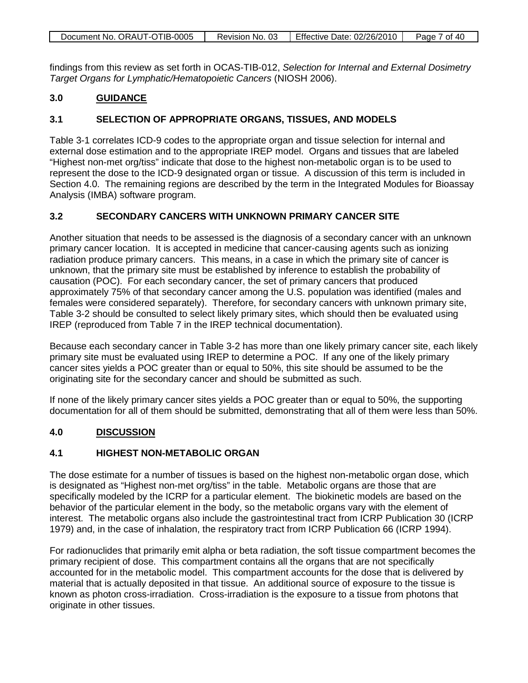| Document No. ORAUT-OTIB-0005 | Revision No. 03 | Effective Date: 02/26/2010 | Page 7 of 40 |
|------------------------------|-----------------|----------------------------|--------------|

findings from this review as set forth in OCAS-TIB-012, *Selection for Internal and External Dosimetry Target Organs for Lymphatic/Hematopoietic Cancers* (NIOSH 2006).

#### **3.0 GUIDANCE**

## **3.1 SELECTION OF APPROPRIATE ORGANS, TISSUES, AND MODELS**

Table 3-1 correlates ICD-9 codes to the appropriate organ and tissue selection for internal and external dose estimation and to the appropriate IREP model. Organs and tissues that are labeled "Highest non-met org/tiss" indicate that dose to the highest non-metabolic organ is to be used to represent the dose to the ICD-9 designated organ or tissue. A discussion of this term is included in Section 4.0. The remaining regions are described by the term in the Integrated Modules for Bioassay Analysis (IMBA) software program.

### **3.2 SECONDARY CANCERS WITH UNKNOWN PRIMARY CANCER SITE**

Another situation that needs to be assessed is the diagnosis of a secondary cancer with an unknown primary cancer location. It is accepted in medicine that cancer-causing agents such as ionizing radiation produce primary cancers. This means, in a case in which the primary site of cancer is unknown, that the primary site must be established by inference to establish the probability of causation (POC). For each secondary cancer, the set of primary cancers that produced approximately 75% of that secondary cancer among the U.S. population was identified (males and females were considered separately). Therefore, for secondary cancers with unknown primary site, Table 3-2 should be consulted to select likely primary sites, which should then be evaluated using IREP (reproduced from Table 7 in the IREP technical documentation).

Because each secondary cancer in Table 3-2 has more than one likely primary cancer site, each likely primary site must be evaluated using IREP to determine a POC. If any one of the likely primary cancer sites yields a POC greater than or equal to 50%, this site should be assumed to be the originating site for the secondary cancer and should be submitted as such.

If none of the likely primary cancer sites yields a POC greater than or equal to 50%, the supporting documentation for all of them should be submitted, demonstrating that all of them were less than 50%.

#### **4.0 DISCUSSION**

### **4.1 HIGHEST NON-METABOLIC ORGAN**

The dose estimate for a number of tissues is based on the highest non-metabolic organ dose, which is designated as "Highest non-met org/tiss" in the table. Metabolic organs are those that are specifically modeled by the ICRP for a particular element. The biokinetic models are based on the behavior of the particular element in the body, so the metabolic organs vary with the element of interest. The metabolic organs also include the gastrointestinal tract from ICRP Publication 30 (ICRP 1979) and, in the case of inhalation, the respiratory tract from ICRP Publication 66 (ICRP 1994).

For radionuclides that primarily emit alpha or beta radiation, the soft tissue compartment becomes the primary recipient of dose. This compartment contains all the organs that are not specifically accounted for in the metabolic model. This compartment accounts for the dose that is delivered by material that is actually deposited in that tissue. An additional source of exposure to the tissue is known as photon cross-irradiation. Cross-irradiation is the exposure to a tissue from photons that originate in other tissues.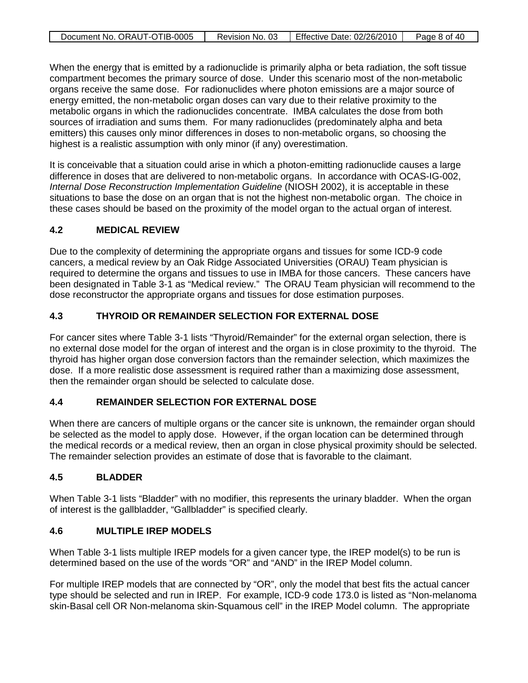| Document No. ORAUT-OTIB-0005 | Revision No. 03 | Effective Date: 02/26/2010 | Page 8 of 40 |
|------------------------------|-----------------|----------------------------|--------------|

When the energy that is emitted by a radionuclide is primarily alpha or beta radiation, the soft tissue compartment becomes the primary source of dose. Under this scenario most of the non-metabolic organs receive the same dose. For radionuclides where photon emissions are a major source of energy emitted, the non-metabolic organ doses can vary due to their relative proximity to the metabolic organs in which the radionuclides concentrate. IMBA calculates the dose from both sources of irradiation and sums them. For many radionuclides (predominately alpha and beta emitters) this causes only minor differences in doses to non-metabolic organs, so choosing the highest is a realistic assumption with only minor (if any) overestimation.

It is conceivable that a situation could arise in which a photon-emitting radionuclide causes a large difference in doses that are delivered to non-metabolic organs. In accordance with OCAS-IG-002, *Internal Dose Reconstruction Implementation Guideline* (NIOSH 2002), it is acceptable in these situations to base the dose on an organ that is not the highest non-metabolic organ. The choice in these cases should be based on the proximity of the model organ to the actual organ of interest.

### **4.2 MEDICAL REVIEW**

Due to the complexity of determining the appropriate organs and tissues for some ICD-9 code cancers, a medical review by an Oak Ridge Associated Universities (ORAU) Team physician is required to determine the organs and tissues to use in IMBA for those cancers. These cancers have been designated in Table 3-1 as "Medical review." The ORAU Team physician will recommend to the dose reconstructor the appropriate organs and tissues for dose estimation purposes.

## **4.3 THYROID OR REMAINDER SELECTION FOR EXTERNAL DOSE**

For cancer sites where Table 3-1 lists "Thyroid/Remainder" for the external organ selection, there is no external dose model for the organ of interest and the organ is in close proximity to the thyroid. The thyroid has higher organ dose conversion factors than the remainder selection, which maximizes the dose. If a more realistic dose assessment is required rather than a maximizing dose assessment, then the remainder organ should be selected to calculate dose.

### **4.4 REMAINDER SELECTION FOR EXTERNAL DOSE**

When there are cancers of multiple organs or the cancer site is unknown, the remainder organ should be selected as the model to apply dose. However, if the organ location can be determined through the medical records or a medical review, then an organ in close physical proximity should be selected. The remainder selection provides an estimate of dose that is favorable to the claimant.

### **4.5 BLADDER**

When Table 3-1 lists "Bladder" with no modifier, this represents the urinary bladder. When the organ of interest is the gallbladder, "Gallbladder" is specified clearly.

## **4.6 MULTIPLE IREP MODELS**

When Table 3-1 lists multiple IREP models for a given cancer type, the IREP model(s) to be run is determined based on the use of the words "OR" and "AND" in the IREP Model column.

For multiple IREP models that are connected by "OR", only the model that best fits the actual cancer type should be selected and run in IREP. For example, ICD-9 code 173.0 is listed as "Non-melanoma skin-Basal cell OR Non-melanoma skin-Squamous cell" in the IREP Model column. The appropriate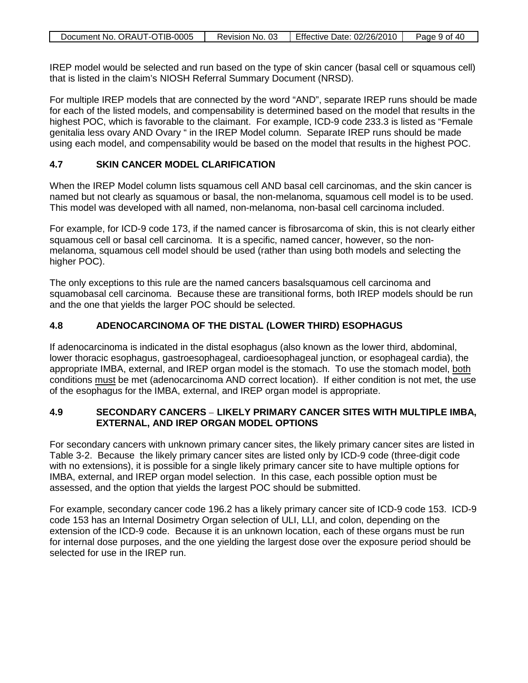| Document No. ORAUT-OTIB-0005 | Revision No. 03 | Effective Date: 02/26/2010 | Page 9 of 40 |
|------------------------------|-----------------|----------------------------|--------------|

IREP model would be selected and run based on the type of skin cancer (basal cell or squamous cell) that is listed in the claim's NIOSH Referral Summary Document (NRSD).

For multiple IREP models that are connected by the word "AND", separate IREP runs should be made for each of the listed models, and compensability is determined based on the model that results in the highest POC, which is favorable to the claimant. For example, ICD-9 code 233.3 is listed as "Female genitalia less ovary AND Ovary " in the IREP Model column. Separate IREP runs should be made using each model, and compensability would be based on the model that results in the highest POC.

### **4.7 SKIN CANCER MODEL CLARIFICATION**

When the IREP Model column lists squamous cell AND basal cell carcinomas, and the skin cancer is named but not clearly as squamous or basal, the non-melanoma, squamous cell model is to be used. This model was developed with all named, non-melanoma, non-basal cell carcinoma included.

For example, for ICD-9 code 173, if the named cancer is fibrosarcoma of skin, this is not clearly either squamous cell or basal cell carcinoma. It is a specific, named cancer, however, so the nonmelanoma, squamous cell model should be used (rather than using both models and selecting the higher POC).

The only exceptions to this rule are the named cancers basalsquamous cell carcinoma and squamobasal cell carcinoma. Because these are transitional forms, both IREP models should be run and the one that yields the larger POC should be selected.

## **4.8 ADENOCARCINOMA OF THE DISTAL (LOWER THIRD) ESOPHAGUS**

If adenocarcinoma is indicated in the distal esophagus (also known as the lower third, abdominal, lower thoracic esophagus, gastroesophageal, cardioesophageal junction, or esophageal cardia), the appropriate IMBA, external, and IREP organ model is the stomach. To use the stomach model, both conditions must be met (adenocarcinoma AND correct location). If either condition is not met, the use of the esophagus for the IMBA, external, and IREP organ model is appropriate.

### **4.9 SECONDARY CANCERS** – **LIKELY PRIMARY CANCER SITES WITH MULTIPLE IMBA, EXTERNAL, AND IREP ORGAN MODEL OPTIONS**

For secondary cancers with unknown primary cancer sites, the likely primary cancer sites are listed in Table 3-2. Because the likely primary cancer sites are listed only by ICD-9 code (three-digit code with no extensions), it is possible for a single likely primary cancer site to have multiple options for IMBA, external, and IREP organ model selection. In this case, each possible option must be assessed, and the option that yields the largest POC should be submitted.

For example, secondary cancer code 196.2 has a likely primary cancer site of ICD-9 code 153. ICD-9 code 153 has an Internal Dosimetry Organ selection of ULI, LLI, and colon, depending on the extension of the ICD-9 code. Because it is an unknown location, each of these organs must be run for internal dose purposes, and the one yielding the largest dose over the exposure period should be selected for use in the IREP run.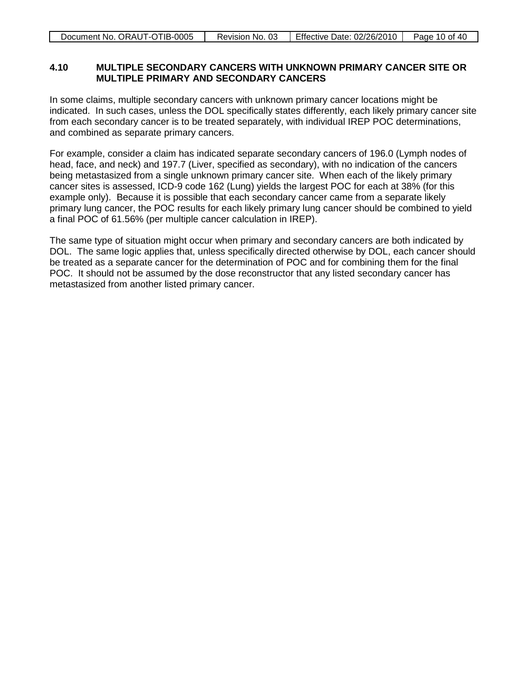| Document No. ORAUT-OTIB-0005 | Revision No. 03 | Effective Date: 02/26/2010 | Page 10 of 40 |
|------------------------------|-----------------|----------------------------|---------------|
|                              |                 |                            |               |

#### **4.10 MULTIPLE SECONDARY CANCERS WITH UNKNOWN PRIMARY CANCER SITE OR MULTIPLE PRIMARY AND SECONDARY CANCERS**

In some claims, multiple secondary cancers with unknown primary cancer locations might be indicated. In such cases, unless the DOL specifically states differently, each likely primary cancer site from each secondary cancer is to be treated separately, with individual IREP POC determinations, and combined as separate primary cancers.

For example, consider a claim has indicated separate secondary cancers of 196.0 (Lymph nodes of head, face, and neck) and 197.7 (Liver, specified as secondary), with no indication of the cancers being metastasized from a single unknown primary cancer site. When each of the likely primary cancer sites is assessed, ICD-9 code 162 (Lung) yields the largest POC for each at 38% (for this example only). Because it is possible that each secondary cancer came from a separate likely primary lung cancer, the POC results for each likely primary lung cancer should be combined to yield a final POC of 61.56% (per multiple cancer calculation in IREP).

The same type of situation might occur when primary and secondary cancers are both indicated by DOL. The same logic applies that, unless specifically directed otherwise by DOL, each cancer should be treated as a separate cancer for the determination of POC and for combining them for the final POC. It should not be assumed by the dose reconstructor that any listed secondary cancer has metastasized from another listed primary cancer.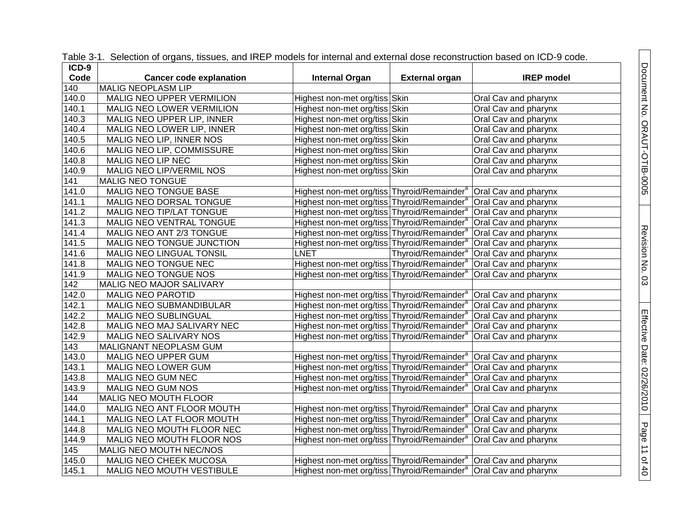| $ICD-9$            | <b>POND OF THE CONCOLUTION OF STRAIGHT, RECORDS, CHILD THE PHOGOGLOGICAL MINOR CANOTHOL COOPHOLIQUOGLOGICAL DOCUMENT</b> |                                                                                |                       |                                                     |
|--------------------|--------------------------------------------------------------------------------------------------------------------------|--------------------------------------------------------------------------------|-----------------------|-----------------------------------------------------|
| Code               | <b>Cancer code explanation</b>                                                                                           | <b>Internal Organ</b>                                                          | <b>External organ</b> | <b>IREP</b> model                                   |
| 140                | MALIG NEOPLASM LIP                                                                                                       |                                                                                |                       |                                                     |
| 140.0              | MALIG NEO UPPER VERMILION                                                                                                | Highest non-met org/tiss Skin                                                  |                       | Oral Cav and pharynx                                |
| 140.1              | MALIG NEO LOWER VERMILION                                                                                                | Highest non-met org/tiss Skin                                                  |                       | Oral Cav and pharynx                                |
| 140.3              | MALIG NEO UPPER LIP, INNER                                                                                               | Highest non-met org/tiss Skin                                                  |                       | Oral Cav and pharynx                                |
| 140.4              | MALIG NEO LOWER LIP, INNER                                                                                               | Highest non-met org/tiss Skin                                                  |                       | Oral Cav and pharynx                                |
| 140.5              | MALIG NEO LIP, INNER NOS                                                                                                 | Highest non-met org/tiss Skin                                                  |                       | Oral Cav and pharynx                                |
| 140.6              | MALIG NEO LIP, COMMISSURE                                                                                                | Highest non-met org/tiss Skin                                                  |                       | Oral Cav and pharynx                                |
| 140.8              | MALIG NEO LIP NEC                                                                                                        | Highest non-met org/tiss Skin                                                  |                       | Oral Cav and pharynx                                |
| 140.9              | MALIG NEO LIP/VERMIL NOS                                                                                                 | Highest non-met org/tiss Skin                                                  |                       | Oral Cav and pharynx                                |
| 141                | MALIG NEO TONGUE                                                                                                         |                                                                                |                       |                                                     |
| 141.0              | MALIG NEO TONGUE BASE                                                                                                    | Highest non-met org/tiss Thyroid/Remainder <sup>a</sup> Oral Cav and pharynx   |                       |                                                     |
| 141.1              | MALIG NEO DORSAL TONGUE                                                                                                  | Highest non-met org/tiss Thyroid/Remainder <sup>a</sup> Oral Cav and pharynx   |                       |                                                     |
| 141.2              | MALIG NEO TIP/LAT TONGUE                                                                                                 | Highest non-met org/tiss Thyroid/Remainder <sup>a</sup> Oral Cav and pharynx   |                       |                                                     |
| 141.3              | MALIG NEO VENTRAL TONGUE                                                                                                 | Highest non-met org/tiss Thyroid/Remainder <sup>a</sup> Oral Cav and pharynx   |                       |                                                     |
| 141.4              | MALIG NEO ANT 2/3 TONGUE                                                                                                 | Highest non-met org/tiss Thyroid/Remainder <sup>a</sup> Oral Cav and pharynx   |                       |                                                     |
| 141.5              | MALIG NEO TONGUE JUNCTION                                                                                                | Highest non-met org/tiss Thyroid/Remainder <sup>a</sup>   Oral Cav and pharynx |                       |                                                     |
| 141.6              | MALIG NEO LINGUAL TONSIL                                                                                                 | <b>LNET</b>                                                                    |                       | Thyroid/Remainder <sup>a</sup> Oral Cav and pharynx |
| 141.8              | MALIG NEO TONGUE NEC                                                                                                     | Highest non-met org/tiss Thyroid/Remainder <sup>a</sup> Oral Cav and pharynx   |                       |                                                     |
| 141.9              | MALIG NEO TONGUE NOS                                                                                                     | Highest non-met org/tiss Thyroid/Remainder <sup>a</sup>                        |                       | Oral Cav and pharynx                                |
| 142                | MALIG NEO MAJOR SALIVARY                                                                                                 |                                                                                |                       |                                                     |
| 142.0              | <b>MALIG NEO PAROTID</b>                                                                                                 | Highest non-met org/tiss Thyroid/Remainder <sup>a</sup> Oral Cav and pharynx   |                       |                                                     |
| 142.1              | MALIG NEO SUBMANDIBULAR                                                                                                  | Highest non-met org/tiss Thyroid/Remainder <sup>a</sup> Oral Cav and pharynx   |                       |                                                     |
| 142.2              | MALIG NEO SUBLINGUAL                                                                                                     | Highest non-met org/tiss Thyroid/Remainder <sup>a</sup> Oral Cav and pharynx   |                       |                                                     |
| 142.8              | MALIG NEO MAJ SALIVARY NEC                                                                                               | Highest non-met org/tiss Thyroid/Remainder <sup>a</sup> Oral Cav and pharynx   |                       |                                                     |
| 142.9              | MALIG NEO SALIVARY NOS                                                                                                   | Highest non-met org/tiss Thyroid/Remainder <sup>a</sup> Oral Cav and pharynx   |                       |                                                     |
| 143                | MALIGNANT NEOPLASM GUM                                                                                                   |                                                                                |                       |                                                     |
| 143.0              | MALIG NEO UPPER GUM                                                                                                      | Highest non-met org/tiss Thyroid/Remainder <sup>a</sup> Oral Cav and pharynx   |                       |                                                     |
| 143.1              | MALIG NEO LOWER GUM                                                                                                      | Highest non-met org/tiss Thyroid/Remainder <sup>a</sup> Oral Cav and pharynx   |                       |                                                     |
| 143.8              | MALIG NEO GUM NEC                                                                                                        | Highest non-met org/tiss Thyroid/Remainder <sup>a</sup> Oral Cav and pharynx   |                       |                                                     |
| 143.9              | MALIG NEO GUM NOS                                                                                                        | Highest non-met org/tiss Thyroid/Remainder <sup>a</sup> Oral Cav and pharynx   |                       |                                                     |
| 144                | MALIG NEO MOUTH FLOOR                                                                                                    |                                                                                |                       |                                                     |
| 144.0              | MALIG NEO ANT FLOOR MOUTH                                                                                                | Highest non-met org/tiss Thyroid/Remainder <sup>a</sup> Oral Cav and pharynx   |                       |                                                     |
| $144.\overline{1}$ | MALIG NEO LAT FLOOR MOUTH                                                                                                | Highest non-met org/tiss Thyroid/Remainder <sup>a</sup> Oral Cav and pharynx   |                       |                                                     |
| 144.8              | MALIG NEO MOUTH FLOOR NEC                                                                                                | Highest non-met org/tiss Thyroid/Remainder <sup>a</sup> Oral Cav and pharynx   |                       |                                                     |
| 144.9              | MALIG NEO MOUTH FLOOR NOS                                                                                                | Highest non-met org/tiss Thyroid/Remainder <sup>a</sup> Oral Cav and pharynx   |                       |                                                     |
| 145                | MALIG NEO MOUTH NEC/NOS                                                                                                  |                                                                                |                       |                                                     |
| 145.0              | MALIG NEO CHEEK MUCOSA                                                                                                   | Highest non-met org/tiss Thyroid/Remainder <sup>a</sup> Oral Cav and pharynx   |                       |                                                     |
| 145.1              | MALIG NEO MOUTH VESTIBULE                                                                                                | Highest non-met org/tiss Thyroid/Remainder <sup>a</sup> Oral Cav and pharynx   |                       |                                                     |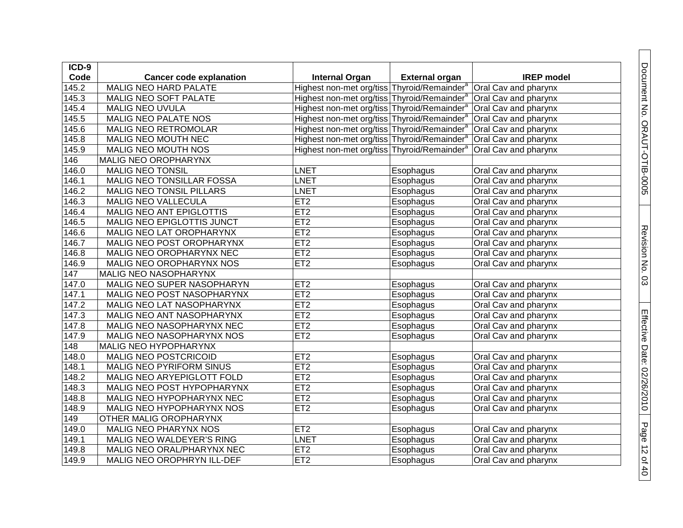| $ICD-9$            |                                |                                                         |                       |                      |
|--------------------|--------------------------------|---------------------------------------------------------|-----------------------|----------------------|
| Code               | <b>Cancer code explanation</b> | <b>Internal Organ</b>                                   | <b>External organ</b> | <b>IREP</b> model    |
| 145.2              | <b>MALIG NEO HARD PALATE</b>   | Highest non-met org/tiss Thyroid/Remainder <sup>a</sup> |                       | Oral Cav and pharynx |
| 145.3              | MALIG NEO SOFT PALATE          | Highest non-met org/tiss Thyroid/Remainder              |                       | Oral Cav and pharynx |
| 145.4              | MALIG NEO UVULA                | Highest non-met org/tiss Thyroid/Remainder <sup>8</sup> |                       | Oral Cav and pharynx |
| 145.5              | MALIG NEO PALATE NOS           | Highest non-met org/tiss Thyroid/Remainder®             |                       | Oral Cav and pharynx |
| 145.6              | <b>MALIG NEO RETROMOLAR</b>    | Highest non-met org/tiss Thyroid/Remainder <sup>®</sup> |                       | Oral Cav and pharynx |
| 145.8              | MALIG NEO MOUTH NEC            | Highest non-met org/tiss Thyroid/Remainder <sup>s</sup> |                       | Oral Cav and pharynx |
| 145.9              | MALIG NEO MOUTH NOS            | Highest non-met org/tiss Thyroid/Remainder®             |                       | Oral Cav and pharynx |
| 146                | MALIG NEO OROPHARYNX           |                                                         |                       |                      |
| 146.0              | <b>MALIG NEO TONSIL</b>        | LNET                                                    | Esophagus             | Oral Cav and pharynx |
| 146.1              | MALIG NEO TONSILLAR FOSSA      | LNET                                                    | Esophagus             | Oral Cav and pharynx |
| 146.2              | MALIG NEO TONSIL PILLARS       | LNET                                                    | Esophagus             | Oral Cav and pharynx |
| 146.3              | MALIG NEO VALLECULA            | ET <sub>2</sub>                                         | Esophagus             | Oral Cav and pharynx |
| 146.4              | MALIG NEO ANT EPIGLOTTIS       | ET2                                                     | Esophagus             | Oral Cav and pharynx |
| 146.5              | MALIG NEO EPIGLOTTIS JUNCT     | ET2                                                     | Esophagus             | Oral Cav and pharynx |
| 146.6              | MALIG NEO LAT OROPHARYNX       | ET2                                                     | Esophagus             | Oral Cav and pharynx |
| $\overline{1}46.7$ | MALIG NEO POST OROPHARYNX      | ET2                                                     | Esophagus             | Oral Cav and pharynx |
| 146.8              | MALIG NEO OROPHARYNX NEC       | ET <sub>2</sub>                                         | Esophagus             | Oral Cav and pharynx |
| 146.9              | MALIG NEO OROPHARYNX NOS       | ET <sub>2</sub>                                         | Esophagus             | Oral Cav and pharynx |
| 147                | MALIG NEO NASOPHARYNX          |                                                         |                       |                      |
| 147.0              | MALIG NEO SUPER NASOPHARYN     | ET <sub>2</sub>                                         | Esophagus             | Oral Cav and pharynx |
| 147.1              | MALIG NEO POST NASOPHARYNX     | ET2                                                     | Esophagus             | Oral Cav and pharynx |
| 147.2              | MALIG NEO LAT NASOPHARYNX      | ET <sub>2</sub>                                         | Esophagus             | Oral Cav and pharynx |
| 147.3              | MALIG NEO ANT NASOPHARYNX      | ET <sub>2</sub>                                         | Esophagus             | Oral Cav and pharynx |
| 147.8              | MALIG NEO NASOPHARYNX NEC      | ET2                                                     | Esophagus             | Oral Cav and pharynx |
| 147.9              | MALIG NEO NASOPHARYNX NOS      | ET2                                                     | Esophagus             | Oral Cav and pharynx |
| 148                | MALIG NEO HYPOPHARYNX          |                                                         |                       |                      |
| 148.0              | MALIG NEO POSTCRICOID          | ET <sub>2</sub>                                         | Esophagus             | Oral Cav and pharynx |
| 148.1              | MALIG NEO PYRIFORM SINUS       | ET2                                                     | Esophagus             | Oral Cav and pharynx |
| 148.2              | MALIG NEO ARYEPIGLOTT FOLD     | ET2                                                     | Esophagus             | Oral Cav and pharynx |
| 148.3              | MALIG NEO POST HYPOPHARYNX     | ET2                                                     | Esophagus             | Oral Cav and pharynx |
| 148.8              | MALIG NEO HYPOPHARYNX NEC      | ET2                                                     | Esophagus             | Oral Cav and pharynx |
| 148.9              | MALIG NEO HYPOPHARYNX NOS      | ET2                                                     | Esophagus             | Oral Cav and pharynx |
| 149                | OTHER MALIG OROPHARYNX         |                                                         |                       |                      |
| 149.0              | MALIG NEO PHARYNX NOS          | ET <sub>2</sub>                                         | Esophagus             | Oral Cav and pharynx |
| 149.1              | MALIG NEO WALDEYER'S RING      | LNET                                                    | Esophagus             | Oral Cav and pharynx |
| 149.8              | MALIG NEO ORAL/PHARYNX NEC     | ET <sub>2</sub>                                         | Esophagus             | Oral Cav and pharynx |
| 149.9              | MALIG NEO OROPHRYN ILL-DEF     | ET <sub>2</sub>                                         | Esophagus             | Oral Cav and pharynx |

Page 12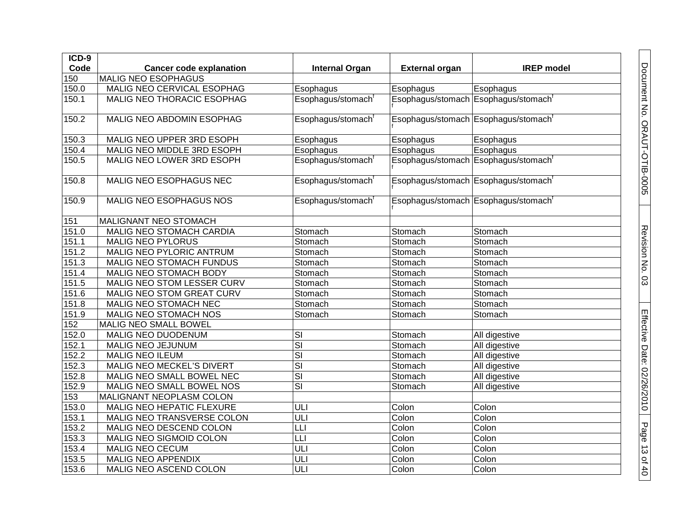| ICD-9 |                                  |                                   |                       |                                     |
|-------|----------------------------------|-----------------------------------|-----------------------|-------------------------------------|
| Code  | <b>Cancer code explanation</b>   | <b>Internal Organ</b>             | <b>External organ</b> | <b>IREP</b> model                   |
| 150   | <b>MALIG NEO ESOPHAGUS</b>       |                                   |                       |                                     |
| 150.0 | MALIG NEO CERVICAL ESOPHAG       | Esophagus                         | Esophagus             | Esophagus                           |
| 150.1 | MALIG NEO THORACIC ESOPHAG       | Esophagus/stomach <sup>t</sup>    |                       | Esophagus/stomach Esophagus/stomach |
|       |                                  |                                   |                       |                                     |
| 150.2 | MALIG NEO ABDOMIN ESOPHAG        | Esophagus/stomach <sup>t</sup>    |                       | Esophagus/stomach Esophagus/stomach |
|       |                                  |                                   |                       |                                     |
| 150.3 | MALIG NEO UPPER 3RD ESOPH        | Esophagus                         | Esophagus             | Esophagus                           |
| 150.4 | MALIG NEO MIDDLE 3RD ESOPH       | Esophagus                         | Esophagus             | Esophagus                           |
| 150.5 | MALIG NEO LOWER 3RD ESOPH        | Esophagus/stomach                 |                       | Esophagus/stomach Esophagus/stomach |
|       |                                  |                                   |                       |                                     |
| 150.8 | MALIG NEO ESOPHAGUS NEC          | Esophagus/stomach <sup>t</sup>    |                       | Esophagus/stomach Esophagus/stomach |
|       |                                  |                                   |                       |                                     |
| 150.9 | MALIG NEO ESOPHAGUS NOS          | Esophagus/stomach <sup>t</sup>    |                       | Esophagus/stomach Esophagus/stomach |
| 151   | MALIGNANT NEO STOMACH            |                                   |                       |                                     |
| 151.0 | MALIG NEO STOMACH CARDIA         | Stomach                           | Stomach               | Stomach                             |
| 151.1 | <b>MALIG NEO PYLORUS</b>         | Stomach                           | Stomach               | Stomach                             |
| 151.2 | <b>MALIG NEO PYLORIC ANTRUM</b>  | Stomach                           | Stomach               | Stomach                             |
| 151.3 | <b>MALIG NEO STOMACH FUNDUS</b>  | Stomach                           | Stomach               | Stomach                             |
| 151.4 | MALIG NEO STOMACH BODY           | Stomach                           | Stomach               | Stomach                             |
| 151.5 | MALIG NEO STOM LESSER CURV       | Stomach                           | Stomach               | Stomach                             |
| 151.6 | <b>MALIG NEO STOM GREAT CURV</b> | Stomach                           | Stomach               | Stomach                             |
| 151.8 | MALIG NEO STOMACH NEC            | Stomach                           | Stomach               | Stomach                             |
| 151.9 | MALIG NEO STOMACH NOS            | Stomach                           | Stomach               | Stomach                             |
| 152   | <b>MALIG NEO SMALL BOWEL</b>     |                                   |                       |                                     |
| 152.0 | MALIG NEO DUODENUM               | SI                                | Stomach               | All digestive                       |
| 152.1 | <b>MALIG NEO JEJUNUM</b>         | $\overline{\mathsf{SI}}$          | Stomach               | All digestive                       |
| 152.2 | <b>MALIG NEO ILEUM</b>           | $\overline{\mathsf{SI}}$          | Stomach               | All digestive                       |
| 152.3 | <b>MALIG NEO MECKEL'S DIVERT</b> | $\overline{\mathsf{SI}}$          | Stomach               | All digestive                       |
| 152.8 | MALIG NEO SMALL BOWEL NEC        | $\overline{\mathsf{SI}}$          | Stomach               | All digestive                       |
| 152.9 | MALIG NEO SMALL BOWEL NOS        | $\overline{\mathsf{SI}}$          | Stomach               | All digestive                       |
| 153   | <b>MALIGNANT NEOPLASM COLON</b>  |                                   |                       |                                     |
| 153.0 | <b>MALIG NEO HEPATIC FLEXURE</b> | ULI                               | Colon                 | Colon                               |
| 153.1 | MALIG NEO TRANSVERSE COLON       | ULI                               | Colon                 | Colon                               |
| 153.2 | MALIG NEO DESCEND COLON          | LLI                               | Colon                 | Colon                               |
| 153.3 | MALIG NEO SIGMOID COLON          | LLI                               | Colon                 | Colon                               |
| 153.4 | MALIG NEO CECUM                  | ULI                               | Colon                 | Colon                               |
| 153.5 | <b>MALIG NEO APPENDIX</b>        | $\overline{\overline{\text{UL}}}$ | Colon                 | Colon                               |
| 153.6 | MALIG NEO ASCEND COLON           | $\overline{\overline{\text{UL}}}$ | Colon                 | Colon                               |

Document No. ORAUT-OTIB-0005

Revision No. 03

Revision No. 03

Effective Date: 02/26/2010

Page 13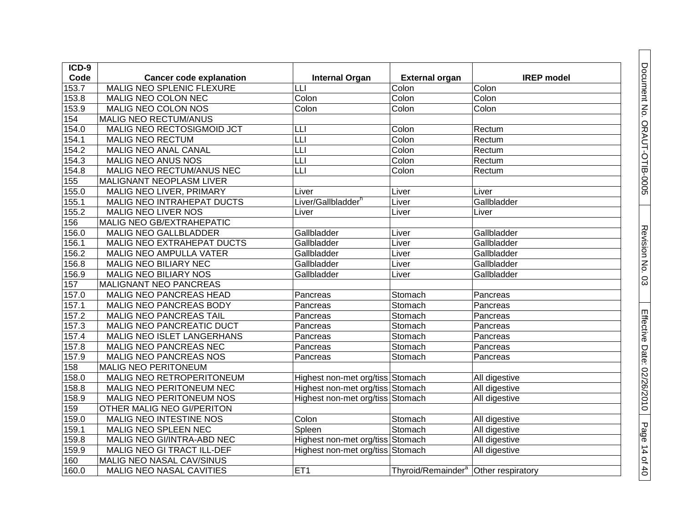| ICD-9              |                                |                                  |                                                  |                   |
|--------------------|--------------------------------|----------------------------------|--------------------------------------------------|-------------------|
| Code               | <b>Cancer code explanation</b> | <b>Internal Organ</b>            | <b>External organ</b>                            | <b>IREP</b> model |
| 153.7              | MALIG NEO SPLENIC FLEXURE      | LLI                              | Colon                                            | Colon             |
| 153.8              | MALIG NEO COLON NEC            | Colon                            | Colon                                            | Colon             |
| 153.9              | MALIG NEO COLON NOS            | Colon                            | Colon                                            | Colon             |
| 154                | <b>MALIG NEO RECTUM/ANUS</b>   |                                  |                                                  |                   |
| 154.0              | MALIG NEO RECTOSIGMOID JCT     | LLI                              | Colon                                            | Rectum            |
| 154.1              | MALIG NEO RECTUM               | LLI                              | Colon                                            | Rectum            |
| 154.2              | MALIG NEO ANAL CANAL           | LLI                              | Colon                                            | Rectum            |
| 154.3              | MALIG NEO ANUS NOS             | LLI                              | Colon                                            | Rectum            |
| 154.8              | MALIG NEO RECTUM/ANUS NEC      | LLI                              | Colon                                            | Rectum            |
| 155                | MALIGNANT NEOPLASM LIVER       |                                  |                                                  |                   |
| 155.0              | MALIG NEO LIVER, PRIMARY       | Liver                            | Liver                                            | Liver             |
| 155.1              | MALIG NEO INTRAHEPAT DUCTS     | Liver/Gallbladder <sup>h</sup>   | Liver                                            | Gallbladder       |
| 155.2              | MALIG NEO LIVER NOS            | Liver                            | Liver                                            | Liver             |
| 156                | MALIG NEO GB/EXTRAHEPATIC      |                                  |                                                  |                   |
| 156.0              | MALIG NEO GALLBLADDER          | Gallbladder                      | Liver                                            | Gallbladder       |
| 156.1              | MALIG NEO EXTRAHEPAT DUCTS     | Gallbladder                      | Liver                                            | Gallbladder       |
| 156.2              | MALIG NEO AMPULLA VATER        | Gallbladder                      | Liver                                            | Gallbladder       |
| 156.8              | MALIG NEO BILIARY NEC          | Gallbladder                      | Liver                                            | Gallbladder       |
| $156.\overline{9}$ | MALIG NEO BILIARY NOS          | Gallbladder                      | Liver                                            | Gallbladder       |
| 157                | MALIGNANT NEO PANCREAS         |                                  |                                                  |                   |
| 157.0              | MALIG NEO PANCREAS HEAD        | Pancreas                         | Stomach                                          | Pancreas          |
| 157.1              | MALIG NEO PANCREAS BODY        | Pancreas                         | Stomach                                          | Pancreas          |
| 157.2              | MALIG NEO PANCREAS TAIL        | Pancreas                         | Stomach                                          | Pancreas          |
| 157.3              | MALIG NEO PANCREATIC DUCT      | Pancreas                         | Stomach                                          | Pancreas          |
| 157.4              | MALIG NEO ISLET LANGERHANS     | Pancreas                         | Stomach                                          | Pancreas          |
| 157.8              | MALIG NEO PANCREAS NEC         | Pancreas                         | Stomach                                          | Pancreas          |
| 157.9              | <b>MALIG NEO PANCREAS NOS</b>  | Pancreas                         | Stomach                                          | Pancreas          |
| 158                | MALIG NEO PERITONEUM           |                                  |                                                  |                   |
| 158.0              | MALIG NEO RETROPERITONEUM      | Highest non-met org/tiss Stomach |                                                  | All digestive     |
| 158.8              | MALIG NEO PERITONEUM NEC       | Highest non-met org/tiss Stomach |                                                  | All digestive     |
| 158.9              | MALIG NEO PERITONEUM NOS       | Highest non-met org/tiss Stomach |                                                  | All digestive     |
| 159                | OTHER MALIG NEO GI/PERITON     |                                  |                                                  |                   |
| 159.0              | MALIG NEO INTESTINE NOS        | Colon                            | Stomach                                          | All digestive     |
| 159.1              | MALIG NEO SPLEEN NEC           | Spleen                           | Stomach                                          | All digestive     |
| 159.8              | MALIG NEO GI/INTRA-ABD NEC     | Highest non-met org/tiss Stomach |                                                  | All digestive     |
| 159.9              | MALIG NEO GI TRACT ILL-DEF     | Highest non-met org/tiss Stomach |                                                  | All digestive     |
| 160                | MALIG NEO NASAL CAV/SINUS      |                                  |                                                  |                   |
| 160.0              | MALIG NEO NASAL CAVITIES       | ET <sub>1</sub>                  | Thyroid/Remainder <sup>a</sup> Other respiratory |                   |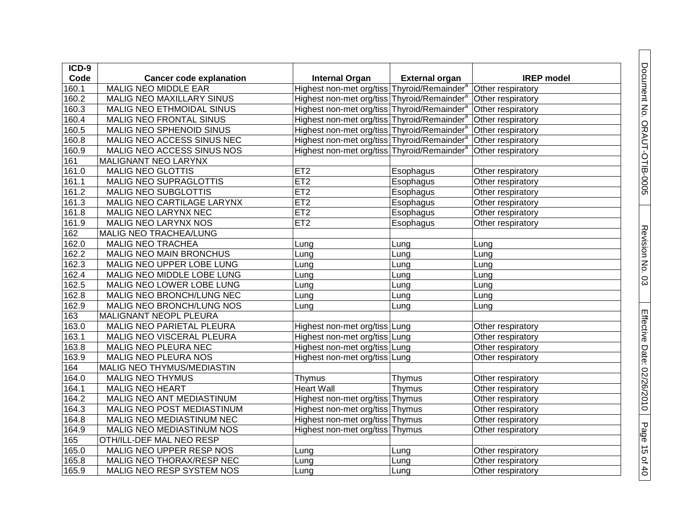| ICD-9 |                                 |                                                         |                       |                   |
|-------|---------------------------------|---------------------------------------------------------|-----------------------|-------------------|
| Code  | <b>Cancer code explanation</b>  | <b>Internal Organ</b>                                   | <b>External organ</b> | <b>IREP</b> model |
| 160.1 | <b>MALIG NEO MIDDLE EAR</b>     | Highest non-met org/tiss Thyroid/Remainder <sup>a</sup> |                       | Other respiratory |
| 160.2 | MALIG NEO MAXILLARY SINUS       | Highest non-met org/tiss Thyroid/Remainder <sup>a</sup> |                       | Other respiratory |
| 160.3 | MALIG NEO ETHMOIDAL SINUS       | Highest non-met org/tiss Thyroid/Remainder <sup>a</sup> |                       | Other respiratory |
| 160.4 | MALIG NEO FRONTAL SINUS         | Highest non-met org/tiss Thyroid/Remainder <sup>a</sup> |                       | Other respiratory |
| 160.5 | <b>MALIG NEO SPHENOID SINUS</b> | Highest non-met org/tiss Thyroid/Remainder <sup>a</sup> |                       | Other respiratory |
| 160.8 | MALIG NEO ACCESS SINUS NEC      | Highest non-met org/tiss Thyroid/Remainder <sup>a</sup> |                       | Other respiratory |
| 160.9 | MALIG NEO ACCESS SINUS NOS      | Highest non-met org/tiss Thyroid/Remainder <sup>a</sup> |                       | Other respiratory |
| 161   | MALIGNANT NEO LARYNX            |                                                         |                       |                   |
| 161.0 | <b>MALIG NEO GLOTTIS</b>        | ET <sub>2</sub>                                         | Esophagus             | Other respiratory |
| 161.1 | MALIG NEO SUPRAGLOTTIS          | ET2                                                     | Esophagus             | Other respiratory |
| 161.2 | <b>MALIG NEO SUBGLOTTIS</b>     | ET2                                                     | Esophagus             | Other respiratory |
| 161.3 | MALIG NEO CARTILAGE LARYNX      | ET2                                                     | Esophagus             | Other respiratory |
| 161.8 | MALIG NEO LARYNX NEC            | ET <sub>2</sub>                                         | Esophagus             | Other respiratory |
| 161.9 | MALIG NEO LARYNX NOS            | ET <sub>2</sub>                                         | Esophagus             | Other respiratory |
| 162   | MALIG NEO TRACHEA/LUNG          |                                                         |                       |                   |
| 162.0 | <b>MALIG NEO TRACHEA</b>        | Lung                                                    | Lung                  | Lung              |
| 162.2 | MALIG NEO MAIN BRONCHUS         | Lung                                                    | Lung                  | Lung              |
| 162.3 | MALIG NEO UPPER LOBE LUNG       | Lung                                                    | Lung                  | Lung              |
| 162.4 | MALIG NEO MIDDLE LOBE LUNG      | Lung                                                    | Lung                  | Lung              |
| 162.5 | MALIG NEO LOWER LOBE LUNG       | Lung                                                    | Lung                  | Lung              |
| 162.8 | MALIG NEO BRONCH/LUNG NEC       | Lung                                                    | Lung                  | Lung              |
| 162.9 | MALIG NEO BRONCH/LUNG NOS       | Lung                                                    | Lung                  | Lung              |
| 163   | MALIGNANT NEOPL PLEURA          |                                                         |                       |                   |
| 163.0 | MALIG NEO PARIETAL PLEURA       | Highest non-met org/tiss Lung                           |                       | Other respiratory |
| 163.1 | MALIG NEO VISCERAL PLEURA       | Highest non-met org/tiss Lung                           |                       | Other respiratory |
| 163.8 | MALIG NEO PLEURA NEC            | Highest non-met org/tiss Lung                           |                       | Other respiratory |
| 163.9 | MALIG NEO PLEURA NOS            | Highest non-met org/tiss Lung                           |                       | Other respiratory |
| 164   | MALIG NEO THYMUS/MEDIASTIN      |                                                         |                       |                   |
| 164.0 | <b>MALIG NEO THYMUS</b>         | Thymus                                                  | Thymus                | Other respiratory |
| 164.1 | <b>MALIG NEO HEART</b>          | <b>Heart Wall</b>                                       | Thymus                | Other respiratory |
| 164.2 | MALIG NEO ANT MEDIASTINUM       | Highest non-met org/tiss Thymus                         |                       | Other respiratory |
| 164.3 | MALIG NEO POST MEDIASTINUM      | Highest non-met org/tiss Thymus                         |                       | Other respiratory |
| 164.8 | MALIG NEO MEDIASTINUM NEC       | Highest non-met org/tiss Thymus                         |                       | Other respiratory |
| 164.9 | MALIG NEO MEDIASTINUM NOS       | Highest non-met org/tiss Thymus                         |                       | Other respiratory |
| 165   | OTH/ILL-DEF MAL NEO RESP        |                                                         |                       |                   |
| 165.0 | MALIG NEO UPPER RESP NOS        | Lung                                                    | Lung                  | Other respiratory |
| 165.8 | MALIG NEO THORAX/RESP NEC       | Lung                                                    | Lung                  | Other respiratory |
| 165.9 | MALIG NEO RESP SYSTEM NOS       | Lung                                                    | Lung                  | Other respiratory |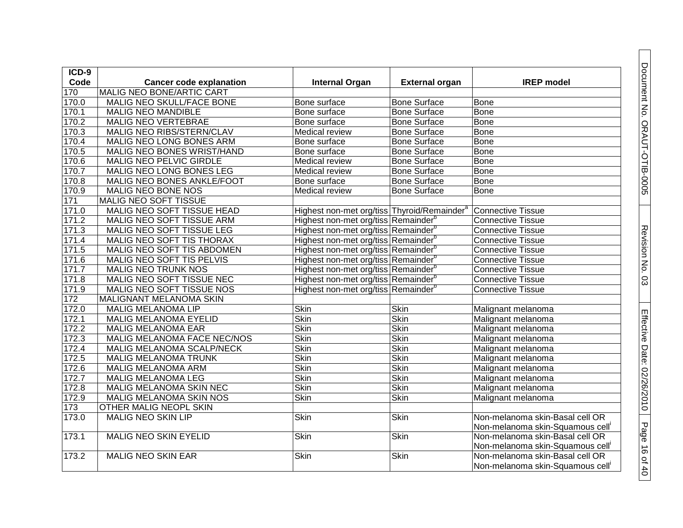| $ICD-9$ |                                  |                                                         |                       |                                  |
|---------|----------------------------------|---------------------------------------------------------|-----------------------|----------------------------------|
| Code    | <b>Cancer code explanation</b>   | <b>Internal Organ</b>                                   | <b>External organ</b> | <b>IREP</b> model                |
| 170     | MALIG NEO BONE/ARTIC CART        |                                                         |                       |                                  |
| 170.0   | MALIG NEO SKULL/FACE BONE        | Bone surface                                            | <b>Bone Surface</b>   | <b>Bone</b>                      |
| 170.1   | <b>MALIG NEO MANDIBLE</b>        | Bone surface                                            | <b>Bone Surface</b>   | Bone                             |
| 170.2   | <b>MALIG NEO VERTEBRAE</b>       | Bone surface                                            | <b>Bone Surface</b>   | <b>Bone</b>                      |
| 170.3   | MALIG NEO RIBS/STERN/CLAV        | Medical review                                          | Bone Surface          | Bone                             |
| 170.4   | MALIG NEO LONG BONES ARM         | Bone surface                                            | <b>Bone Surface</b>   | <b>Bone</b>                      |
| 170.5   | MALIG NEO BONES WRIST/HAND       | Bone surface                                            | <b>Bone Surface</b>   | <b>Bone</b>                      |
| 170.6   | <b>MALIG NEO PELVIC GIRDLE</b>   | Medical review                                          | <b>Bone Surface</b>   | <b>Bone</b>                      |
| 170.7   | MALIG NEO LONG BONES LEG         | Medical review                                          | <b>Bone Surface</b>   | Bone                             |
| 170.8   | MALIG NEO BONES ANKLE/FOOT       | Bone surface                                            | <b>Bone Surface</b>   | <b>Bone</b>                      |
| 170.9   | MALIG NEO BONE NOS               | Medical review                                          | <b>Bone Surface</b>   | Bone                             |
| 171     | MALIG NEO SOFT TISSUE            |                                                         |                       |                                  |
| 171.0   | MALIG NEO SOFT TISSUE HEAD       | Highest non-met org/tiss Thyroid/Remainder <sup>8</sup> |                       | <b>Connective Tissue</b>         |
| 171.2   | <b>MALIG NEO SOFT TISSUE ARM</b> | Highest non-met org/tiss Remainder <sup>®</sup>         |                       | <b>Connective Tissue</b>         |
| 171.3   | MALIG NEO SOFT TISSUE LEG        | Highest non-met org/tiss Remainder <sup>b</sup>         |                       | <b>Connective Tissue</b>         |
| 171.4   | MALIG NEO SOFT TIS THORAX        | Highest non-met org/tiss Remainder <sup>b</sup>         |                       | <b>Connective Tissue</b>         |
| 171.5   | MALIG NEO SOFT TIS ABDOMEN       | Highest non-met org/tiss Remainder <sup>b</sup>         |                       | <b>Connective Tissue</b>         |
| 171.6   | MALIG NEO SOFT TIS PELVIS        | Highest non-met org/tiss Remainder <sup>o</sup>         |                       | <b>Connective Tissue</b>         |
| 171.7   | <b>MALIG NEO TRUNK NOS</b>       | Highest non-met org/tiss Remainder <sup>b</sup>         |                       | <b>Connective Tissue</b>         |
| 171.8   | MALIG NEO SOFT TISSUE NEC        | Highest non-met org/tiss Remainder <sup>b</sup>         |                       | <b>Connective Tissue</b>         |
| 171.9   | MALIG NEO SOFT TISSUE NOS        | Highest non-met org/tiss Remainder <sup>b</sup>         |                       | <b>Connective Tissue</b>         |
| 172     | MALIGNANT MELANOMA SKIN          |                                                         |                       |                                  |
| 172.0   | <b>MALIG MELANOMA LIP</b>        | <b>Skin</b>                                             | <b>Skin</b>           | Malignant melanoma               |
| 172.1   | <b>MALIG MELANOMA EYELID</b>     | <b>Skin</b>                                             | <b>Skin</b>           | Malignant melanoma               |
| 172.2   | <b>MALIG MELANOMA EAR</b>        | <b>Skin</b>                                             | <b>Skin</b>           | Malignant melanoma               |
| 172.3   | MALIG MELANOMA FACE NEC/NOS      | <b>Skin</b>                                             | <b>Skin</b>           | Malignant melanoma               |
| 172.4   | MALIG MELANOMA SCALP/NECK        | <b>Skin</b>                                             | <b>Skin</b>           | Malignant melanoma               |
| 172.5   | MALIG MELANOMA TRUNK             | Skin                                                    | <b>Skin</b>           | Malignant melanoma               |
| 172.6   | <b>MALIG MELANOMA ARM</b>        | Skin                                                    | Skin                  | Malignant melanoma               |
| 172.7   | <b>MALIG MELANOMA LEG</b>        | <b>Skin</b>                                             | <b>Skin</b>           | Malignant melanoma               |
| 172.8   | MALIG MELANOMA SKIN NEC          | <b>Skin</b>                                             | <b>Skin</b>           | Malignant melanoma               |
| 172.9   | MALIG MELANOMA SKIN NOS          | <b>Skin</b>                                             | <b>Skin</b>           | Malignant melanoma               |
| 173     | OTHER MALIG NEOPL SKIN           |                                                         |                       |                                  |
| 173.0   | <b>MALIG NEO SKIN LIP</b>        | <b>Skin</b>                                             | <b>Skin</b>           | Non-melanoma skin-Basal cell OR  |
|         |                                  |                                                         |                       | Non-melanoma skin-Squamous cell' |
| 173.1   | <b>MALIG NEO SKIN EYELID</b>     | Skin                                                    | Skin                  | Non-melanoma skin-Basal cell OR  |
|         |                                  |                                                         |                       | Non-melanoma skin-Squamous cell' |
| 173.2   | <b>MALIG NEO SKIN EAR</b>        | <b>Skin</b>                                             | <b>Skin</b>           | Non-melanoma skin-Basal cell OR  |
|         |                                  |                                                         |                       | Non-melanoma skin-Squamous cell' |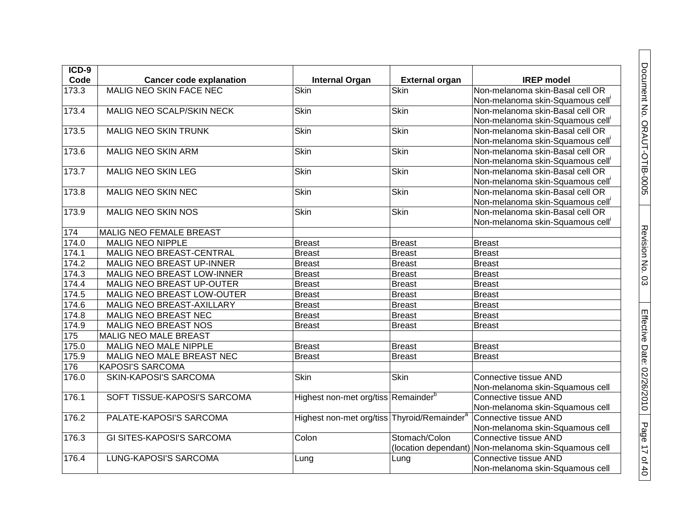| $ICD-9$ |                                  |                                                         |                       |                                                      |
|---------|----------------------------------|---------------------------------------------------------|-----------------------|------------------------------------------------------|
| Code    | <b>Cancer code explanation</b>   | <b>Internal Organ</b>                                   | <b>External organ</b> | <b>IREP</b> model                                    |
| 173.3   | <b>MALIG NEO SKIN FACE NEC</b>   | Skin                                                    | Skin                  | Non-melanoma skin-Basal cell OR                      |
|         |                                  |                                                         |                       | Non-melanoma skin-Squamous cell <sup>i</sup>         |
| 173.4   | MALIG NEO SCALP/SKIN NECK        | <b>Skin</b>                                             | <b>Skin</b>           | Non-melanoma skin-Basal cell OR                      |
|         |                                  |                                                         |                       | Non-melanoma skin-Squamous cell                      |
| 173.5   | <b>MALIG NEO SKIN TRUNK</b>      | <b>Skin</b>                                             | Skin                  | Non-melanoma skin-Basal cell OR                      |
|         |                                  |                                                         |                       | Non-melanoma skin-Squamous cell <sup>i</sup>         |
| 173.6   | <b>MALIG NEO SKIN ARM</b>        | <b>Skin</b>                                             | <b>Skin</b>           | Non-melanoma skin-Basal cell OR                      |
|         |                                  |                                                         |                       | Non-melanoma skin-Squamous cell'                     |
| 173.7   | <b>MALIG NEO SKIN LEG</b>        | <b>Skin</b>                                             | <b>Skin</b>           | Non-melanoma skin-Basal cell OR                      |
|         |                                  |                                                         |                       | Non-melanoma skin-Squamous cell'                     |
| 173.8   | <b>MALIG NEO SKIN NEC</b>        | <b>Skin</b>                                             | Skin                  | Non-melanoma skin-Basal cell OR                      |
|         |                                  |                                                         |                       | Non-melanoma skin-Squamous cell'                     |
| 173.9   | MALIG NEO SKIN NOS               | Skin                                                    | Skin                  | Non-melanoma skin-Basal cell OR                      |
|         |                                  |                                                         |                       | Non-melanoma skin-Squamous cell'                     |
| 174     | MALIG NEO FEMALE BREAST          |                                                         |                       |                                                      |
| 174.0   | <b>MALIG NEO NIPPLE</b>          | <b>Breast</b>                                           | Breast                | <b>Breast</b>                                        |
| 174.1   | <b>MALIG NEO BREAST-CENTRAL</b>  | <b>Breast</b>                                           | <b>Breast</b>         | <b>Breast</b>                                        |
| 174.2   | <b>MALIG NEO BREAST UP-INNER</b> | <b>Breast</b>                                           | <b>Breast</b>         | <b>Breast</b>                                        |
| 174.3   | MALIG NEO BREAST LOW-INNER       | <b>Breast</b>                                           | <b>Breast</b>         | <b>Breast</b>                                        |
| 174.4   | <b>MALIG NEO BREAST UP-OUTER</b> | <b>Breast</b>                                           | <b>Breast</b>         | <b>Breast</b>                                        |
| 174.5   | MALIG NEO BREAST LOW-OUTER       | <b>Breast</b>                                           | <b>Breast</b>         | <b>Breast</b>                                        |
| 174.6   | MALIG NEO BREAST-AXILLARY        | <b>Breast</b>                                           | <b>Breast</b>         | <b>Breast</b>                                        |
| 174.8   | <b>MALIG NEO BREAST NEC</b>      | <b>Breast</b>                                           | <b>Breast</b>         | <b>Breast</b>                                        |
| 174.9   | MALIG NEO BREAST NOS             | <b>Breast</b>                                           | <b>Breast</b>         | <b>Breast</b>                                        |
| 175     | <b>MALIG NEO MALE BREAST</b>     |                                                         |                       |                                                      |
| 175.0   | <b>MALIG NEO MALE NIPPLE</b>     | <b>Breast</b>                                           | <b>Breast</b>         | <b>Breast</b>                                        |
| 175.9   | MALIG NEO MALE BREAST NEC        | <b>Breast</b>                                           | <b>Breast</b>         | <b>Breast</b>                                        |
| 176     | <b>KAPOSI'S SARCOMA</b>          |                                                         |                       |                                                      |
| 176.0   | <b>SKIN-KAPOSI'S SARCOMA</b>     | <b>Skin</b>                                             | <b>Skin</b>           | <b>Connective tissue AND</b>                         |
|         |                                  |                                                         |                       | Non-melanoma skin-Squamous cell                      |
| 176.1   | SOFT TISSUE-KAPOSI'S SARCOMA     | Highest non-met org/tiss Remainder <sup>b</sup>         |                       | Connective tissue AND                                |
|         |                                  |                                                         |                       | Non-melanoma skin-Squamous cell                      |
| 176.2   | PALATE-KAPOSI'S SARCOMA          | Highest non-met org/tiss Thyroid/Remainder <sup>a</sup> |                       | Connective tissue AND                                |
|         |                                  |                                                         |                       | Non-melanoma skin-Squamous cell                      |
| 176.3   | <b>GI SITES-KAPOSI'S SARCOMA</b> | Colon                                                   | Stomach/Colon         | <b>Connective tissue AND</b>                         |
|         |                                  |                                                         |                       | (location dependant) Non-melanoma skin-Squamous cell |
| 176.4   | LUNG-KAPOSI'S SARCOMA            | Lung                                                    | Lung                  | <b>Connective tissue AND</b>                         |
|         |                                  |                                                         |                       | Non-melanoma skin-Squamous cell                      |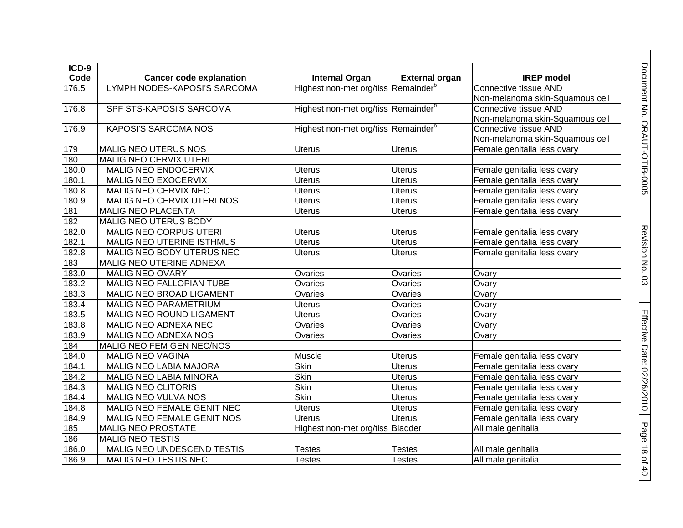| $ICD-9$         |                                |                                                 |                       |                                 |
|-----------------|--------------------------------|-------------------------------------------------|-----------------------|---------------------------------|
| Code            | <b>Cancer code explanation</b> | <b>Internal Organ</b>                           | <b>External organ</b> | <b>IREP</b> model               |
| 176.5           | LYMPH NODES-KAPOSI'S SARCOMA   | Highest non-met org/tiss Remainder <sup>b</sup> |                       | Connective tissue AND           |
|                 |                                |                                                 |                       | Non-melanoma skin-Squamous cell |
| 176.8           | SPF STS-KAPOSI'S SARCOMA       | Highest non-met org/tiss Remainder <sup>b</sup> |                       | Connective tissue AND           |
|                 |                                |                                                 |                       | Non-melanoma skin-Squamous cell |
| 176.9           | <b>KAPOSI'S SARCOMA NOS</b>    | Highest non-met org/tiss Remainder <sup>b</sup> |                       | Connective tissue AND           |
|                 |                                |                                                 |                       | Non-melanoma skin-Squamous cell |
| 179             | <b>MALIG NEO UTERUS NOS</b>    | <b>Uterus</b>                                   | <b>Uterus</b>         | Female genitalia less ovary     |
| 180             | MALIG NEO CERVIX UTERI         |                                                 |                       |                                 |
| 180.0           | MALIG NEO ENDOCERVIX           | <b>Uterus</b>                                   | <b>Uterus</b>         | Female genitalia less ovary     |
| 180.1           | MALIG NEO EXOCERVIX            | Uterus                                          | Uterus                | Female genitalia less ovary     |
| 180.8           | MALIG NEO CERVIX NEC           | <b>Uterus</b>                                   | <b>Uterus</b>         | Female genitalia less ovary     |
| 180.9           | MALIG NEO CERVIX UTERI NOS     | <b>Uterus</b>                                   | Uterus                | Female genitalia less ovary     |
| 181             | MALIG NEO PLACENTA             | Uterus                                          | <b>Uterus</b>         | Female genitalia less ovary     |
| 182             | MALIG NEO UTERUS BODY          |                                                 |                       |                                 |
| 182.0           | MALIG NEO CORPUS UTERI         | Uterus                                          | <b>Uterus</b>         | Female genitalia less ovary     |
| 182.1           | MALIG NEO UTERINE ISTHMUS      | <b>Uterus</b>                                   | <b>Uterus</b>         | Female genitalia less ovary     |
| 182.8           | MALIG NEO BODY UTERUS NEC      | <b>Uterus</b>                                   | <b>Uterus</b>         | Female genitalia less ovary     |
| 183             | MALIG NEO UTERINE ADNEXA       |                                                 |                       |                                 |
| 183.0           | <b>MALIG NEO OVARY</b>         | Ovaries                                         | Ovaries               | Ovary                           |
| 183.2           | MALIG NEO FALLOPIAN TUBE       | Ovaries                                         | Ovaries               | Ovary                           |
| 183.3           | MALIG NEO BROAD LIGAMENT       | Ovaries                                         | Ovaries               | Ovary                           |
| 183.4           | MALIG NEO PARAMETRIUM          | <b>Uterus</b>                                   | Ovaries               | Ovary                           |
| 183.5           | MALIG NEO ROUND LIGAMENT       | <b>Uterus</b>                                   | Ovaries               | Ovary                           |
| 183.8           | MALIG NEO ADNEXA NEC           | Ovaries                                         | Ovaries               | Ovary                           |
| 183.9           | MALIG NEO ADNEXA NOS           | Ovaries                                         | Ovaries               | Ovary                           |
| 184             | MALIG NEO FEM GEN NEC/NOS      |                                                 |                       |                                 |
| 184.0           | <b>MALIG NEO VAGINA</b>        | Muscle                                          | <b>Uterus</b>         | Female genitalia less ovary     |
| 184.1           | MALIG NEO LABIA MAJORA         | <b>Skin</b>                                     | <b>Uterus</b>         | Female genitalia less ovary     |
| 184.2           | MALIG NEO LABIA MINORA         | <b>Skin</b>                                     | <b>Uterus</b>         | Female genitalia less ovary     |
| 184.3           | <b>MALIG NEO CLITORIS</b>      | <b>Skin</b>                                     | <b>Uterus</b>         | Female genitalia less ovary     |
| 184.4           | MALIG NEO VULVA NOS            | <b>Skin</b>                                     | <b>Uterus</b>         | Female genitalia less ovary     |
| 184.8           | MALIG NEO FEMALE GENIT NEC     | <b>Uterus</b>                                   | <b>Uterus</b>         | Female genitalia less ovary     |
| 184.9           | MALIG NEO FEMALE GENIT NOS     | Uterus                                          | <b>Uterus</b>         | Female genitalia less ovary     |
| $\frac{1}{185}$ | MALIG NEO PROSTATE             | Highest non-met org/tiss Bladder                |                       | All male genitalia              |
| 186             | <b>MALIG NEO TESTIS</b>        |                                                 |                       |                                 |
| 186.0           | MALIG NEO UNDESCEND TESTIS     | <b>Testes</b>                                   | <b>Testes</b>         | All male genitalia              |
| 186.9           | MALIG NEO TESTIS NEC           | <b>Testes</b>                                   | <b>Testes</b>         | All male genitalia              |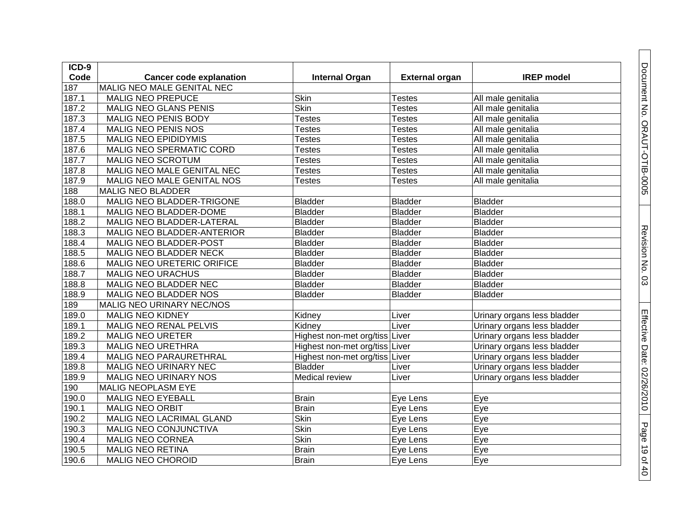| ICD-9 |                                |                                |                       |                             |
|-------|--------------------------------|--------------------------------|-----------------------|-----------------------------|
| Code  | <b>Cancer code explanation</b> | <b>Internal Organ</b>          | <b>External organ</b> | <b>IREP</b> model           |
| 187   | MALIG NEO MALE GENITAL NEC     |                                |                       |                             |
| 187.1 | <b>MALIG NEO PREPUCE</b>       | Skin                           | <b>Testes</b>         | All male genitalia          |
| 187.2 | <b>MALIG NEO GLANS PENIS</b>   | <b>Skin</b>                    | <b>Testes</b>         | All male genitalia          |
| 187.3 | MALIG NEO PENIS BODY           | <b>Testes</b>                  | <b>Testes</b>         | All male genitalia          |
| 187.4 | MALIG NEO PENIS NOS            | <b>Testes</b>                  | <b>Testes</b>         | All male genitalia          |
| 187.5 | <b>MALIG NEO EPIDIDYMIS</b>    | <b>Testes</b>                  | <b>Testes</b>         | All male genitalia          |
| 187.6 | MALIG NEO SPERMATIC CORD       | <b>Testes</b>                  | <b>Testes</b>         | All male genitalia          |
| 187.7 | <b>MALIG NEO SCROTUM</b>       | <b>Testes</b>                  | <b>Testes</b>         | All male genitalia          |
| 187.8 | MALIG NEO MALE GENITAL NEC     | <b>Testes</b>                  | <b>Testes</b>         | All male genitalia          |
| 187.9 | MALIG NEO MALE GENITAL NOS     | <b>Testes</b>                  | <b>Testes</b>         | All male genitalia          |
| 188   | <b>MALIG NEO BLADDER</b>       |                                |                       |                             |
| 188.0 | MALIG NEO BLADDER-TRIGONE      | <b>Bladder</b>                 | <b>Bladder</b>        | <b>Bladder</b>              |
| 188.1 | MALIG NEO BLADDER-DOME         | <b>Bladder</b>                 | <b>Bladder</b>        | <b>Bladder</b>              |
| 188.2 | MALIG NEO BLADDER-LATERAL      | <b>Bladder</b>                 | <b>Bladder</b>        | <b>Bladder</b>              |
| 188.3 | MALIG NEO BLADDER-ANTERIOR     | <b>Bladder</b>                 | <b>Bladder</b>        | <b>Bladder</b>              |
| 188.4 | MALIG NEO BLADDER-POST         | <b>Bladder</b>                 | <b>Bladder</b>        | <b>Bladder</b>              |
| 188.5 | MALIG NEO BLADDER NECK         | <b>Bladder</b>                 | <b>Bladder</b>        | <b>Bladder</b>              |
| 188.6 | MALIG NEO URETERIC ORIFICE     | <b>Bladder</b>                 | <b>Bladder</b>        | Bladder                     |
| 188.7 | <b>MALIG NEO URACHUS</b>       | <b>Bladder</b>                 | Bladder               | <b>Bladder</b>              |
| 188.8 | MALIG NEO BLADDER NEC          | <b>Bladder</b>                 | <b>Bladder</b>        | <b>Bladder</b>              |
| 188.9 | MALIG NEO BLADDER NOS          | <b>Bladder</b>                 | Bladder               | <b>Bladder</b>              |
| 189   | MALIG NEO URINARY NEC/NOS      |                                |                       |                             |
| 189.0 | <b>MALIG NEO KIDNEY</b>        | Kidney                         | Liver                 | Urinary organs less bladder |
| 189.1 | MALIG NEO RENAL PELVIS         | Kidney                         | Liver                 | Urinary organs less bladder |
| 189.2 | <b>MALIG NEO URETER</b>        | Highest non-met org/tiss Liver |                       | Urinary organs less bladder |
| 189.3 | <b>MALIG NEO URETHRA</b>       | Highest non-met org/tiss Liver |                       | Urinary organs less bladder |
| 189.4 | <b>MALIG NEO PARAURETHRAL</b>  | Highest non-met org/tiss Liver |                       | Urinary organs less bladder |
| 189.8 | MALIG NEO URINARY NEC          | <b>Bladder</b>                 | Liver                 | Urinary organs less bladder |
| 189.9 | MALIG NEO URINARY NOS          | Medical review                 | Liver                 | Urinary organs less bladder |
| 190   | MALIG NEOPLASM EYE             |                                |                       |                             |
| 190.0 | <b>MALIG NEO EYEBALL</b>       | <b>Brain</b>                   | Eye Lens              | Eye                         |
| 190.1 | <b>MALIG NEO ORBIT</b>         | <b>Brain</b>                   | Eye Lens              | Eye                         |
| 190.2 | MALIG NEO LACRIMAL GLAND       | <b>Skin</b>                    | Eye Lens              | Eye                         |
| 190.3 | MALIG NEO CONJUNCTIVA          | <b>Skin</b>                    | Eye Lens              | Eye                         |
| 190.4 | MALIG NEO CORNEA               | Skin                           | Eye Lens              | Eye                         |
| 190.5 | <b>MALIG NEO RETINA</b>        | <b>Brain</b>                   | Eye Lens              | Eye                         |
| 190.6 | <b>MALIG NEO CHOROID</b>       | <b>Brain</b>                   | Eye Lens              | Eye                         |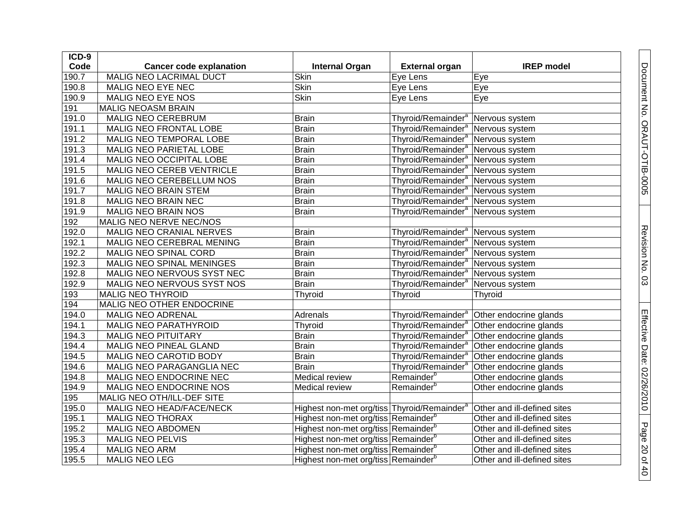| ICD-9 |                                |                                                         |                                                 |                             |
|-------|--------------------------------|---------------------------------------------------------|-------------------------------------------------|-----------------------------|
| Code  | <b>Cancer code explanation</b> | <b>Internal Organ</b>                                   | <b>External organ</b>                           | <b>IREP</b> model           |
| 190.7 | MALIG NEO LACRIMAL DUCT        | Skin                                                    | Eye Lens                                        | Eye                         |
| 190.8 | MALIG NEO EYE NEC              | Skin                                                    | Eye Lens                                        | Eye                         |
| 190.9 | MALIG NEO EYE NOS              | Skin                                                    | Eye Lens                                        | Eye                         |
| 191   | <b>MALIG NEOASM BRAIN</b>      |                                                         |                                                 |                             |
| 191.0 | <b>MALIG NEO CEREBRUM</b>      | <b>Brain</b>                                            | Thyroid/Remainder <sup>a</sup> Nervous system   |                             |
| 191.1 | MALIG NEO FRONTAL LOBE         | <b>Brain</b>                                            | Thyroid/Remainder <sup>a</sup>                  | Nervous system              |
| 191.2 | MALIG NEO TEMPORAL LOBE        | Brain                                                   | Thyroid/Remainder <sup>a</sup> Nervous system   |                             |
| 191.3 | MALIG NEO PARIETAL LOBE        | <b>Brain</b>                                            | Thyroid/Remainder <sup>a</sup> Nervous system   |                             |
| 191.4 | MALIG NEO OCCIPITAL LOBE       | <b>Brain</b>                                            | Thyroid/Remainder <sup>a</sup> Nervous system   |                             |
| 191.5 | MALIG NEO CEREB VENTRICLE      | <b>Brain</b>                                            | Thyroid/Remainder <sup>a</sup> Nervous system   |                             |
| 191.6 | MALIG NEO CEREBELLUM NOS       | <b>Brain</b>                                            | Thyroid/Remainder <sup>a</sup> Nervous system   |                             |
| 191.7 | MALIG NEO BRAIN STEM           | <b>Brain</b>                                            | Thyroid/Remainder <sup>a</sup> Nervous system   |                             |
| 191.8 | MALIG NEO BRAIN NEC            | <b>Brain</b>                                            | Thyroid/Remainder <sup>a</sup> Nervous system   |                             |
| 191.9 | MALIG NEO BRAIN NOS            | <b>Brain</b>                                            | Thyroid/Remainder <sup>a</sup>   Nervous system |                             |
| 192   | MALIG NEO NERVE NEC/NOS        |                                                         |                                                 |                             |
| 192.0 | MALIG NEO CRANIAL NERVES       | <b>Brain</b>                                            | Thyroid/Remainder <sup>a</sup>                  | Nervous system              |
| 192.1 | MALIG NEO CEREBRAL MENING      | <b>Brain</b>                                            | Thyroid/Remainder <sup>a</sup> Nervous system   |                             |
| 192.2 | MALIG NEO SPINAL CORD          | <b>Brain</b>                                            | Thyroid/Remainder <sup>a</sup>                  | Nervous system              |
| 192.3 | MALIG NEO SPINAL MENINGES      | <b>Brain</b>                                            | Thyroid/Remainder <sup>a</sup> Nervous system   |                             |
| 192.8 | MALIG NEO NERVOUS SYST NEC     | <b>Brain</b>                                            | Thyroid/Remainder <sup>a</sup>                  | Nervous system              |
| 192.9 | MALIG NEO NERVOUS SYST NOS     | <b>Brain</b>                                            | Thyroid/Remainder <sup>a</sup>                  | Nervous system              |
| 193   | <b>MALIG NEO THYROID</b>       | Thyroid                                                 | Thyroid                                         | Thyroid                     |
| 194   | MALIG NEO OTHER ENDOCRINE      |                                                         |                                                 |                             |
| 194.0 | <b>MALIG NEO ADRENAL</b>       | Adrenals                                                | Thyroid/Remainder <sup>a</sup>                  | Other endocrine glands      |
| 194.1 | <b>MALIG NEO PARATHYROID</b>   | Thyroid                                                 | Thyroid/Remainder <sup>a</sup>                  | Other endocrine glands      |
| 194.3 | <b>MALIG NEO PITUITARY</b>     | <b>Brain</b>                                            | Thyroid/Remainder <sup>a</sup>                  | Other endocrine glands      |
| 194.4 | MALIG NEO PINEAL GLAND         | <b>Brain</b>                                            | Thyroid/Remainder <sup>a</sup>                  | Other endocrine glands      |
| 194.5 | MALIG NEO CAROTID BODY         | <b>Brain</b>                                            | Thyroid/Remainder <sup>a</sup>                  | Other endocrine glands      |
| 194.6 | MALIG NEO PARAGANGLIA NEC      | <b>Brain</b>                                            | Thyroid/Remainder <sup>a</sup>                  | Other endocrine glands      |
| 194.8 | MALIG NEO ENDOCRINE NEC        | Medical review                                          | Remainder <sup>b</sup>                          | Other endocrine glands      |
| 194.9 | MALIG NEO ENDOCRINE NOS        | Medical review                                          | Remainder <sup>b</sup>                          | Other endocrine glands      |
| 195   | MALIG NEO OTH/ILL-DEF SITE     |                                                         |                                                 |                             |
| 195.0 | MALIG NEO HEAD/FACE/NECK       | Highest non-met org/tiss Thyroid/Remainder <sup>a</sup> |                                                 | Other and ill-defined sites |
| 195.1 | <b>MALIG NEO THORAX</b>        | Highest non-met org/tiss Remainder <sup>b</sup>         |                                                 | Other and ill-defined sites |
| 195.2 | MALIG NEO ABDOMEN              | Highest non-met org/tiss Remainder <sup>b</sup>         |                                                 | Other and ill-defined sites |
| 195.3 | <b>MALIG NEO PELVIS</b>        | Highest non-met org/tiss Remainder <sup>b</sup>         |                                                 | Other and ill-defined sites |
| 195.4 | <b>MALIG NEO ARM</b>           | Highest non-met org/tiss Remainder <sup>b</sup>         |                                                 | Other and ill-defined sites |
| 195.5 | MALIG NEO LEG                  | Highest non-met org/tiss Remainder <sup>b</sup>         |                                                 | Other and ill-defined sites |

Document No. ORAUT-OTIB-0005

Revision No. 03

Revision No. 03

Effective Date: 02/26/2010

Page 20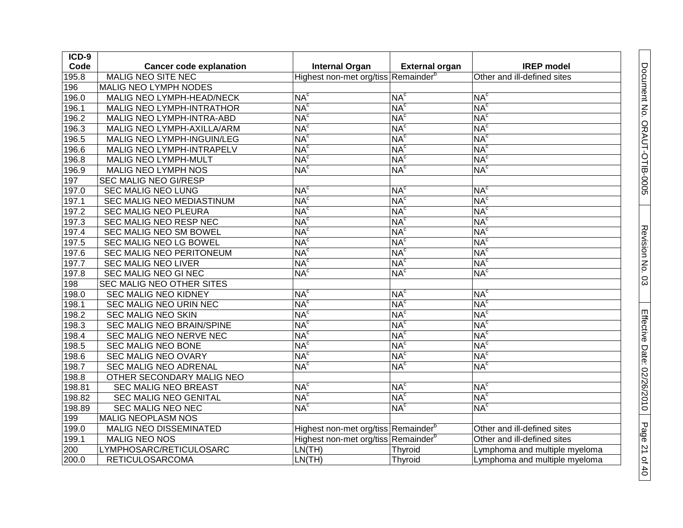| ICD-9  |                                |                                                 |                       |                               |
|--------|--------------------------------|-------------------------------------------------|-----------------------|-------------------------------|
| Code   | <b>Cancer code explanation</b> | <b>Internal Organ</b>                           | <b>External organ</b> | <b>IREP</b> model             |
| 195.8  | <b>MALIG NEO SITE NEC</b>      | Highest non-met org/tiss Remainder <sup>b</sup> |                       | Other and ill-defined sites   |
| 196    | MALIG NEO LYMPH NODES          |                                                 |                       |                               |
| 196.0  | MALIG NEO LYMPH-HEAD/NECK      | NA <sup>c</sup>                                 | NA <sup>c</sup>       | NA <sup>c</sup>               |
| 196.1  | MALIG NEO LYMPH-INTRATHOR      | NA <sup>c</sup>                                 | NA <sup>c</sup>       | NA <sup>c</sup>               |
| 196.2  | MALIG NEO LYMPH-INTRA-ABD      | NA <sup>c</sup>                                 | NA <sup>c</sup>       | NA <sup>c</sup>               |
| 196.3  | MALIG NEO LYMPH-AXILLA/ARM     | NA <sup>c</sup>                                 | NA <sup>c</sup>       | NA <sup>c</sup>               |
| 196.5  | MALIG NEO LYMPH-INGUIN/LEG     | NA <sup>c</sup>                                 | NA <sup>c</sup>       | NA <sup>c</sup>               |
| 196.6  | MALIG NEO LYMPH-INTRAPELV      | NA <sup>c</sup>                                 | NA <sup>c</sup>       | NA <sup>c</sup>               |
| 196.8  | MALIG NEO LYMPH-MULT           | NA <sup>c</sup>                                 | NA <sup>c</sup>       | NA <sup>c</sup>               |
| 196.9  | MALIG NEO LYMPH NOS            | NA <sup>c</sup>                                 | NA <sup>c</sup>       | NA <sup>c</sup>               |
| 197    | SEC MALIG NEO GI/RESP          |                                                 |                       |                               |
| 197.0  | SEC MALIG NEO LUNG             | NA <sup>c</sup>                                 | NA <sup>c</sup>       | NA <sup>c</sup>               |
| 197.1  | SEC MALIG NEO MEDIASTINUM      | NA <sup>c</sup>                                 | NA <sup>c</sup>       | NA <sup>c</sup>               |
| 197.2  | SEC MALIG NEO PLEURA           | NA <sup>c</sup>                                 | NA <sup>c</sup>       | NA <sup>c</sup>               |
| 197.3  | SEC MALIG NEO RESP NEC         | NA <sup>c</sup>                                 | NA <sup>c</sup>       | NA <sup>c</sup>               |
| 197.4  | SEC MALIG NEO SM BOWEL         | NA <sup>c</sup>                                 | NA <sup>c</sup>       | NA <sup>c</sup>               |
| 197.5  | SEC MALIG NEO LG BOWEL         | NA <sup>c</sup>                                 | NA <sup>c</sup>       | NA <sup>c</sup>               |
| 197.6  | SEC MALIG NEO PERITONEUM       | NA <sup>c</sup>                                 | NA <sup>c</sup>       | NA <sup>c</sup>               |
| 197.7  | SEC MALIG NEO LIVER            | NA <sup>c</sup>                                 | NA <sup>c</sup>       | NA <sup>c</sup>               |
| 197.8  | SEC MALIG NEO GI NEC           | NA <sup>c</sup>                                 | NA <sup>c</sup>       | NA <sup>c</sup>               |
| 198    | SEC MALIG NEO OTHER SITES      |                                                 |                       |                               |
| 198.0  | <b>SEC MALIG NEO KIDNEY</b>    | NA <sup>c</sup>                                 | NA <sup>c</sup>       | NA <sup>c</sup>               |
| 198.1  | SEC MALIG NEO URIN NEC         | NA <sup>c</sup>                                 | NA <sup>c</sup>       | NA <sup>c</sup>               |
| 198.2  | <b>SEC MALIG NEO SKIN</b>      | NA <sup>c</sup>                                 | NA <sup>c</sup>       | NA <sup>c</sup>               |
| 198.3  | SEC MALIG NEO BRAIN/SPINE      | NA <sup>c</sup>                                 | NA <sup>c</sup>       | NA <sup>c</sup>               |
| 198.4  | SEC MALIG NEO NERVE NEC        | NA <sup>c</sup>                                 | NA <sup>c</sup>       | NA <sup>c</sup>               |
| 198.5  | SEC MALIG NEO BONE             | NA <sup>c</sup>                                 | NA <sup>c</sup>       | NA <sup>c</sup>               |
| 198.6  | SEC MALIG NEO OVARY            | NA <sup>c</sup>                                 | NA <sup>c</sup>       | NA <sup>c</sup>               |
| 198.7  | <b>SEC MALIG NEO ADRENAL</b>   | NA <sup>c</sup>                                 | NA <sup>c</sup>       | NA <sup>c</sup>               |
| 198.8  | OTHER SECONDARY MALIG NEO      |                                                 |                       |                               |
| 198.81 | <b>SEC MALIG NEO BREAST</b>    | NA <sup>c</sup>                                 | NA <sup>c</sup>       | NA <sup>c</sup>               |
| 198.82 | SEC MALIG NEO GENITAL          | NA <sup>c</sup>                                 | NA <sup>c</sup>       | NA <sup>c</sup>               |
| 198.89 | SEC MALIG NEO NEC              | NA <sup>c</sup>                                 | NA <sup>c</sup>       | NA <sup>c</sup>               |
| 199    | MALIG NEOPLASM NOS             |                                                 |                       |                               |
| 199.0  | MALIG NEO DISSEMINATED         | Highest non-met org/tiss Remainder <sup>b</sup> |                       | Other and ill-defined sites   |
| 199.1  | MALIG NEO NOS                  | Highest non-met org/tiss Remainder <sup>b</sup> |                       | Other and ill-defined sites   |
| 200    | LYMPHOSARC/RETICULOSARC        | LN(TH)                                          | Thyroid               | Lymphoma and multiple myeloma |
| 200.0  | <b>RETICULOSARCOMA</b>         | LN(TH)                                          | Thyroid               | Lymphoma and multiple myeloma |

Document No. ORAUT-OTIB-0005

Revision No. 0 Revision No. 03

Effective Date:

02/26/2010

Page 21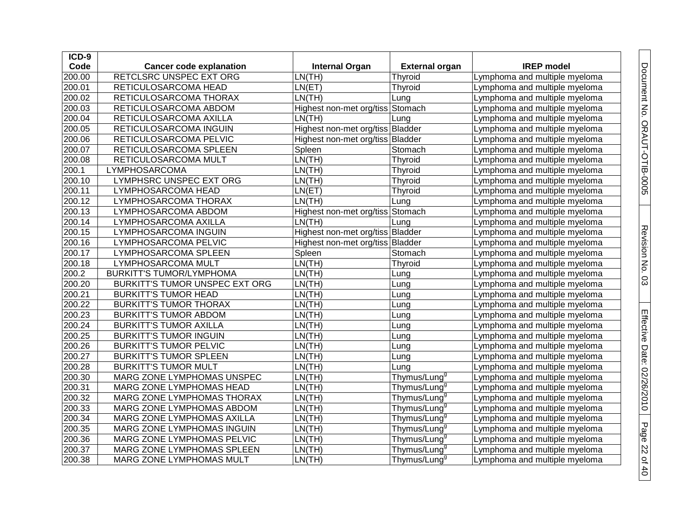| ICD-9  |                                 |                                  |                          |                               |
|--------|---------------------------------|----------------------------------|--------------------------|-------------------------------|
| Code   | <b>Cancer code explanation</b>  | <b>Internal Organ</b>            | <b>External organ</b>    | <b>IREP</b> model             |
| 200.00 | RETCLSRC UNSPEC EXT ORG         | LN(TH)                           | Thyroid                  | Lymphoma and multiple myeloma |
| 200.01 | RETICULOSARCOMA HEAD            | LN(ET)                           | Thyroid                  | Lymphoma and multiple myeloma |
| 200.02 | RETICULOSARCOMA THORAX          | LN(TH)                           | Lung                     | Lymphoma and multiple myeloma |
| 200.03 | RETICULOSARCOMA ABDOM           | Highest non-met org/tiss Stomach |                          | Lymphoma and multiple myeloma |
| 200.04 | RETICULOSARCOMA AXILLA          | LN(TH)                           | Lung                     | Lymphoma and multiple myeloma |
| 200.05 | RETICULOSARCOMA INGUIN          | Highest non-met org/tiss Bladder |                          | Lymphoma and multiple myeloma |
| 200.06 | RETICULOSARCOMA PELVIC          | Highest non-met org/tiss Bladder |                          | Lymphoma and multiple myeloma |
| 200.07 | RETICULOSARCOMA SPLEEN          | Spleen                           | Stomach                  | Lymphoma and multiple myeloma |
| 200.08 | RETICULOSARCOMA MULT            | LN(TH)                           | Thyroid                  | Lymphoma and multiple myeloma |
| 200.1  | LYMPHOSARCOMA                   | LN(TH)                           | Thyroid                  | Lymphoma and multiple myeloma |
| 200.10 | LYMPHSRC UNSPEC EXT ORG         | LN(TH)                           | Thyroid                  | Lymphoma and multiple myeloma |
| 200.11 | LYMPHOSARCOMA HEAD              | LN(ET)                           | Thyroid                  | Lymphoma and multiple myeloma |
| 200.12 | LYMPHOSARCOMA THORAX            | LN(TH)                           | Lung                     | Lymphoma and multiple myeloma |
| 200.13 | LYMPHOSARCOMA ABDOM             | Highest non-met org/tiss Stomach |                          | Lymphoma and multiple myeloma |
| 200.14 | LYMPHOSARCOMA AXILLA            | LN(TH)                           | Lung                     | Lymphoma and multiple myeloma |
| 200.15 | LYMPHOSARCOMA INGUIN            | Highest non-met org/tiss Bladder |                          | Lymphoma and multiple myeloma |
| 200.16 | LYMPHOSARCOMA PELVIC            | Highest non-met org/tiss Bladder |                          | Lymphoma and multiple myeloma |
| 200.17 | LYMPHOSARCOMA SPLEEN            | Spleen                           | Stomach                  | Lymphoma and multiple myeloma |
| 200.18 | LYMPHOSARCOMA MULT              | LN(TH)                           | Thyroid                  | Lymphoma and multiple myeloma |
| 200.2  | <b>BURKITT'S TUMOR/LYMPHOMA</b> | LN(TH)                           | Lung                     | Lymphoma and multiple myeloma |
| 200.20 | BURKITT'S TUMOR UNSPEC EXT ORG  | LN(TH)                           | Lung                     | Lymphoma and multiple myeloma |
| 200.21 | <b>BURKITT'S TUMOR HEAD</b>     | LN(TH)                           | Lung                     | Lymphoma and multiple myeloma |
| 200.22 | <b>BURKITT'S TUMOR THORAX</b>   | LN(TH)                           | Lung                     | Lymphoma and multiple myeloma |
| 200.23 | <b>BURKITT'S TUMOR ABDOM</b>    | LN(TH)                           | Lung                     | Lymphoma and multiple myeloma |
| 200.24 | <b>BURKITT'S TUMOR AXILLA</b>   | LN(TH)                           | Lung                     | Lymphoma and multiple myeloma |
| 200.25 | <b>BURKITT'S TUMOR INGUIN</b>   | LN(TH)                           | Lung                     | Lymphoma and multiple myeloma |
| 200.26 | <b>BURKITT'S TUMOR PELVIC</b>   | LN(TH)                           | Lung                     | Lymphoma and multiple myeloma |
| 200.27 | <b>BURKITT'S TUMOR SPLEEN</b>   | LN(TH)                           | Lung                     | Lymphoma and multiple myeloma |
| 200.28 | <b>BURKITT'S TUMOR MULT</b>     | LN(TH)                           | Lung                     | Lymphoma and multiple myeloma |
| 200.30 | MARG ZONE LYMPHOMAS UNSPEC      | LN(TH)                           | Thymus/Lung <sup>g</sup> | Lymphoma and multiple myeloma |
| 200.31 | MARG ZONE LYMPHOMAS HEAD        | LN(TH)                           | Thymus/Lung <sup>9</sup> | Lymphoma and multiple myeloma |
| 200.32 | MARG ZONE LYMPHOMAS THORAX      | LN(TH)                           | Thymus/Lung <sup>9</sup> | Lymphoma and multiple myeloma |
| 200.33 | MARG ZONE LYMPHOMAS ABDOM       | LN(TH)                           | Thymus/Lung <sup>9</sup> | Lymphoma and multiple myeloma |
| 200.34 | MARG ZONE LYMPHOMAS AXILLA      | LN(TH)                           | Thymus/Lung <sup>9</sup> | Lymphoma and multiple myeloma |
| 200.35 | MARG ZONE LYMPHOMAS INGUIN      | LN(TH)                           | Thymus/Lung <sup>9</sup> | Lymphoma and multiple myeloma |
| 200.36 | MARG ZONE LYMPHOMAS PELVIC      | LN(TH)                           | Thymus/Lung <sup>9</sup> | Lymphoma and multiple myeloma |
| 200.37 | MARG ZONE LYMPHOMAS SPLEEN      | LN(TH)                           | Thymus/Lung <sup>9</sup> | Lymphoma and multiple myeloma |
| 200.38 | MARG ZONE LYMPHOMAS MULT        | LN(TH)                           | Thymus/Lung <sup>9</sup> | Lymphoma and multiple myeloma |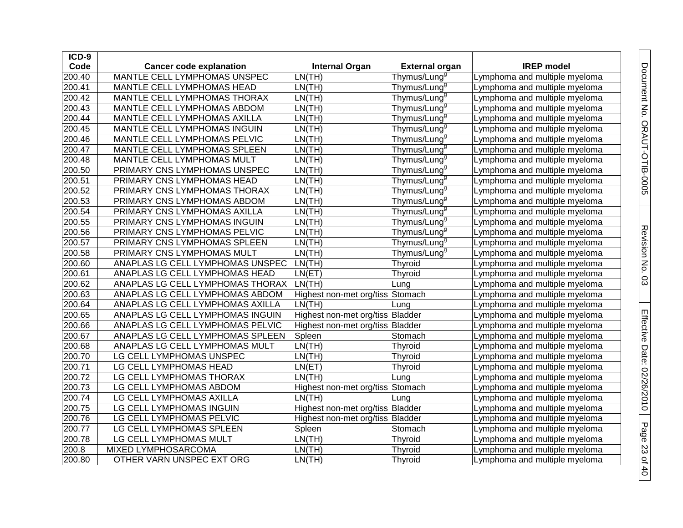| ICD-9  |                                  |                                  |                          |                               |
|--------|----------------------------------|----------------------------------|--------------------------|-------------------------------|
| Code   | <b>Cancer code explanation</b>   | <b>Internal Organ</b>            | <b>External organ</b>    | <b>IREP</b> model             |
| 200.40 | MANTLE CELL LYMPHOMAS UNSPEC     | LN(TH)                           | Thymus/Lung <sup>9</sup> | Lymphoma and multiple myeloma |
| 200.41 | MANTLE CELL LYMPHOMAS HEAD       | LN(TH)                           | Thymus/Lung <sup>9</sup> | Lymphoma and multiple myeloma |
| 200.42 | MANTLE CELL LYMPHOMAS THORAX     | LN(TH)                           | Thymus/Lung <sup>9</sup> | Lymphoma and multiple myeloma |
| 200.43 | MANTLE CELL LYMPHOMAS ABDOM      | LN(TH)                           | Thymus/Lung <sup>9</sup> | Lymphoma and multiple myeloma |
| 200.44 | MANTLE CELL LYMPHOMAS AXILLA     | LN(TH)                           | Thymus/Lung <sup>9</sup> | Lymphoma and multiple myeloma |
| 200.45 | MANTLE CELL LYMPHOMAS INGUIN     | LN(TH)                           | Thymus/Lung <sup>9</sup> | Lymphoma and multiple myeloma |
| 200.46 | MANTLE CELL LYMPHOMAS PELVIC     | LN(TH)                           | Thymus/Lung <sup>9</sup> | Lymphoma and multiple myeloma |
| 200.47 | MANTLE CELL LYMPHOMAS SPLEEN     | LN(TH)                           | Thymus/Lung <sup>9</sup> | Lymphoma and multiple myeloma |
| 200.48 | MANTLE CELL LYMPHOMAS MULT       | LN(TH)                           | Thymus/Lung <sup>9</sup> | Lymphoma and multiple myeloma |
| 200.50 | PRIMARY CNS LYMPHOMAS UNSPEC     | LN(TH)                           | Thymus/Lung <sup>9</sup> | Lymphoma and multiple myeloma |
| 200.51 | PRIMARY CNS LYMPHOMAS HEAD       | LN(TH)                           | Thymus/Lung <sup>9</sup> | Lymphoma and multiple myeloma |
| 200.52 | PRIMARY CNS LYMPHOMAS THORAX     | LN(TH)                           | Thymus/Lung <sup>9</sup> | Lymphoma and multiple myeloma |
| 200.53 | PRIMARY CNS LYMPHOMAS ABDOM      | LN(TH)                           | Thymus/Lung <sup>9</sup> | Lymphoma and multiple myeloma |
| 200.54 | PRIMARY CNS LYMPHOMAS AXILLA     | LN(TH)                           | Thymus/Lung <sup>9</sup> | Lymphoma and multiple myeloma |
| 200.55 | PRIMARY CNS LYMPHOMAS INGUIN     | LN(TH)                           | Thymus/Lung <sup>9</sup> | Lymphoma and multiple myeloma |
| 200.56 | PRIMARY CNS LYMPHOMAS PELVIC     | LN(TH)                           | Thymus/Lung <sup>9</sup> | Lymphoma and multiple myeloma |
| 200.57 | PRIMARY CNS LYMPHOMAS SPLEEN     | LN(TH)                           | Thymus/Lung <sup>9</sup> | Lymphoma and multiple myeloma |
| 200.58 | PRIMARY CNS LYMPHOMAS MULT       | LN(TH)                           | Thymus/Lung <sup>9</sup> | Lymphoma and multiple myeloma |
| 200.60 | ANAPLAS LG CELL LYMPHOMAS UNSPEC | LN(TH)                           | Thyroid                  | Lymphoma and multiple myeloma |
| 200.61 | ANAPLAS LG CELL LYMPHOMAS HEAD   | LN(ET)                           | Thyroid                  | Lymphoma and multiple myeloma |
| 200.62 | ANAPLAS LG CELL LYMPHOMAS THORAX | LN(TH)                           | Lung                     | Lymphoma and multiple myeloma |
| 200.63 | ANAPLAS LG CELL LYMPHOMAS ABDOM  | Highest non-met org/tiss Stomach |                          | Lymphoma and multiple myeloma |
| 200.64 | ANAPLAS LG CELL LYMPHOMAS AXILLA | LN(TH)                           | Lung                     | Lymphoma and multiple myeloma |
| 200.65 | ANAPLAS LG CELL LYMPHOMAS INGUIN | Highest non-met org/tiss Bladder |                          | Lymphoma and multiple myeloma |
| 200.66 | ANAPLAS LG CELL LYMPHOMAS PELVIC | Highest non-met org/tiss Bladder |                          | Lymphoma and multiple myeloma |
| 200.67 | ANAPLAS LG CELL LYMPHOMAS SPLEEN | Spleen                           | Stomach                  | Lymphoma and multiple myeloma |
| 200.68 | ANAPLAS LG CELL LYMPHOMAS MULT   | LN(TH)                           | Thyroid                  | Lymphoma and multiple myeloma |
| 200.70 | LG CELL LYMPHOMAS UNSPEC         | LN(TH)                           | Thyroid                  | Lymphoma and multiple myeloma |
| 200.71 | LG CELL LYMPHOMAS HEAD           | LN(ET)                           | Thyroid                  | Lymphoma and multiple myeloma |
| 200.72 | LG CELL LYMPHOMAS THORAX         | LN(TH)                           | Lung                     | Lymphoma and multiple myeloma |
| 200.73 | LG CELL LYMPHOMAS ABDOM          | Highest non-met org/tiss Stomach |                          | Lymphoma and multiple myeloma |
| 200.74 | LG CELL LYMPHOMAS AXILLA         | LN(TH)                           | Lung                     | Lymphoma and multiple myeloma |
| 200.75 | LG CELL LYMPHOMAS INGUIN         | Highest non-met org/tiss Bladder |                          | Lymphoma and multiple myeloma |
| 200.76 | LG CELL LYMPHOMAS PELVIC         | Highest non-met org/tiss Bladder |                          | Lymphoma and multiple myeloma |
| 200.77 | LG CELL LYMPHOMAS SPLEEN         | Spleen                           | Stomach                  | Lymphoma and multiple myeloma |
| 200.78 | LG CELL LYMPHOMAS MULT           | LN(TH)                           | Thyroid                  | Lymphoma and multiple myeloma |
| 200.8  | MIXED LYMPHOSARCOMA              | LN(TH)                           | Thyroid                  | Lymphoma and multiple myeloma |
| 200.80 | OTHER VARN UNSPEC EXT ORG        | LN(TH)                           | Thyroid                  | Lymphoma and multiple myeloma |

Document No. ORAUT-OTIB-0005

Revision No. 0 Revision No. 03

Effective Date:

02/26/2010

Page 23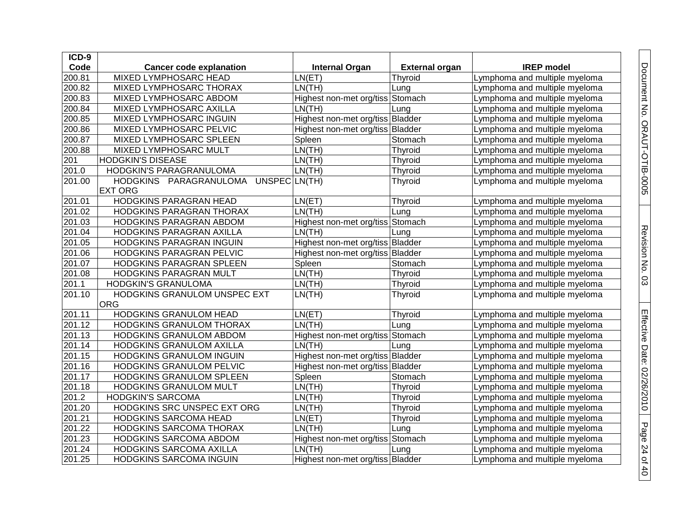| $ICD-9$ |                                     |                                  |                       |                               |
|---------|-------------------------------------|----------------------------------|-----------------------|-------------------------------|
| Code    | <b>Cancer code explanation</b>      | <b>Internal Organ</b>            | <b>External organ</b> | <b>IREP</b> model             |
| 200.81  | <b>MIXED LYMPHOSARC HEAD</b>        | LN(ET)                           | Thyroid               | Lymphoma and multiple myeloma |
| 200.82  | MIXED LYMPHOSARC THORAX             | LN(TH)                           | Lung                  | Lymphoma and multiple myeloma |
| 200.83  | MIXED LYMPHOSARC ABDOM              | Highest non-met org/tiss Stomach |                       | Lymphoma and multiple myeloma |
| 200.84  | MIXED LYMPHOSARC AXILLA             | LN(TH)                           | Lung                  | Lymphoma and multiple myeloma |
| 200.85  | <b>MIXED LYMPHOSARC INGUIN</b>      | Highest non-met org/tiss Bladder |                       | Lymphoma and multiple myeloma |
| 200.86  | MIXED LYMPHOSARC PELVIC             | Highest non-met org/tiss Bladder |                       | Lymphoma and multiple myeloma |
| 200.87  | MIXED LYMPHOSARC SPLEEN             | Spleen                           | Stomach               | Lymphoma and multiple myeloma |
| 200.88  | MIXED LYMPHOSARC MULT               | LN(TH)                           | <b>Thyroid</b>        | Lymphoma and multiple myeloma |
| 201     | <b>HODGKIN'S DISEASE</b>            | LN(TH)                           | Thyroid               | Lymphoma and multiple myeloma |
| 201.0   | HODGKIN'S PARAGRANULOMA             | LN(TH)                           | Thyroid               | Lymphoma and multiple myeloma |
| 201.00  | HODGKINS PARAGRANULOMA UNSPECLN(TH) |                                  | Thyroid               | Lymphoma and multiple myeloma |
|         | <b>EXT ORG</b>                      |                                  |                       |                               |
| 201.01  | HODGKINS PARAGRAN HEAD              | LN(ET)                           | Thyroid               | Lymphoma and multiple myeloma |
| 201.02  | HODGKINS PARAGRAN THORAX            | LN(TH)                           | Lung                  | Lymphoma and multiple myeloma |
| 201.03  | HODGKINS PARAGRAN ABDOM             | Highest non-met org/tiss Stomach |                       | Lymphoma and multiple myeloma |
| 201.04  | HODGKINS PARAGRAN AXILLA            | LN(TH)                           | Lung                  | Lymphoma and multiple myeloma |
| 201.05  | HODGKINS PARAGRAN INGUIN            | Highest non-met org/tiss Bladder |                       | Lymphoma and multiple myeloma |
| 201.06  | HODGKINS PARAGRAN PELVIC            | Highest non-met org/tiss Bladder |                       | Lymphoma and multiple myeloma |
| 201.07  | HODGKINS PARAGRAN SPLEEN            | Spleen                           | Stomach               | Lymphoma and multiple myeloma |
| 201.08  | <b>HODGKINS PARAGRAN MULT</b>       | LN(TH)                           | Thyroid               | Lymphoma and multiple myeloma |
| 201.1   | HODGKIN'S GRANULOMA                 | LN(TH)                           | Thyroid               | Lymphoma and multiple myeloma |
| 201.10  | HODGKINS GRANULOM UNSPEC EXT        | LN(TH)                           | Thyroid               | Lymphoma and multiple myeloma |
|         | ORG                                 |                                  |                       |                               |
| 201.11  | <b>HODGKINS GRANULOM HEAD</b>       | LN(ET)                           | Thyroid               | Lymphoma and multiple myeloma |
| 201.12  | HODGKINS GRANULOM THORAX            | LN(TH)                           | Lung                  | Lymphoma and multiple myeloma |
| 201.13  | HODGKINS GRANULOM ABDOM             | Highest non-met org/tiss Stomach |                       | Lymphoma and multiple myeloma |
| 201.14  | HODGKINS GRANULOM AXILLA            | LN(TH)                           | Lung                  | Lymphoma and multiple myeloma |
| 201.15  | HODGKINS GRANULOM INGUIN            | Highest non-met org/tiss Bladder |                       | Lymphoma and multiple myeloma |
| 201.16  | <b>HODGKINS GRANULOM PELVIC</b>     | Highest non-met org/tiss Bladder |                       | Lymphoma and multiple myeloma |
| 201.17  | <b>HODGKINS GRANULOM SPLEEN</b>     | Spleen                           | Stomach               | Lymphoma and multiple myeloma |
| 201.18  | HODGKINS GRANULOM MULT              | LN(TH)                           | Thyroid               | Lymphoma and multiple myeloma |
| 201.2   | <b>HODGKIN'S SARCOMA</b>            | LN(TH)                           | Thyroid               | Lymphoma and multiple myeloma |
| 201.20  | HODGKINS SRC UNSPEC EXT ORG         | LN(TH)                           | Thyroid               | Lymphoma and multiple myeloma |
| 201.21  | <b>HODGKINS SARCOMA HEAD</b>        | LN(ET)                           | <b>Thyroid</b>        | Lymphoma and multiple myeloma |
| 201.22  | HODGKINS SARCOMA THORAX             | LN(TH)                           | Lung                  | Lymphoma and multiple myeloma |
| 201.23  | HODGKINS SARCOMA ABDOM              | Highest non-met org/tiss Stomach |                       | Lymphoma and multiple myeloma |
| 201.24  | HODGKINS SARCOMA AXILLA             | LN(TH)                           | Lung                  | Lymphoma and multiple myeloma |
| 201.25  | HODGKINS SARCOMA INGUIN             | Highest non-met org/tiss Bladder |                       | Lymphoma and multiple myeloma |

Document No. ORAUT-OTIB-0005 Document No. ORAUT-OTIB-0005

Page 24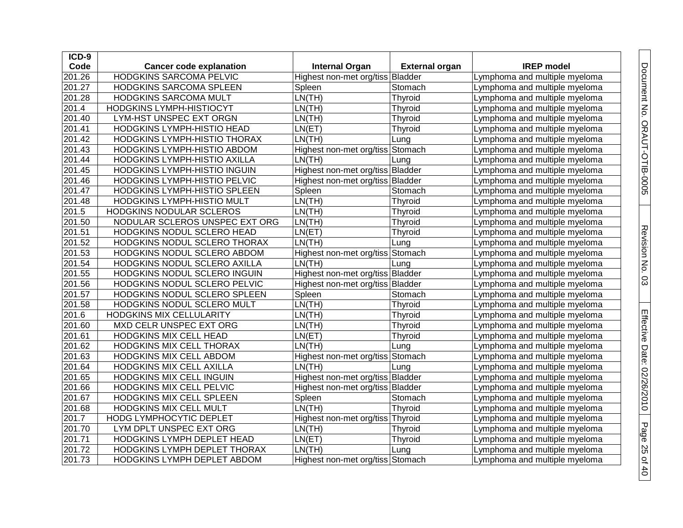| ICD-9  |                                |                                  |                       |                               |
|--------|--------------------------------|----------------------------------|-----------------------|-------------------------------|
| Code   | <b>Cancer code explanation</b> | <b>Internal Organ</b>            | <b>External organ</b> | <b>IREP</b> model             |
| 201.26 | HODGKINS SARCOMA PELVIC        | Highest non-met org/tiss Bladder |                       | Lymphoma and multiple myeloma |
| 201.27 | HODGKINS SARCOMA SPLEEN        | Spleen                           | Stomach               | Lymphoma and multiple myeloma |
| 201.28 | HODGKINS SARCOMA MULT          | LN(TH)                           | Thyroid               | Lymphoma and multiple myeloma |
| 201.4  | HODGKINS LYMPH-HISTIOCYT       | LN(TH)                           | Thyroid               | Lymphoma and multiple myeloma |
| 201.40 | LYM-HST UNSPEC EXT ORGN        | LN(TH)                           | Thyroid               | Lymphoma and multiple myeloma |
| 201.41 | HODGKINS LYMPH-HISTIO HEAD     | LN(ET)                           | Thyroid               | Lymphoma and multiple myeloma |
| 201.42 | HODGKINS LYMPH-HISTIO THORAX   | LN(TH)                           | Lung                  | Lymphoma and multiple myeloma |
| 201.43 | HODGKINS LYMPH-HISTIO ABDOM    | Highest non-met org/tiss Stomach |                       | Lymphoma and multiple myeloma |
| 201.44 | HODGKINS LYMPH-HISTIO AXILLA   | LN(TH)                           | Lung                  | Lymphoma and multiple myeloma |
| 201.45 | HODGKINS LYMPH-HISTIO INGUIN   | Highest non-met org/tiss Bladder |                       | Lymphoma and multiple myeloma |
| 201.46 | HODGKINS LYMPH-HISTIO PELVIC   | Highest non-met org/tiss Bladder |                       | Lymphoma and multiple myeloma |
| 201.47 | HODGKINS LYMPH-HISTIO SPLEEN   | Spleen                           | Stomach               | Lymphoma and multiple myeloma |
| 201.48 | HODGKINS LYMPH-HISTIO MULT     | LN(TH)                           | Thyroid               | Lymphoma and multiple myeloma |
| 201.5  | HODGKINS NODULAR SCLEROS       | LN(TH)                           | Thyroid               | Lymphoma and multiple myeloma |
| 201.50 | NODULAR SCLEROS UNSPEC EXT ORG | LN(TH)                           | Thyroid               | Lymphoma and multiple myeloma |
| 201.51 | HODGKINS NODUL SCLERO HEAD     | LN(ET)                           | Thyroid               | Lymphoma and multiple myeloma |
| 201.52 | HODGKINS NODUL SCLERO THORAX   | LN(TH)                           | Lung                  | Lymphoma and multiple myeloma |
| 201.53 | HODGKINS NODUL SCLERO ABDOM    | Highest non-met org/tiss Stomach |                       | Lymphoma and multiple myeloma |
| 201.54 | HODGKINS NODUL SCLERO AXILLA   | LN(TH)                           | Lung                  | Lymphoma and multiple myeloma |
| 201.55 | HODGKINS NODUL SCLERO INGUIN   | Highest non-met org/tiss Bladder |                       | Lymphoma and multiple myeloma |
| 201.56 | HODGKINS NODUL SCLERO PELVIC   | Highest non-met org/tiss Bladder |                       | Lymphoma and multiple myeloma |
| 201.57 | HODGKINS NODUL SCLERO SPLEEN   | Spleen                           | Stomach               | Lymphoma and multiple myeloma |
| 201.58 | HODGKINS NODUL SCLERO MULT     | LN(TH)                           | Thyroid               | Lymphoma and multiple myeloma |
| 201.6  | HODGKINS MIX CELLULARITY       | LN(TH)                           | Thyroid               | Lymphoma and multiple myeloma |
| 201.60 | MXD CELR UNSPEC EXT ORG        | LN(TH)                           | Thyroid               | Lymphoma and multiple myeloma |
| 201.61 | <b>HODGKINS MIX CELL HEAD</b>  | LN(ET)                           | Thyroid               | Lymphoma and multiple myeloma |
| 201.62 | HODGKINS MIX CELL THORAX       | LN(TH)                           | Lung                  | Lymphoma and multiple myeloma |
| 201.63 | HODGKINS MIX CELL ABDOM        | Highest non-met org/tiss Stomach |                       | Lymphoma and multiple myeloma |
| 201.64 | HODGKINS MIX CELL AXILLA       | LN(TH)                           | Lung                  | Lymphoma and multiple myeloma |
| 201.65 | HODGKINS MIX CELL INGUIN       | Highest non-met org/tiss Bladder |                       | Lymphoma and multiple myeloma |
| 201.66 | HODGKINS MIX CELL PELVIC       | Highest non-met org/tiss Bladder |                       | Lymphoma and multiple myeloma |
| 201.67 | HODGKINS MIX CELL SPLEEN       | Spleen                           | Stomach               | Lymphoma and multiple myeloma |
| 201.68 | HODGKINS MIX CELL MULT         | LN(TH)                           | Thyroid               | Lymphoma and multiple myeloma |
| 201.7  | HODG LYMPHOCYTIC DEPLET        | Highest non-met org/tiss Thyroid |                       | Lymphoma and multiple myeloma |
| 201.70 | LYM DPLT UNSPEC EXT ORG        | LN(TH)                           | Thyroid               | Lymphoma and multiple myeloma |
| 201.71 | HODGKINS LYMPH DEPLET HEAD     | LN(ET)                           | Thyroid               | Lymphoma and multiple myeloma |
| 201.72 | HODGKINS LYMPH DEPLET THORAX   | LN(TH)                           | Lung                  | Lymphoma and multiple myeloma |
| 201.73 | HODGKINS LYMPH DEPLET ABDOM    | Highest non-met org/tiss Stomach |                       | Lymphoma and multiple myeloma |

Document No. ORAUT-OTIB-0005

Revision No. 0 Revision No. 03

Effective Date:

02/26/2010

Page 25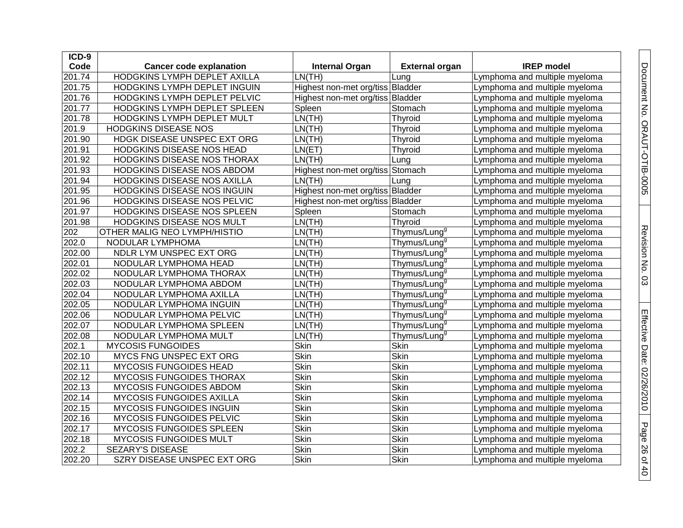| ICD-9  |                                     |                                  |                          |                               |
|--------|-------------------------------------|----------------------------------|--------------------------|-------------------------------|
| Code   | <b>Cancer code explanation</b>      | <b>Internal Organ</b>            | <b>External organ</b>    | <b>IREP</b> model             |
| 201.74 | HODGKINS LYMPH DEPLET AXILLA        | LN(TH)                           | Lung                     | Lymphoma and multiple myeloma |
| 201.75 | HODGKINS LYMPH DEPLET INGUIN        | Highest non-met org/tiss Bladder |                          | Lymphoma and multiple myeloma |
| 201.76 | HODGKINS LYMPH DEPLET PELVIC        | Highest non-met org/tiss Bladder |                          | Lymphoma and multiple myeloma |
| 201.77 | HODGKINS LYMPH DEPLET SPLEEN        | Spleen                           | Stomach                  | Lymphoma and multiple myeloma |
| 201.78 | HODGKINS LYMPH DEPLET MULT          | LN(TH)                           | Thyroid                  | Lymphoma and multiple myeloma |
| 201.9  | <b>HODGKINS DISEASE NOS</b>         | LN(TH)                           | Thyroid                  | Lymphoma and multiple myeloma |
| 201.90 | HDGK DISEASE UNSPEC EXT ORG         | LN(TH)                           | <b>Thyroid</b>           | Lymphoma and multiple myeloma |
| 201.91 | HODGKINS DISEASE NOS HEAD           | LN(ET)                           | Thyroid                  | Lymphoma and multiple myeloma |
| 201.92 | HODGKINS DISEASE NOS THORAX         | LN(TH)                           | Lung                     | Lymphoma and multiple myeloma |
| 201.93 | HODGKINS DISEASE NOS ABDOM          | Highest non-met org/tiss Stomach |                          | Lymphoma and multiple myeloma |
| 201.94 | HODGKINS DISEASE NOS AXILLA         | LN(TH)                           | Lung                     | Lymphoma and multiple myeloma |
| 201.95 | HODGKINS DISEASE NOS INGUIN         | Highest non-met org/tiss Bladder |                          | Lymphoma and multiple myeloma |
| 201.96 | HODGKINS DISEASE NOS PELVIC         | Highest non-met org/tiss Bladder |                          | Lymphoma and multiple myeloma |
| 201.97 | HODGKINS DISEASE NOS SPLEEN         | Spleen                           | Stomach                  | Lymphoma and multiple myeloma |
| 201.98 | HODGKINS DISEASE NOS MULT           | LN(TH)                           | Thyroid                  | Lymphoma and multiple myeloma |
| 202    | <b>OTHER MALIG NEO LYMPH/HISTIO</b> | LN(TH)                           | Thymus/Lung <sup>9</sup> | Lymphoma and multiple myeloma |
| 202.0  | NODULAR LYMPHOMA                    | LN(TH)                           | Thymus/Lung <sup>9</sup> | Lymphoma and multiple myeloma |
| 202.00 | NDLR LYM UNSPEC EXT ORG             | LN(TH)                           | Thymus/Lung <sup>9</sup> | Lymphoma and multiple myeloma |
| 202.01 | NODULAR LYMPHOMA HEAD               | LN(TH)                           | Thymus/Lung <sup>g</sup> | Lymphoma and multiple myeloma |
| 202.02 | NODULAR LYMPHOMA THORAX             | LN(TH)                           | Thymus/Lung <sup>g</sup> | Lymphoma and multiple myeloma |
| 202.03 | NODULAR LYMPHOMA ABDOM              | LN(TH)                           | Thymus/Lung <sup>9</sup> | Lymphoma and multiple myeloma |
| 202.04 | NODULAR LYMPHOMA AXILLA             | LN(TH)                           | Thymus/Lung <sup>9</sup> | Lymphoma and multiple myeloma |
| 202.05 | NODULAR LYMPHOMA INGUIN             | LN(TH)                           | Thymus/Lung <sup>9</sup> | Lymphoma and multiple myeloma |
| 202.06 | NODULAR LYMPHOMA PELVIC             | LN(TH)                           | Thymus/Lung <sup>9</sup> | Lymphoma and multiple myeloma |
| 202.07 | NODULAR LYMPHOMA SPLEEN             | LN(TH)                           | Thymus/Lung <sup>9</sup> | Lymphoma and multiple myeloma |
| 202.08 | NODULAR LYMPHOMA MULT               | LN(TH)                           | Thymus/Lung <sup>9</sup> | Lymphoma and multiple myeloma |
| 202.1  | <b>MYCOSIS FUNGOIDES</b>            | Skin                             | Skin                     | Lymphoma and multiple myeloma |
| 202.10 | MYCS FNG UNSPEC EXT ORG             | <b>Skin</b>                      | <b>Skin</b>              | Lymphoma and multiple myeloma |
| 202.11 | MYCOSIS FUNGOIDES HEAD              | Skin                             | Skin                     | Lymphoma and multiple myeloma |
| 202.12 | MYCOSIS FUNGOIDES THORAX            | Skin                             | Skin                     | Lymphoma and multiple myeloma |
| 202.13 | MYCOSIS FUNGOIDES ABDOM             | Skin                             | <b>Skin</b>              | Lymphoma and multiple myeloma |
| 202.14 | <b>MYCOSIS FUNGOIDES AXILLA</b>     | Skin                             | Skin                     | Lymphoma and multiple myeloma |
| 202.15 | <b>MYCOSIS FUNGOIDES INGUIN</b>     | Skin                             | Skin                     | Lymphoma and multiple myeloma |
| 202.16 | MYCOSIS FUNGOIDES PELVIC            | Skin                             | Skin                     | Lymphoma and multiple myeloma |
| 202.17 | MYCOSIS FUNGOIDES SPLEEN            | <b>Skin</b>                      | <b>Skin</b>              | Lymphoma and multiple myeloma |
| 202.18 | <b>MYCOSIS FUNGOIDES MULT</b>       | Skin                             | Skin                     | Lymphoma and multiple myeloma |
| 202.2  | SEZARY'S DISEASE                    | Skin                             | Skin                     | Lymphoma and multiple myeloma |
| 202.20 | SZRY DISEASE UNSPEC EXT ORG         | Skin                             | Skin                     | Lymphoma and multiple myeloma |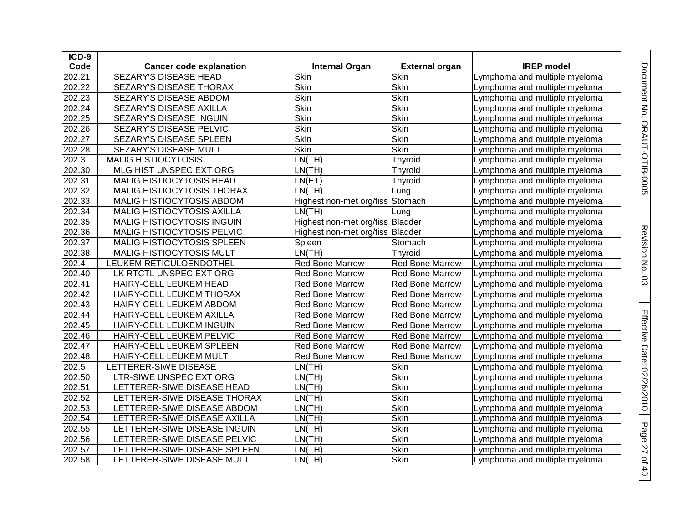| ICD-9  |                                |                                  |                        |                               |
|--------|--------------------------------|----------------------------------|------------------------|-------------------------------|
| Code   | <b>Cancer code explanation</b> | <b>Internal Organ</b>            | <b>External organ</b>  | <b>IREP</b> model             |
| 202.21 | <b>SEZARY'S DISEASE HEAD</b>   | Skin                             | Skin                   | Lymphoma and multiple myeloma |
| 202.22 | SEZARY'S DISEASE THORAX        | Skin                             | <b>Skin</b>            | Lymphoma and multiple myeloma |
| 202.23 | SEZARY'S DISEASE ABDOM         | Skin                             | Skin                   | Lymphoma and multiple myeloma |
| 202.24 | SEZARY'S DISEASE AXILLA        | <b>Skin</b>                      | Skin                   | Lymphoma and multiple myeloma |
| 202.25 | SEZARY'S DISEASE INGUIN        | Skin                             | Skin                   | Lymphoma and multiple myeloma |
| 202.26 | SEZARY'S DISEASE PELVIC        | <b>Skin</b>                      | <b>Skin</b>            | Lymphoma and multiple myeloma |
| 202.27 | SEZARY'S DISEASE SPLEEN        | Skin                             | <b>Skin</b>            | Lymphoma and multiple myeloma |
| 202.28 | SEZARY'S DISEASE MULT          | Skin                             | <b>Skin</b>            | Lymphoma and multiple myeloma |
| 202.3  | <b>MALIG HISTIOCYTOSIS</b>     | LN(TH)                           | Thyroid                | Lymphoma and multiple myeloma |
| 202.30 | MLG HIST UNSPEC EXT ORG        | LN(TH)                           | Thyroid                | Lymphoma and multiple myeloma |
| 202.31 | MALIG HISTIOCYTOSIS HEAD       | LN(ET)                           | Thyroid                | Lymphoma and multiple myeloma |
| 202.32 | MALIG HISTIOCYTOSIS THORAX     | LN(TH)                           | Lung                   | Lymphoma and multiple myeloma |
| 202.33 | MALIG HISTIOCYTOSIS ABDOM      | Highest non-met org/tiss Stomach |                        | Lymphoma and multiple myeloma |
| 202.34 | MALIG HISTIOCYTOSIS AXILLA     | LN(TH)                           | Lung                   | Lymphoma and multiple myeloma |
| 202.35 | MALIG HISTIOCYTOSIS INGUIN     | Highest non-met org/tiss Bladder |                        | Lymphoma and multiple myeloma |
| 202.36 | MALIG HISTIOCYTOSIS PELVIC     | Highest non-met org/tiss Bladder |                        | Lymphoma and multiple myeloma |
| 202.37 | MALIG HISTIOCYTOSIS SPLEEN     | Spleen                           | Stomach                | Lymphoma and multiple myeloma |
| 202.38 | MALIG HISTIOCYTOSIS MULT       | LN(TH)                           | Thyroid                | Lymphoma and multiple myeloma |
| 202.4  | LEUKEM RETICULOENDOTHEL        | <b>Red Bone Marrow</b>           | Red Bone Marrow        | Lymphoma and multiple myeloma |
| 202.40 | LK RTCTL UNSPEC EXT ORG        | <b>Red Bone Marrow</b>           | Red Bone Marrow        | Lymphoma and multiple myeloma |
| 202.41 | HAIRY-CELL LEUKEM HEAD         | Red Bone Marrow                  | Red Bone Marrow        | Lymphoma and multiple myeloma |
| 202.42 | HAIRY-CELL LEUKEM THORAX       | <b>Red Bone Marrow</b>           | Red Bone Marrow        | Lymphoma and multiple myeloma |
| 202.43 | HAIRY-CELL LEUKEM ABDOM        | <b>Red Bone Marrow</b>           | <b>Red Bone Marrow</b> | Lymphoma and multiple myeloma |
| 202.44 | HAIRY-CELL LEUKEM AXILLA       | Red Bone Marrow                  | Red Bone Marrow        | Lymphoma and multiple myeloma |
| 202.45 | HAIRY-CELL LEUKEM INGUIN       | <b>Red Bone Marrow</b>           | Red Bone Marrow        | Lymphoma and multiple myeloma |
| 202.46 | HAIRY-CELL LEUKEM PELVIC       | Red Bone Marrow                  | Red Bone Marrow        | Lymphoma and multiple myeloma |
| 202.47 | HAIRY-CELL LEUKEM SPLEEN       | Red Bone Marrow                  | Red Bone Marrow        | Lymphoma and multiple myeloma |
| 202.48 | HAIRY-CELL LEUKEM MULT         | Red Bone Marrow                  | Red Bone Marrow        | Lymphoma and multiple myeloma |
| 202.5  | LETTERER-SIWE DISEASE          | LN(TH)                           | Skin                   | Lymphoma and multiple myeloma |
| 202.50 | LTR-SIWE UNSPEC EXT ORG        | LN(TH)                           | <b>Skin</b>            | Lymphoma and multiple myeloma |
| 202.51 | LETTERER-SIWE DISEASE HEAD     | LN(TH)                           | Skin                   | Lymphoma and multiple myeloma |
| 202.52 | LETTERER-SIWE DISEASE THORAX   | LN(TH)                           | <b>Skin</b>            | Lymphoma and multiple myeloma |
| 202.53 | LETTERER-SIWE DISEASE ABDOM    | LN(TH)                           | <b>Skin</b>            | Lymphoma and multiple myeloma |
| 202.54 | LETTERER-SIWE DISEASE AXILLA   | LN(TH)                           | <b>Skin</b>            | Lymphoma and multiple myeloma |
| 202.55 | LETTERER-SIWE DISEASE INGUIN   | LN(TH)                           | Skin                   | Lymphoma and multiple myeloma |
| 202.56 | LETTERER-SIWE DISEASE PELVIC   | LN(TH)                           | <b>Skin</b>            | Lymphoma and multiple myeloma |
| 202.57 | LETTERER-SIWE DISEASE SPLEEN   | LN(TH)                           | Skin                   | Lymphoma and multiple myeloma |
| 202.58 | LETTERER-SIWE DISEASE MULT     | LN(TH)                           | Skin                   | Lymphoma and multiple myeloma |

Document No. ORAUT-OTIB-0005

Revision No. 0 Revision No. 03

Effective Date:

02/26/2010

Page 27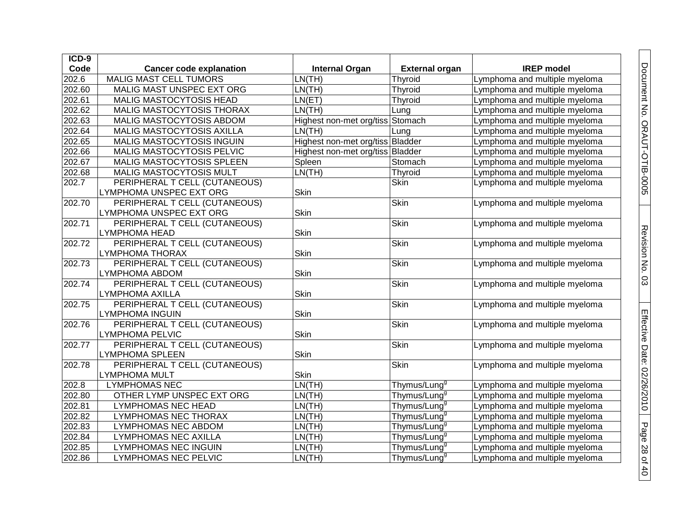| $ICD-9$ |                                |                                  |                          |                               |
|---------|--------------------------------|----------------------------------|--------------------------|-------------------------------|
| Code    | <b>Cancer code explanation</b> | <b>Internal Organ</b>            | <b>External organ</b>    | <b>IREP</b> model             |
| 202.6   | <b>MALIG MAST CELL TUMORS</b>  | LN(TH)                           | Thyroid                  | Lymphoma and multiple myeloma |
| 202.60  | MALIG MAST UNSPEC EXT ORG      | LN(TH)                           | Thyroid                  | Lymphoma and multiple myeloma |
| 202.61  | <b>MALIG MASTOCYTOSIS HEAD</b> | LN(ET)                           | Thyroid                  | Lymphoma and multiple myeloma |
| 202.62  | MALIG MASTOCYTOSIS THORAX      | LN(TH)                           | Lung                     | Lymphoma and multiple myeloma |
| 202.63  | MALIG MASTOCYTOSIS ABDOM       | Highest non-met org/tiss Stomach |                          | Lymphoma and multiple myeloma |
| 202.64  | MALIG MASTOCYTOSIS AXILLA      | LN(TH)                           | Lung                     | Lymphoma and multiple myeloma |
| 202.65  | MALIG MASTOCYTOSIS INGUIN      | Highest non-met org/tiss Bladder |                          | Lymphoma and multiple myeloma |
| 202.66  | MALIG MASTOCYTOSIS PELVIC      | Highest non-met org/tiss Bladder |                          | Lymphoma and multiple myeloma |
| 202.67  | MALIG MASTOCYTOSIS SPLEEN      | Spleen                           | Stomach                  | Lymphoma and multiple myeloma |
| 202.68  | MALIG MASTOCYTOSIS MULT        | LN(TH)                           | Thyroid                  | Lymphoma and multiple myeloma |
| 202.7   | PERIPHERAL T CELL (CUTANEOUS)  |                                  | <b>Skin</b>              | Lymphoma and multiple myeloma |
|         | LYMPHOMA UNSPEC EXT ORG        | Skin                             |                          |                               |
| 202.70  | PERIPHERAL T CELL (CUTANEOUS)  |                                  | <b>Skin</b>              | Lymphoma and multiple myeloma |
|         | LYMPHOMA UNSPEC EXT ORG        | Skin                             |                          |                               |
| 202.71  | PERIPHERAL T CELL (CUTANEOUS)  |                                  | <b>Skin</b>              | Lymphoma and multiple myeloma |
|         | LYMPHOMA HEAD                  | Skin                             |                          |                               |
| 202.72  | PERIPHERAL T CELL (CUTANEOUS)  |                                  | Skin                     | Lymphoma and multiple myeloma |
|         | LYMPHOMA THORAX                | Skin                             |                          |                               |
| 202.73  | PERIPHERAL T CELL (CUTANEOUS)  |                                  | <b>Skin</b>              | Lymphoma and multiple myeloma |
|         | LYMPHOMA ABDOM                 | Skin                             |                          |                               |
| 202.74  | PERIPHERAL T CELL (CUTANEOUS)  |                                  | Skin                     | Lymphoma and multiple myeloma |
|         | <b>LYMPHOMA AXILLA</b>         | Skin                             |                          |                               |
| 202.75  | PERIPHERAL T CELL (CUTANEOUS)  |                                  | <b>Skin</b>              | Lymphoma and multiple myeloma |
|         | <b>LYMPHOMA INGUIN</b>         | Skin                             |                          |                               |
| 202.76  | PERIPHERAL T CELL (CUTANEOUS)  |                                  | <b>Skin</b>              | Lymphoma and multiple myeloma |
|         | <b>LYMPHOMA PELVIC</b>         | Skin                             |                          |                               |
| 202.77  | PERIPHERAL T CELL (CUTANEOUS)  |                                  | <b>Skin</b>              | Lymphoma and multiple myeloma |
|         | LYMPHOMA SPLEEN                | Skin                             |                          |                               |
| 202.78  | PERIPHERAL T CELL (CUTANEOUS)  |                                  | <b>Skin</b>              | Lymphoma and multiple myeloma |
|         | LYMPHOMA MULT                  | <b>Skin</b>                      |                          |                               |
| 202.8   | <b>LYMPHOMAS NEC</b>           | LN(TH)                           | Thymus/Lung <sup>g</sup> | Lymphoma and multiple myeloma |
| 202.80  | OTHER LYMP UNSPEC EXT ORG      | LN(TH)                           | Thymus/Lung <sup>g</sup> | Lymphoma and multiple myeloma |
| 202.81  | <b>LYMPHOMAS NEC HEAD</b>      | LN(TH)                           | Thymus/Lung <sup>g</sup> | Lymphoma and multiple myeloma |
| 202.82  | LYMPHOMAS NEC THORAX           | LN(TH)                           | Thymus/Lung <sup>g</sup> | Lymphoma and multiple myeloma |
| 202.83  | LYMPHOMAS NEC ABDOM            | LN(TH)                           | Thymus/Lung <sup>g</sup> | Lymphoma and multiple myeloma |
| 202.84  | <b>LYMPHOMAS NEC AXILLA</b>    | LN(TH)                           | Thymus/Lung <sup>g</sup> | Lymphoma and multiple myeloma |
| 202.85  | <b>LYMPHOMAS NEC INGUIN</b>    | LN(TH)                           | Thymus/Lung <sup>g</sup> | Lymphoma and multiple myeloma |
| 202.86  | <b>LYMPHOMAS NEC PELVIC</b>    | LN(TH)                           | Thymus/Lung <sup>g</sup> | Lymphoma and multiple myeloma |

Document No. ORAUT-OTIB-0005

Revision No. 0 Revision No. 03

Effective Date:

02/26/2010

Page 28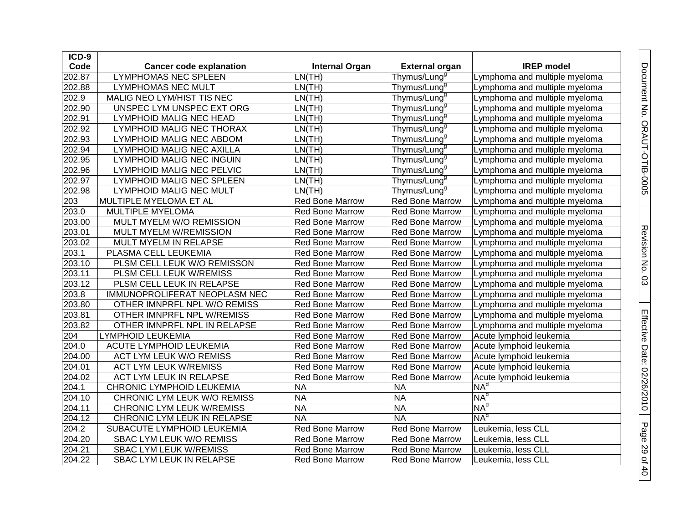| ICD-9  |                                  |                        |                          |                               |
|--------|----------------------------------|------------------------|--------------------------|-------------------------------|
| Code   | <b>Cancer code explanation</b>   | <b>Internal Organ</b>  | <b>External organ</b>    | <b>IREP</b> model             |
| 202.87 | <b>LYMPHOMAS NEC SPLEEN</b>      | LN(TH)                 | Thymus/Lung <sup>s</sup> | Lymphoma and multiple myeloma |
| 202.88 | <b>LYMPHOMAS NEC MULT</b>        | LN(TH)                 | Thymus/Lung <sup>9</sup> | Lymphoma and multiple myeloma |
| 202.9  | MALIG NEO LYM/HIST TIS NEC       | LN(TH)                 | Thymus/Lung <sup>9</sup> | Lymphoma and multiple myeloma |
| 202.90 | UNSPEC LYM UNSPEC EXT ORG        | LN(TH)                 | Thymus/Lung <sup>9</sup> | Lymphoma and multiple myeloma |
| 202.91 | LYMPHOID MALIG NEC HEAD          | LN(TH)                 | Thymus/Lung <sup>g</sup> | Lymphoma and multiple myeloma |
| 202.92 | LYMPHOID MALIG NEC THORAX        | LN(TH)                 | Thymus/Lung <sup>g</sup> | Lymphoma and multiple myeloma |
| 202.93 | LYMPHOID MALIG NEC ABDOM         | LN(TH)                 | Thymus/Lung <sup>g</sup> | Lymphoma and multiple myeloma |
| 202.94 | LYMPHOID MALIG NEC AXILLA        | LN(TH)                 | Thymus/Lung <sup>9</sup> | Lymphoma and multiple myeloma |
| 202.95 | <b>LYMPHOID MALIG NEC INGUIN</b> | LN(TH)                 | Thymus/Lung <sup>9</sup> | Lymphoma and multiple myeloma |
| 202.96 | LYMPHOID MALIG NEC PELVIC        | LN(TH)                 | Thymus/Lung <sup>9</sup> | Lymphoma and multiple myeloma |
| 202.97 | LYMPHOID MALIG NEC SPLEEN        | LN(TH)                 | Thymus/Lung <sup>9</sup> | Lymphoma and multiple myeloma |
| 202.98 | <b>LYMPHOID MALIG NEC MULT</b>   | LN(TH)                 | Thymus/Lung <sup>9</sup> | Lymphoma and multiple myeloma |
| 203    | MULTIPLE MYELOMA ET AL           | <b>Red Bone Marrow</b> | <b>Red Bone Marrow</b>   | Lymphoma and multiple myeloma |
| 203.0  | MULTIPLE MYELOMA                 | Red Bone Marrow        | Red Bone Marrow          | Lymphoma and multiple myeloma |
| 203.00 | MULT MYELM W/O REMISSION         | <b>Red Bone Marrow</b> | Red Bone Marrow          | Lymphoma and multiple myeloma |
| 203.01 | MULT MYELM W/REMISSION           | <b>Red Bone Marrow</b> | <b>Red Bone Marrow</b>   | Lymphoma and multiple myeloma |
| 203.02 | MULT MYELM IN RELAPSE            | <b>Red Bone Marrow</b> | <b>Red Bone Marrow</b>   | Lymphoma and multiple myeloma |
| 203.1  | PLASMA CELL LEUKEMIA             | <b>Red Bone Marrow</b> | Red Bone Marrow          | Lymphoma and multiple myeloma |
| 203.10 | PLSM CELL LEUK W/O REMISSON      | <b>Red Bone Marrow</b> | Red Bone Marrow          | Lymphoma and multiple myeloma |
| 203.11 | PLSM CELL LEUK W/REMISS          | <b>Red Bone Marrow</b> | <b>Red Bone Marrow</b>   | Lymphoma and multiple myeloma |
| 203.12 | PLSM CELL LEUK IN RELAPSE        | Red Bone Marrow        | Red Bone Marrow          | Lymphoma and multiple myeloma |
| 203.8  | IMMUNOPROLIFERAT NEOPLASM NEC    | <b>Red Bone Marrow</b> | Red Bone Marrow          | Lymphoma and multiple myeloma |
| 203.80 | OTHER IMNPRFL NPL W/O REMISS     | <b>Red Bone Marrow</b> | <b>Red Bone Marrow</b>   | Lymphoma and multiple myeloma |
| 203.81 | OTHER IMNPRFL NPL W/REMISS       | <b>Red Bone Marrow</b> | <b>Red Bone Marrow</b>   | Lymphoma and multiple myeloma |
| 203.82 | OTHER IMNPRFL NPL IN RELAPSE     | <b>Red Bone Marrow</b> | <b>Red Bone Marrow</b>   | Lymphoma and multiple myeloma |
| 204    | LYMPHOID LEUKEMIA                | <b>Red Bone Marrow</b> | Red Bone Marrow          | Acute lymphoid leukemia       |
| 204.0  | <b>ACUTE LYMPHOID LEUKEMIA</b>   | <b>Red Bone Marrow</b> | <b>Red Bone Marrow</b>   | Acute lymphoid leukemia       |
| 204.00 | ACT LYM LEUK W/O REMISS          | <b>Red Bone Marrow</b> | Red Bone Marrow          | Acute lymphoid leukemia       |
| 204.01 | <b>ACT LYM LEUK W/REMISS</b>     | <b>Red Bone Marrow</b> | Red Bone Marrow          | Acute lymphoid leukemia       |
| 204.02 | ACT LYM LEUK IN RELAPSE          | <b>Red Bone Marrow</b> | <b>Red Bone Marrow</b>   | Acute lymphoid leukemia       |
| 204.1  | CHRONIC LYMPHOID LEUKEMIA        | <b>NA</b>              | <b>NA</b>                | NA <sup>d</sup>               |
| 204.10 | CHRONIC LYM LEUK W/O REMISS      | <b>NA</b>              | <b>NA</b>                | NA <sup>d</sup>               |
| 204.11 | CHRONIC LYM LEUK W/REMISS        | <b>NA</b>              | <b>NA</b>                | NA <sup>d</sup>               |
| 204.12 | CHRONIC LYM LEUK IN RELAPSE      | <b>NA</b>              | <b>NA</b>                | $NA^d$                        |
| 204.2  | SUBACUTE LYMPHOID LEUKEMIA       | <b>Red Bone Marrow</b> | Red Bone Marrow          | Leukemia, less CLL            |
| 204.20 | SBAC LYM LEUK W/O REMISS         | <b>Red Bone Marrow</b> | Red Bone Marrow          | Leukemia, less CLL            |
| 204.21 | <b>SBAC LYM LEUK W/REMISS</b>    | <b>Red Bone Marrow</b> | <b>Red Bone Marrow</b>   | Leukemia, less CLL            |
| 204.22 | SBAC LYM LEUK IN RELAPSE         | <b>Red Bone Marrow</b> | <b>Red Bone Marrow</b>   | Leukemia, less CLL            |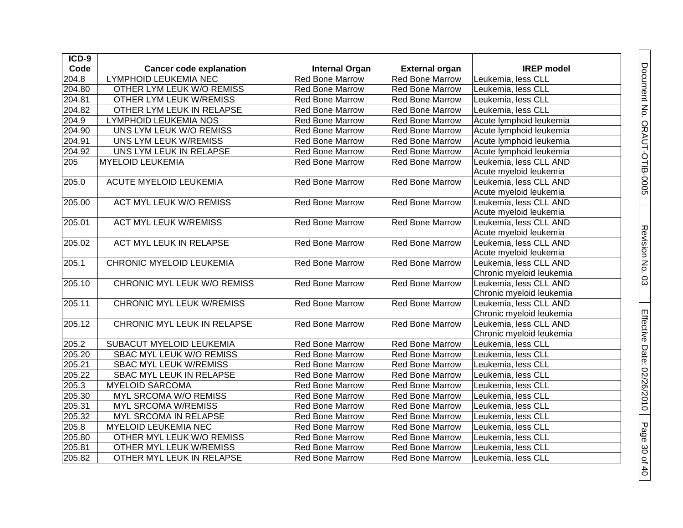| ICD-9  |                                  |                        |                        |                          |
|--------|----------------------------------|------------------------|------------------------|--------------------------|
| Code   | <b>Cancer code explanation</b>   | <b>Internal Organ</b>  | <b>External organ</b>  | <b>IREP</b> model        |
| 204.8  | <b>LYMPHOID LEUKEMIA NEC</b>     | Red Bone Marrow        | Red Bone Marrow        | Leukemia, less CLL       |
| 204.80 | OTHER LYM LEUK W/O REMISS        | Red Bone Marrow        | <b>Red Bone Marrow</b> | Leukemia, less CLL       |
| 204.81 | OTHER LYM LEUK W/REMISS          | Red Bone Marrow        | <b>Red Bone Marrow</b> | Leukemia, less CLL       |
| 204.82 | OTHER LYM LEUK IN RELAPSE        | Red Bone Marrow        | Red Bone Marrow        | Leukemia, less CLL       |
| 204.9  | LYMPHOID LEUKEMIA NOS            | Red Bone Marrow        | <b>Red Bone Marrow</b> | Acute lymphoid leukemia  |
| 204.90 | UNS LYM LEUK W/O REMISS          | Red Bone Marrow        | Red Bone Marrow        | Acute lymphoid leukemia  |
| 204.91 | UNS LYM LEUK W/REMISS            | Red Bone Marrow        | <b>Red Bone Marrow</b> | Acute lymphoid leukemia  |
| 204.92 | UNS LYM LEUK IN RELAPSE          | Red Bone Marrow        | Red Bone Marrow        | Acute lymphoid leukemia  |
| 205    | <b>MYELOID LEUKEMIA</b>          | <b>Red Bone Marrow</b> | <b>Red Bone Marrow</b> | Leukemia, less CLL AND   |
|        |                                  |                        |                        | Acute myeloid leukemia   |
| 205.0  | <b>ACUTE MYELOID LEUKEMIA</b>    | <b>Red Bone Marrow</b> | <b>Red Bone Marrow</b> | Leukemia, less CLL AND   |
|        |                                  |                        |                        | Acute myeloid leukemia   |
| 205.00 | <b>ACT MYL LEUK W/O REMISS</b>   | Red Bone Marrow        | <b>Red Bone Marrow</b> | Leukemia, less CLL AND   |
|        |                                  |                        |                        | Acute myeloid leukemia   |
| 205.01 | <b>ACT MYL LEUK W/REMISS</b>     | <b>Red Bone Marrow</b> | <b>Red Bone Marrow</b> | Leukemia, less CLL AND   |
|        |                                  |                        |                        | Acute myeloid leukemia   |
| 205.02 | ACT MYL LEUK IN RELAPSE          | <b>Red Bone Marrow</b> | <b>Red Bone Marrow</b> | Leukemia, less CLL AND   |
|        |                                  |                        |                        | Acute myeloid leukemia   |
| 205.1  | <b>CHRONIC MYELOID LEUKEMIA</b>  | Red Bone Marrow        | <b>Red Bone Marrow</b> | Leukemia, less CLL AND   |
|        |                                  |                        |                        | Chronic myeloid leukemia |
| 205.10 | CHRONIC MYL LEUK W/O REMISS      | <b>Red Bone Marrow</b> | <b>Red Bone Marrow</b> | Leukemia, less CLL AND   |
|        |                                  |                        |                        | Chronic myeloid leukemia |
| 205.11 | <b>CHRONIC MYL LEUK W/REMISS</b> | <b>Red Bone Marrow</b> | <b>Red Bone Marrow</b> | Leukemia, less CLL AND   |
|        |                                  |                        |                        | Chronic myeloid leukemia |
| 205.12 | CHRONIC MYL LEUK IN RELAPSE      | <b>Red Bone Marrow</b> | Red Bone Marrow        | Leukemia, less CLL AND   |
|        |                                  |                        |                        | Chronic myeloid leukemia |
| 205.2  | SUBACUT MYELOID LEUKEMIA         | Red Bone Marrow        | <b>Red Bone Marrow</b> | Leukemia, less CLL       |
| 205.20 | SBAC MYL LEUK W/O REMISS         | Red Bone Marrow        | <b>Red Bone Marrow</b> | Leukemia, less CLL       |
| 205.21 | SBAC MYL LEUK W/REMISS           | Red Bone Marrow        | <b>Red Bone Marrow</b> | Leukemia, less CLL       |
| 205.22 | SBAC MYL LEUK IN RELAPSE         | Red Bone Marrow        | Red Bone Marrow        | Leukemia, less CLL       |
| 205.3  | <b>MYELOID SARCOMA</b>           | Red Bone Marrow        | <b>Red Bone Marrow</b> | Leukemia, less CLL       |
| 205.30 | MYL SRCOMA W/O REMISS            | Red Bone Marrow        | Red Bone Marrow        | Leukemia, less CLL       |
| 205.31 | MYL SRCOMA W/REMISS              | Red Bone Marrow        | Red Bone Marrow        | Leukemia, less CLL       |
| 205.32 | MYL SRCOMA IN RELAPSE            | Red Bone Marrow        | Red Bone Marrow        | Leukemia, less CLL       |
| 205.8  | MYELOID LEUKEMIA NEC             | Red Bone Marrow        | <b>Red Bone Marrow</b> | Leukemia, less CLL       |
| 205.80 | OTHER MYL LEUK W/O REMISS        | Red Bone Marrow        | Red Bone Marrow        | Leukemia, less CLL       |
| 205.81 | OTHER MYL LEUK W/REMISS          | Red Bone Marrow        | <b>Red Bone Marrow</b> | Leukemia, less CLL       |
| 205.82 | OTHER MYL LEUK IN RELAPSE        | Red Bone Marrow        | <b>Red Bone Marrow</b> | Leukemia, less CLL       |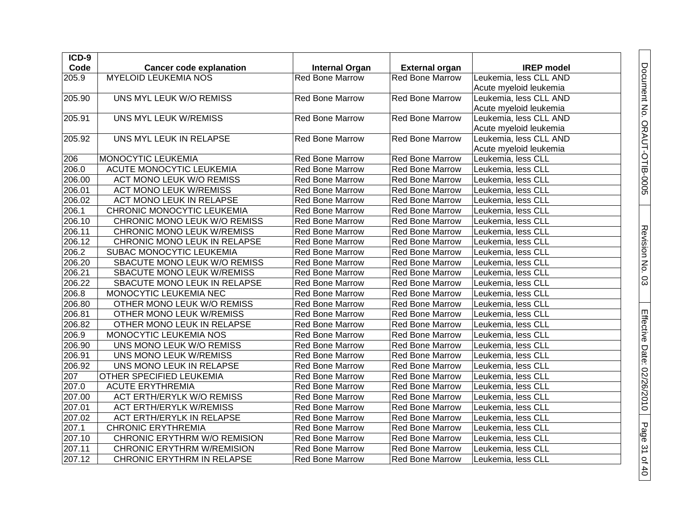| ICD-9  |                                   |                        |                        |                        |
|--------|-----------------------------------|------------------------|------------------------|------------------------|
| Code   | <b>Cancer code explanation</b>    | <b>Internal Organ</b>  | <b>External organ</b>  | <b>IREP</b> model      |
| 205.9  | <b>MYELOID LEUKEMIA NOS</b>       | <b>Red Bone Marrow</b> | <b>Red Bone Marrow</b> | Leukemia, less CLL AND |
|        |                                   |                        |                        | Acute myeloid leukemia |
| 205.90 | UNS MYL LEUK W/O REMISS           | <b>Red Bone Marrow</b> | <b>Red Bone Marrow</b> | Leukemia, less CLL AND |
|        |                                   |                        |                        | Acute myeloid leukemia |
| 205.91 | UNS MYL LEUK W/REMISS             | <b>Red Bone Marrow</b> | <b>Red Bone Marrow</b> | Leukemia, less CLL AND |
|        |                                   |                        |                        | Acute myeloid leukemia |
| 205.92 | UNS MYL LEUK IN RELAPSE           | <b>Red Bone Marrow</b> | <b>Red Bone Marrow</b> | Leukemia, less CLL AND |
|        |                                   |                        |                        | Acute myeloid leukemia |
| 206    | MONOCYTIC LEUKEMIA                | Red Bone Marrow        | <b>Red Bone Marrow</b> | Leukemia, less CLL     |
| 206.0  | <b>ACUTE MONOCYTIC LEUKEMIA</b>   | Red Bone Marrow        | Red Bone Marrow        | Leukemia, less CLL     |
| 206.00 | <b>ACT MONO LEUK W/O REMISS</b>   | <b>Red Bone Marrow</b> | Red Bone Marrow        | Leukemia, less CLL     |
| 206.01 | <b>ACT MONO LEUK W/REMISS</b>     | <b>Red Bone Marrow</b> | Red Bone Marrow        | Leukemia, Iess CLL     |
| 206.02 | ACT MONO LEUK IN RELAPSE          | <b>Red Bone Marrow</b> | <b>Red Bone Marrow</b> | Leukemia, less CLL     |
| 206.1  | CHRONIC MONOCYTIC LEUKEMIA        | <b>Red Bone Marrow</b> | <b>Red Bone Marrow</b> | Leukemia, less CLL     |
| 206.10 | CHRONIC MONO LEUK W/O REMISS      | Red Bone Marrow        | <b>Red Bone Marrow</b> | Leukemia, less CLL     |
| 206.11 | <b>CHRONIC MONO LEUK W/REMISS</b> | <b>Red Bone Marrow</b> | <b>Red Bone Marrow</b> | Leukemia, less CLL     |
| 206.12 | CHRONIC MONO LEUK IN RELAPSE      | Red Bone Marrow        | <b>Red Bone Marrow</b> | Leukemia, less CLL     |
| 206.2  | SUBAC MONOCYTIC LEUKEMIA          | Red Bone Marrow        | <b>Red Bone Marrow</b> | Leukemia, less CLL     |
| 206.20 | SBACUTE MONO LEUK W/O REMISS      | <b>Red Bone Marrow</b> | Red Bone Marrow        | Leukemia, less CLL     |
| 206.21 | SBACUTE MONO LEUK W/REMISS        | <b>Red Bone Marrow</b> | Red Bone Marrow        | Leukemia, less CLL     |
| 206.22 | SBACUTE MONO LEUK IN RELAPSE      | <b>Red Bone Marrow</b> | <b>Red Bone Marrow</b> | Leukemia, less CLL     |
| 206.8  | MONOCYTIC LEUKEMIA NEC            | <b>Red Bone Marrow</b> | Red Bone Marrow        | Leukemia, less CLL     |
| 206.80 | OTHER MONO LEUK W/O REMISS        | <b>Red Bone Marrow</b> | <b>Red Bone Marrow</b> | Leukemia, less CLL     |
| 206.81 | OTHER MONO LEUK W/REMISS          | Red Bone Marrow        | <b>Red Bone Marrow</b> | Leukemia, less CLL     |
| 206.82 | OTHER MONO LEUK IN RELAPSE        | <b>Red Bone Marrow</b> | Red Bone Marrow        | Leukemia, less CLL     |
| 206.9  | MONOCYTIC LEUKEMIA NOS            | <b>Red Bone Marrow</b> | Red Bone Marrow        | Leukemia, less CLL     |
| 206.90 | UNS MONO LEUK W/O REMISS          | <b>Red Bone Marrow</b> | <b>Red Bone Marrow</b> | Leukemia, Iess CLL     |
| 206.91 | UNS MONO LEUK W/REMISS            | <b>Red Bone Marrow</b> | <b>Red Bone Marrow</b> | Leukemia, less CLL     |
| 206.92 | UNS MONO LEUK IN RELAPSE          | <b>Red Bone Marrow</b> | <b>Red Bone Marrow</b> | Leukemia, less CLL     |
| 207    | <b>OTHER SPECIFIED LEUKEMIA</b>   | <b>Red Bone Marrow</b> | <b>Red Bone Marrow</b> | Leukemia, less CLL     |
| 207.0  | <b>ACUTE ERYTHREMIA</b>           | Red Bone Marrow        | <b>Red Bone Marrow</b> | Leukemia, less CLL     |
| 207.00 | <b>ACT ERTH/ERYLK W/O REMISS</b>  | <b>Red Bone Marrow</b> | <b>Red Bone Marrow</b> | Leukemia, less CLL     |
| 207.01 | <b>ACT ERTH/ERYLK W/REMISS</b>    | <b>Red Bone Marrow</b> | <b>Red Bone Marrow</b> | Leukemia, less CLL     |
| 207.02 | ACT ERTH/ERYLK IN RELAPSE         | Red Bone Marrow        | Red Bone Marrow        | Leukemia, less CLL     |
| 207.1  | <b>CHRONIC ERYTHREMIA</b>         | <b>Red Bone Marrow</b> | <b>Red Bone Marrow</b> | Leukemia, less CLL     |
| 207.10 | CHRONIC ERYTHRM W/O REMISION      | Red Bone Marrow        | Red Bone Marrow        | Leukemia, less CLL     |
| 207.11 | <b>CHRONIC ERYTHRM W/REMISION</b> | <b>Red Bone Marrow</b> | <b>Red Bone Marrow</b> | Leukemia, less CLL     |
| 207.12 | CHRONIC ERYTHRM IN RELAPSE        | <b>Red Bone Marrow</b> | <b>Red Bone Marrow</b> | Leukemia, less CLL     |

Document No. ORAUT-OTIB-0005

Revision No. 03

Revision No. 03

Effective Date: 02/26/2010

Page 31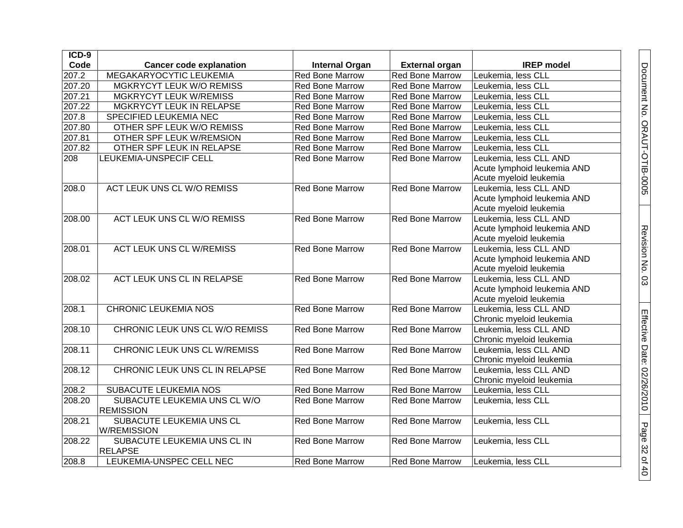| $ICD-9$ |                                     |                        |                        |                             |
|---------|-------------------------------------|------------------------|------------------------|-----------------------------|
| Code    | <b>Cancer code explanation</b>      | <b>Internal Organ</b>  | <b>External organ</b>  | <b>IREP</b> model           |
| 207.2   | <b>MEGAKARYOCYTIC LEUKEMIA</b>      | <b>Red Bone Marrow</b> | <b>Red Bone Marrow</b> | Leukemia, less CLL          |
| 207.20  | MGKRYCYT LEUK W/O REMISS            | <b>Red Bone Marrow</b> | Red Bone Marrow        | Leukemia, less CLL          |
| 207.21  | <b>MGKRYCYT LEUK W/REMISS</b>       | <b>Red Bone Marrow</b> | <b>Red Bone Marrow</b> | Leukemia, less CLL          |
| 207.22  | MGKRYCYT LEUK IN RELAPSE            | <b>Red Bone Marrow</b> | <b>Red Bone Marrow</b> | Leukemia, less CLL          |
| 207.8   | SPECIFIED LEUKEMIA NEC              | <b>Red Bone Marrow</b> | Red Bone Marrow        | Leukemia, less CLL          |
| 207.80  | OTHER SPF LEUK W/O REMISS           | Red Bone Marrow        | Red Bone Marrow        | Leukemia, less CLL          |
| 207.81  | OTHER SPF LEUK W/REMSION            | <b>Red Bone Marrow</b> | Red Bone Marrow        | Leukemia, less CLL          |
| 207.82  | OTHER SPF LEUK IN RELAPSE           | <b>Red Bone Marrow</b> | <b>Red Bone Marrow</b> | Leukemia, less CLL          |
| 208     | LEUKEMIA-UNSPECIF CELL              | <b>Red Bone Marrow</b> | Red Bone Marrow        | Leukemia, less CLL AND      |
|         |                                     |                        |                        | Acute lymphoid leukemia AND |
|         |                                     |                        |                        | Acute myeloid leukemia      |
| 208.0   | <b>ACT LEUK UNS CL W/O REMISS</b>   | <b>Red Bone Marrow</b> | <b>Red Bone Marrow</b> | Leukemia, less CLL AND      |
|         |                                     |                        |                        | Acute lymphoid leukemia AND |
|         |                                     |                        |                        | Acute myeloid leukemia      |
| 208.00  | ACT LEUK UNS CL W/O REMISS          | <b>Red Bone Marrow</b> | <b>Red Bone Marrow</b> | Leukemia, less CLL AND      |
|         |                                     |                        |                        | Acute lymphoid leukemia AND |
|         |                                     |                        |                        | Acute myeloid leukemia      |
| 208.01  | <b>ACT LEUK UNS CL W/REMISS</b>     | <b>Red Bone Marrow</b> | <b>Red Bone Marrow</b> | Leukemia, less CLL AND      |
|         |                                     |                        |                        | Acute lymphoid leukemia AND |
|         |                                     |                        |                        | Acute myeloid leukemia      |
| 208.02  | ACT LEUK UNS CL IN RELAPSE          | <b>Red Bone Marrow</b> | <b>Red Bone Marrow</b> | Leukemia, less CLL AND      |
|         |                                     |                        |                        | Acute lymphoid leukemia AND |
|         |                                     |                        |                        | Acute myeloid leukemia      |
| 208.1   | <b>CHRONIC LEUKEMIA NOS</b>         | <b>Red Bone Marrow</b> | <b>Red Bone Marrow</b> | Leukemia, less CLL AND      |
|         |                                     |                        |                        | Chronic myeloid leukemia    |
| 208.10  | CHRONIC LEUK UNS CL W/O REMISS      | <b>Red Bone Marrow</b> | <b>Red Bone Marrow</b> | Leukemia, less CLL AND      |
|         |                                     |                        |                        | Chronic myeloid leukemia    |
| 208.11  | <b>CHRONIC LEUK UNS CL W/REMISS</b> | <b>Red Bone Marrow</b> | <b>Red Bone Marrow</b> | Leukemia, less CLL AND      |
|         |                                     |                        |                        | Chronic myeloid leukemia    |
| 208.12  | CHRONIC LEUK UNS CL IN RELAPSE      | <b>Red Bone Marrow</b> | <b>Red Bone Marrow</b> | Leukemia, less CLL AND      |
|         |                                     |                        |                        | Chronic myeloid leukemia    |
| 208.2   | <b>SUBACUTE LEUKEMIA NOS</b>        | <b>Red Bone Marrow</b> | <b>Red Bone Marrow</b> | Leukemia, less CLL          |
| 208.20  | SUBACUTE LEUKEMIA UNS CL W/O        | <b>Red Bone Marrow</b> | <b>Red Bone Marrow</b> | Leukemia, less CLL          |
|         | <b>REMISSION</b>                    |                        |                        |                             |
| 208.21  | SUBACUTE LEUKEMIA UNS CL            | <b>Red Bone Marrow</b> | <b>Red Bone Marrow</b> | Leukemia, less CLL          |
|         | <b>W/REMISSION</b>                  |                        |                        |                             |
| 208.22  | SUBACUTE LEUKEMIA UNS CL IN         | <b>Red Bone Marrow</b> | <b>Red Bone Marrow</b> | Leukemia, less CLL          |
|         | <b>RELAPSE</b>                      |                        |                        |                             |
| 208.8   | LEUKEMIA-UNSPEC CELL NEC            | <b>Red Bone Marrow</b> | <b>Red Bone Marrow</b> | Leukemia, less CLL          |

Document No. ORAUT-OTIB-0005

Revision No. 03

Revision No. 03

Effective Date: 02/26/2010

Page 32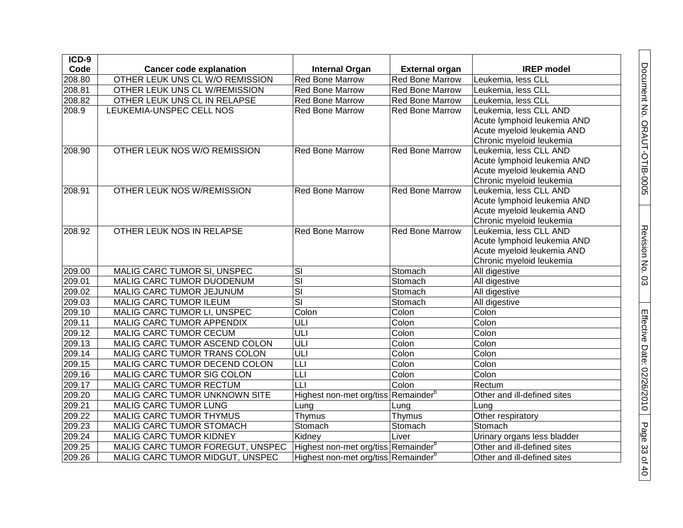| ICD-9  |                                  |                                                 |                        |                             |
|--------|----------------------------------|-------------------------------------------------|------------------------|-----------------------------|
| Code   | <b>Cancer code explanation</b>   | <b>Internal Organ</b>                           | <b>External organ</b>  | <b>IREP</b> model           |
| 208.80 | OTHER LEUK UNS CL W/O REMISSION  | <b>Red Bone Marrow</b>                          | <b>Red Bone Marrow</b> | Leukemia, less CLL          |
| 208.81 | OTHER LEUK UNS CL W/REMISSION    | <b>Red Bone Marrow</b>                          | <b>Red Bone Marrow</b> | Leukemia, less CLL          |
| 208.82 | OTHER LEUK UNS CL IN RELAPSE     | <b>Red Bone Marrow</b>                          | <b>Red Bone Marrow</b> | Leukemia, less CLL          |
| 208.9  | LEUKEMIA-UNSPEC CELL NOS         | <b>Red Bone Marrow</b>                          | <b>Red Bone Marrow</b> | Leukemia, less CLL AND      |
|        |                                  |                                                 |                        | Acute lymphoid leukemia AND |
|        |                                  |                                                 |                        | Acute myeloid leukemia AND  |
|        |                                  |                                                 |                        | Chronic myeloid leukemia    |
| 208.90 | OTHER LEUK NOS W/O REMISSION     | <b>Red Bone Marrow</b>                          | <b>Red Bone Marrow</b> | Leukemia, less CLL AND      |
|        |                                  |                                                 |                        | Acute lymphoid leukemia AND |
|        |                                  |                                                 |                        | Acute myeloid leukemia AND  |
|        |                                  |                                                 |                        | Chronic myeloid leukemia    |
| 208.91 | OTHER LEUK NOS W/REMISSION       | <b>Red Bone Marrow</b>                          | <b>Red Bone Marrow</b> | Leukemia, less CLL AND      |
|        |                                  |                                                 |                        | Acute lymphoid leukemia AND |
|        |                                  |                                                 |                        | Acute myeloid leukemia AND  |
|        |                                  |                                                 |                        | Chronic myeloid leukemia    |
| 208.92 | OTHER LEUK NOS IN RELAPSE        | <b>Red Bone Marrow</b>                          | <b>Red Bone Marrow</b> | Leukemia, less CLL AND      |
|        |                                  |                                                 |                        | Acute lymphoid leukemia AND |
|        |                                  |                                                 |                        | Acute myeloid leukemia AND  |
|        |                                  |                                                 |                        | Chronic myeloid leukemia    |
| 209.00 | MALIG CARC TUMOR SI, UNSPEC      | SI                                              | Stomach                | All digestive               |
| 209.01 | MALIG CARC TUMOR DUODENUM        | SI                                              | Stomach                | All digestive               |
| 209.02 | MALIG CARC TUMOR JEJUNUM         | SI                                              | Stomach                | All digestive               |
| 209.03 | MALIG CARC TUMOR ILEUM           | $\overline{\mathsf{SI}}$                        | Stomach                | All digestive               |
| 209.10 | MALIG CARC TUMOR LI, UNSPEC      | Colon                                           | Colon                  | Colon                       |
| 209.11 | MALIG CARC TUMOR APPENDIX        | ULI                                             | Colon                  | Colon                       |
| 209.12 | MALIG CARC TUMOR CECUM           | ULI                                             | Colon                  | Colon                       |
| 209.13 | MALIG CARC TUMOR ASCEND COLON    | ULI                                             | Colon                  | Colon                       |
| 209.14 | MALIG CARC TUMOR TRANS COLON     | ULI                                             | Colon                  | Colon                       |
| 209.15 | MALIG CARC TUMOR DECEND COLON    | Т                                               | Colon                  | Colon                       |
| 209.16 | MALIG CARC TUMOR SIG COLON       | LLI                                             | Colon                  | Colon                       |
| 209.17 | MALIG CARC TUMOR RECTUM          | LLI                                             | Colon                  | Rectum                      |
| 209.20 | MALIG CARC TUMOR UNKNOWN SITE    | Highest non-met org/tiss Remainder <sup>b</sup> |                        | Other and ill-defined sites |
| 209.21 | MALIG CARC TUMOR LUNG            | Lung                                            | Lung                   | Lung                        |
| 209.22 | MALIG CARC TUMOR THYMUS          | Thymus                                          | Thymus                 | Other respiratory           |
| 209.23 | MALIG CARC TUMOR STOMACH         | Stomach                                         | Stomach                | Stomach                     |
| 209.24 | MALIG CARC TUMOR KIDNEY          | Kidney                                          | Liver                  | Urinary organs less bladder |
| 209.25 | MALIG CARC TUMOR FOREGUT, UNSPEC | Highest non-met org/tiss Remainder <sup>b</sup> |                        | Other and ill-defined sites |
| 209.26 | MALIG CARC TUMOR MIDGUT, UNSPEC  | Highest non-met org/tiss Remainder <sup>b</sup> |                        | Other and ill-defined sites |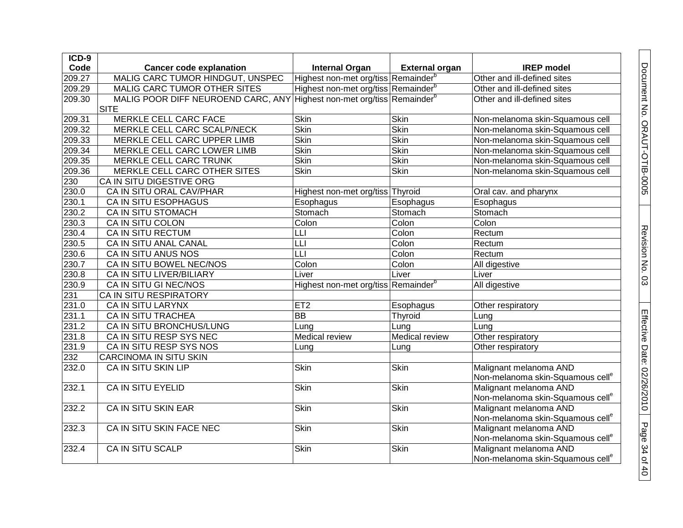| $ICD-9$ |                                                                                    |                                                 |                       |                                              |
|---------|------------------------------------------------------------------------------------|-------------------------------------------------|-----------------------|----------------------------------------------|
| Code    | <b>Cancer code explanation</b>                                                     | <b>Internal Organ</b>                           | <b>External organ</b> | <b>IREP</b> model                            |
| 209.27  | MALIG CARC TUMOR HINDGUT, UNSPEC                                                   | Highest non-met org/tiss Remainder <sup>b</sup> |                       | Other and ill-defined sites                  |
| 209.29  | MALIG CARC TUMOR OTHER SITES                                                       | Highest non-met org/tiss Remainder <sup>b</sup> |                       | Other and ill-defined sites                  |
| 209.30  | MALIG POOR DIFF NEUROEND CARC, ANY Highest non-met org/tiss Remainder <sup>b</sup> |                                                 |                       | Other and ill-defined sites                  |
|         | <b>SITE</b>                                                                        |                                                 |                       |                                              |
| 209.31  | MERKLE CELL CARC FACE                                                              | Skin                                            | Skin                  | Non-melanoma skin-Squamous cell              |
| 209.32  | MERKLE CELL CARC SCALP/NECK                                                        | Skin                                            | Skin                  | Non-melanoma skin-Squamous cell              |
| 209.33  | MERKLE CELL CARC UPPER LIMB                                                        | <b>Skin</b>                                     | Skin                  | Non-melanoma skin-Squamous cell              |
| 209.34  | MERKLE CELL CARC LOWER LIMB                                                        | Skin                                            | Skin                  | Non-melanoma skin-Squamous cell              |
| 209.35  | MERKLE CELL CARC TRUNK                                                             | <b>Skin</b>                                     | <b>Skin</b>           | Non-melanoma skin-Squamous cell              |
| 209.36  | MERKLE CELL CARC OTHER SITES                                                       | Skin                                            | Skin                  | Non-melanoma skin-Squamous cell              |
| 230     | CA IN SITU DIGESTIVE ORG                                                           |                                                 |                       |                                              |
| 230.0   | CA IN SITU ORAL CAV/PHAR                                                           | Highest non-met org/tiss Thyroid                |                       | Oral cav. and pharynx                        |
| 230.1   | CA IN SITU ESOPHAGUS                                                               | Esophagus                                       | Esophagus             | Esophagus                                    |
| 230.2   | CA IN SITU STOMACH                                                                 | Stomach                                         | Stomach               | Stomach                                      |
| 230.3   | CA IN SITU COLON                                                                   | Colon                                           | Colon                 | Colon                                        |
| 230.4   | CA IN SITU RECTUM                                                                  | LLI                                             | Colon                 | Rectum                                       |
| 230.5   | CA IN SITU ANAL CANAL                                                              | LLI                                             | Colon                 | Rectum                                       |
| 230.6   | CA IN SITU ANUS NOS                                                                | LLI                                             | Colon                 | Rectum                                       |
| 230.7   | CA IN SITU BOWEL NEC/NOS                                                           | Colon                                           | Colon                 | All digestive                                |
| 230.8   | CA IN SITU LIVER/BILIARY                                                           | Liver                                           | Liver                 | Liver                                        |
| 230.9   | CA IN SITU GI NEC/NOS                                                              | Highest non-met org/tiss Remainder <sup>b</sup> |                       | All digestive                                |
| 231     | CA IN SITU RESPIRATORY                                                             |                                                 |                       |                                              |
| 231.0   | CA IN SITU LARYNX                                                                  | ET <sub>2</sub>                                 | Esophagus             | Other respiratory                            |
| 231.1   | CA IN SITU TRACHEA                                                                 | $\overline{BB}$                                 | Thyroid               | Lung                                         |
| 231.2   | CA IN SITU BRONCHUS/LUNG                                                           | Lung                                            | Lung                  | Lung                                         |
| 231.8   | CA IN SITU RESP SYS NEC                                                            | Medical review                                  | Medical review        | Other respiratory                            |
| 231.9   | CA IN SITU RESP SYS NOS                                                            | Lung                                            | Lung                  | Other respiratory                            |
| 232     | <b>CARCINOMA IN SITU SKIN</b>                                                      |                                                 |                       |                                              |
| 232.0   | CA IN SITU SKIN LIP                                                                | <b>Skin</b>                                     | Skin                  | Malignant melanoma AND                       |
|         |                                                                                    |                                                 |                       | Non-melanoma skin-Squamous cell <sup>e</sup> |
| 232.1   | <b>CA IN SITU EYELID</b>                                                           | <b>Skin</b>                                     | <b>Skin</b>           | Malignant melanoma AND                       |
|         |                                                                                    |                                                 |                       | Non-melanoma skin-Squamous cell <sup>e</sup> |
| 232.2   | <b>CA IN SITU SKIN EAR</b>                                                         | Skin                                            | Skin                  | Malignant melanoma AND                       |
|         |                                                                                    |                                                 |                       | Non-melanoma skin-Squamous cell <sup>e</sup> |
| 232.3   | CA IN SITU SKIN FACE NEC                                                           | Skin                                            | Skin                  | Malignant melanoma AND                       |
|         |                                                                                    |                                                 |                       | Non-melanoma skin-Squamous cell <sup>e</sup> |
| 232.4   | <b>CA IN SITU SCALP</b>                                                            | <b>Skin</b>                                     | <b>Skin</b>           | Malignant melanoma AND                       |
|         |                                                                                    |                                                 |                       | Non-melanoma skin-Squamous cell <sup>e</sup> |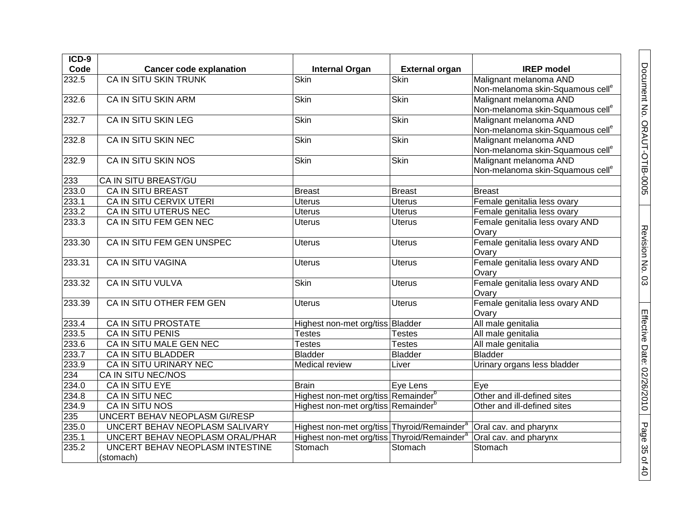| $ICD-9$            |                                 |                                                                               |                       |                                              |
|--------------------|---------------------------------|-------------------------------------------------------------------------------|-----------------------|----------------------------------------------|
| Code               | <b>Cancer code explanation</b>  | <b>Internal Organ</b>                                                         | <b>External organ</b> | <b>IREP</b> model                            |
| 232.5              | <b>CA IN SITU SKIN TRUNK</b>    | Skin                                                                          | <b>Skin</b>           | Malignant melanoma AND                       |
|                    |                                 |                                                                               |                       | Non-melanoma skin-Squamous cell <sup>e</sup> |
| 232.6              | CA IN SITU SKIN ARM             | Skin                                                                          | Skin                  | Malignant melanoma AND                       |
|                    |                                 |                                                                               |                       | Non-melanoma skin-Squamous cell <sup>e</sup> |
| $\overline{232.7}$ | <b>CA IN SITU SKIN LEG</b>      | Skin                                                                          | <b>Skin</b>           | Malignant melanoma AND                       |
|                    |                                 |                                                                               |                       | Non-melanoma skin-Squamous cell <sup>e</sup> |
| 232.8              | <b>CA IN SITU SKIN NEC</b>      | Skin                                                                          | <b>Skin</b>           | Malignant melanoma AND                       |
|                    |                                 |                                                                               |                       | Non-melanoma skin-Squamous cell <sup>e</sup> |
| 232.9              | CA IN SITU SKIN NOS             | <b>Skin</b>                                                                   | Skin                  | Malignant melanoma AND                       |
|                    |                                 |                                                                               |                       | Non-melanoma skin-Squamous cell <sup>e</sup> |
| 233                | CA IN SITU BREAST/GU            |                                                                               |                       |                                              |
| 233.0              | <b>CA IN SITU BREAST</b>        | <b>Breast</b>                                                                 | <b>Breast</b>         | <b>Breast</b>                                |
| 233.1              | CA IN SITU CERVIX UTERI         | Uterus                                                                        | <b>Uterus</b>         | Female genitalia less ovary                  |
| 233.2              | CA IN SITU UTERUS NEC           | <b>Uterus</b>                                                                 | <b>Uterus</b>         | Female genitalia less ovary                  |
| 233.3              | CA IN SITU FEM GEN NEC          | <b>Uterus</b>                                                                 | <b>Uterus</b>         | Female genitalia less ovary AND              |
|                    |                                 |                                                                               |                       | Ovary                                        |
| 233.30             | CA IN SITU FEM GEN UNSPEC       | <b>Uterus</b>                                                                 | <b>Uterus</b>         | Female genitalia less ovary AND              |
|                    |                                 |                                                                               |                       | Ovary                                        |
| 233.31             | <b>CA IN SITU VAGINA</b>        | <b>Uterus</b>                                                                 | Uterus                | Female genitalia less ovary AND              |
|                    |                                 |                                                                               |                       | Ovary                                        |
| 233.32             | <b>CA IN SITU VULVA</b>         | <b>Skin</b>                                                                   | <b>Uterus</b>         | Female genitalia less ovary AND              |
|                    |                                 |                                                                               |                       | Ovary                                        |
| 233.39             | CA IN SITU OTHER FEM GEN        | <b>Uterus</b>                                                                 | <b>Uterus</b>         | Female genitalia less ovary AND              |
|                    |                                 |                                                                               |                       | Ovary                                        |
| 233.4              | CA IN SITU PROSTATE             | Highest non-met org/tiss Bladder                                              |                       | All male genitalia                           |
| 233.5              | CA IN SITU PENIS                | <b>Testes</b>                                                                 | <b>Testes</b>         | All male genitalia                           |
| 233.6              | CA IN SITU MALE GEN NEC         | <b>Testes</b>                                                                 | Testes                | All male genitalia                           |
| 233.7              | CA IN SITU BLADDER              | <b>Bladder</b>                                                                | <b>Bladder</b>        | <b>Bladder</b>                               |
| 233.9              | CA IN SITU URINARY NEC          | <b>Medical review</b>                                                         | Liver                 | Urinary organs less bladder                  |
| 234                | CA IN SITU NEC/NOS              |                                                                               |                       |                                              |
| 234.0              | CA IN SITU EYE                  | <b>Brain</b>                                                                  | Eye Lens              | Eye                                          |
| 234.8              | CA IN SITU NEC                  | Highest non-met org/tiss Remainder <sup>b</sup>                               |                       | Other and ill-defined sites                  |
| 234.9              | CA IN SITU NOS                  | Highest non-met org/tiss Remainder <sup>b</sup>                               |                       | Other and ill-defined sites                  |
| 235                | UNCERT BEHAV NEOPLASM GI/RESP   |                                                                               |                       |                                              |
| 235.0              | UNCERT BEHAV NEOPLASM SALIVARY  | Highest non-met org/tiss Thyroid/Remainder <sup>a</sup> Oral cav. and pharynx |                       |                                              |
| 235.1              | UNCERT BEHAV NEOPLASM ORAL/PHAR | Highest non-met org/tiss Thyroid/Remainder <sup>a</sup>                       |                       | Oral cav. and pharynx                        |
| 235.2              | UNCERT BEHAV NEOPLASM INTESTINE | Stomach                                                                       | Stomach               | Stomach                                      |
|                    | (stomach)                       |                                                                               |                       |                                              |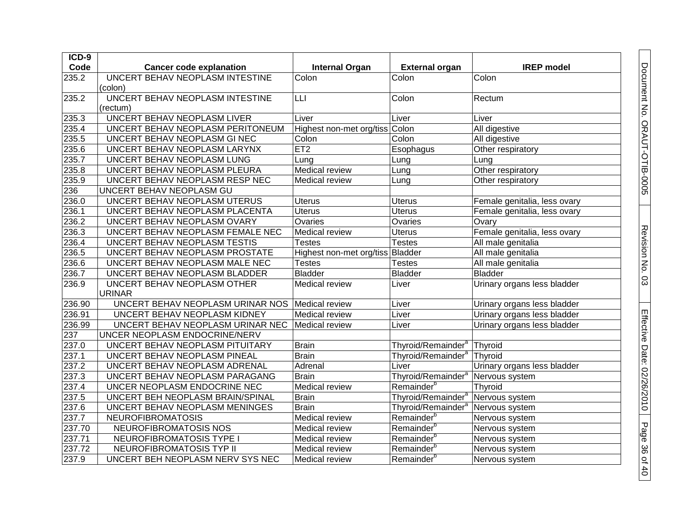| ICD-9              |                                  |                                  |                                |                              |
|--------------------|----------------------------------|----------------------------------|--------------------------------|------------------------------|
| Code               | <b>Cancer code explanation</b>   | <b>Internal Organ</b>            | <b>External organ</b>          | <b>IREP</b> model            |
| 235.2              | UNCERT BEHAV NEOPLASM INTESTINE  | Colon                            | Colon                          | Colon                        |
|                    | (colon)                          |                                  |                                |                              |
| 235.2              | UNCERT BEHAV NEOPLASM INTESTINE  | LLI                              | Colon                          | Rectum                       |
|                    | (rectum)                         |                                  |                                |                              |
| 235.3              | UNCERT BEHAV NEOPLASM LIVER      | Liver                            | Liver                          | Liver                        |
| 235.4              | UNCERT BEHAV NEOPLASM PERITONEUM | Highest non-met org/tiss         | Colon                          | All digestive                |
| 235.5              | UNCERT BEHAV NEOPLASM GI NEC     | Colon                            | Colon                          | All digestive                |
| 235.6              | UNCERT BEHAV NEOPLASM LARYNX     | ET2                              | Esophagus                      | Other respiratory            |
| $\overline{235.7}$ | UNCERT BEHAV NEOPLASM LUNG       | Lung                             | Lung                           | Lung                         |
| 235.8              | UNCERT BEHAV NEOPLASM PLEURA     | <b>Medical review</b>            | Lung                           | Other respiratory            |
| 235.9              | UNCERT BEHAV NEOPLASM RESP NEC   | <b>Medical review</b>            | Lung                           | Other respiratory            |
| 236                | UNCERT BEHAV NEOPLASM GU         |                                  |                                |                              |
| 236.0              | UNCERT BEHAV NEOPLASM UTERUS     | <b>Uterus</b>                    | <b>Uterus</b>                  | Female genitalia, less ovary |
| 236.1              | UNCERT BEHAV NEOPLASM PLACENTA   | <b>Uterus</b>                    | <b>Uterus</b>                  | Female genitalia, less ovary |
| 236.2              | UNCERT BEHAV NEOPLASM OVARY      | Ovaries                          | Ovaries                        | Ovary                        |
| 236.3              | UNCERT BEHAV NEOPLASM FEMALE NEC | Medical review                   | <b>Uterus</b>                  | Female genitalia, less ovary |
| 236.4              | UNCERT BEHAV NEOPLASM TESTIS     | <b>Testes</b>                    | <b>Testes</b>                  | All male genitalia           |
| 236.5              | UNCERT BEHAV NEOPLASM PROSTATE   | Highest non-met org/tiss Bladder |                                | All male genitalia           |
| 236.6              | UNCERT BEHAV NEOPLASM MALE NEC   | <b>Testes</b>                    | <b>Testes</b>                  | All male genitalia           |
| 236.7              | UNCERT BEHAV NEOPLASM BLADDER    | <b>Bladder</b>                   | <b>Bladder</b>                 | <b>Bladder</b>               |
| 236.9              | UNCERT BEHAV NEOPLASM OTHER      | <b>Medical review</b>            | Liver                          | Urinary organs less bladder  |
|                    | <b>URINAR</b>                    |                                  |                                |                              |
| 236.90             | UNCERT BEHAV NEOPLASM URINAR NOS | Medical review                   | Liver                          | Urinary organs less bladder  |
| 236.91             | UNCERT BEHAV NEOPLASM KIDNEY     | <b>Medical review</b>            | Liver                          | Urinary organs less bladder  |
| 236.99             | UNCERT BEHAV NEOPLASM URINAR NEC | Medical review                   | Liver                          | Urinary organs less bladder  |
| 237                | UNCER NEOPLASM ENDOCRINE/NERV    |                                  |                                |                              |
| 237.0              | UNCERT BEHAV NEOPLASM PITUITARY  | <b>Brain</b>                     | Thyroid/Remainder <sup>a</sup> | Thyroid                      |
| 237.1              | UNCERT BEHAV NEOPLASM PINEAL     | <b>Brain</b>                     | Thyroid/Remainder <sup>a</sup> | Thyroid                      |
| 237.2              | UNCERT BEHAV NEOPLASM ADRENAL    | Adrenal                          | Liver                          | Urinary organs less bladder  |
| 237.3              | UNCERT BEHAV NEOPLASM PARAGANG   | <b>Brain</b>                     | Thyroid/Remainder <sup>a</sup> | Nervous system               |
| 237.4              | UNCER NEOPLASM ENDOCRINE NEC     | <b>Medical review</b>            | Remainder <sup>b</sup>         | Thyroid                      |
| 237.5              | UNCERT BEH NEOPLASM BRAIN/SPINAL | Brain                            | Thyroid/Remainder <sup>a</sup> | Nervous system               |
| 237.6              | UNCERT BEHAV NEOPLASM MENINGES   | <b>Brain</b>                     | Thyroid/Remainder <sup>a</sup> | Nervous system               |
| 237.7              | <b>NEUROFIBROMATOSIS</b>         | <b>Medical review</b>            | Remainder <sup>b</sup>         | Nervous system               |
| 237.70             | NEUROFIBROMATOSIS NOS            | <b>Medical review</b>            | Remainder <sup>b</sup>         | Nervous system               |
| 237.71             | NEUROFIBROMATOSIS TYPE I         | Medical review                   | Remainder <sup>b</sup>         | Nervous system               |
| 237.72             | NEUROFIBROMATOSIS TYP II         | <b>Medical review</b>            | Remainder <sup>b</sup>         | Nervous system               |
| 237.9              | UNCERT BEH NEOPLASM NERV SYS NEC | <b>Medical review</b>            | Remainder <sup>b</sup>         | Nervous system               |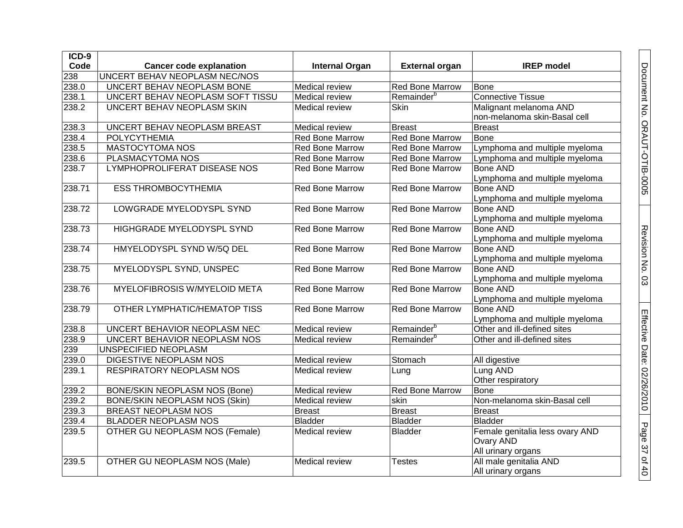| $ICD-9$ |                                      |                        |                        |                                                                                   |
|---------|--------------------------------------|------------------------|------------------------|-----------------------------------------------------------------------------------|
| Code    | <b>Cancer code explanation</b>       | <b>Internal Organ</b>  | <b>External organ</b>  | <b>IREP</b> model                                                                 |
| 238     | <b>UNCERT BEHAV NEOPLASM NEC/NOS</b> |                        |                        |                                                                                   |
| 238.0   | UNCERT BEHAV NEOPLASM BONE           | <b>Medical review</b>  | <b>Red Bone Marrow</b> | <b>Bone</b>                                                                       |
| 238.1   | UNCERT BEHAV NEOPLASM SOFT TISSU     | <b>Medical review</b>  | Remainder <sup>b</sup> | <b>Connective Tissue</b>                                                          |
| 238.2   | UNCERT BEHAV NEOPLASM SKIN           | Medical review         | Skin                   | Malignant melanoma AND<br>non-melanoma skin-Basal cell                            |
| 238.3   | UNCERT BEHAV NEOPLASM BREAST         | <b>Medical review</b>  | <b>Breast</b>          | Breast                                                                            |
| 238.4   | POLYCYTHEMIA                         | Red Bone Marrow        | <b>Red Bone Marrow</b> | Bone                                                                              |
| 238.5   | <b>MASTOCYTOMA NOS</b>               | <b>Red Bone Marrow</b> | <b>Red Bone Marrow</b> | Lymphoma and multiple myeloma                                                     |
| 238.6   | PLASMACYTOMA NOS                     | <b>Red Bone Marrow</b> | <b>Red Bone Marrow</b> | Lymphoma and multiple myeloma                                                     |
| 238.7   | LYMPHOPROLIFERAT DISEASE NOS         | <b>Red Bone Marrow</b> | <b>Red Bone Marrow</b> | <b>Bone AND</b><br>Lymphoma and multiple myeloma                                  |
| 238.71  | <b>ESS THROMBOCYTHEMIA</b>           | <b>Red Bone Marrow</b> | <b>Red Bone Marrow</b> | <b>Bone AND</b>                                                                   |
| 238.72  | LOWGRADE MYELODYSPL SYND             | <b>Red Bone Marrow</b> | <b>Red Bone Marrow</b> | Lymphoma and multiple myeloma<br><b>Bone AND</b><br>Lymphoma and multiple myeloma |
| 238.73  | HIGHGRADE MYELODYSPL SYND            | <b>Red Bone Marrow</b> | <b>Red Bone Marrow</b> | <b>Bone AND</b><br>Lymphoma and multiple myeloma                                  |
| 238.74  | HMYELODYSPL SYND W/5Q DEL            | <b>Red Bone Marrow</b> | <b>Red Bone Marrow</b> | <b>Bone AND</b><br>Lymphoma and multiple myeloma                                  |
| 238.75  | MYELODYSPL SYND, UNSPEC              | Red Bone Marrow        | <b>Red Bone Marrow</b> | <b>Bone AND</b><br>Lymphoma and multiple myeloma                                  |
| 238.76  | <b>MYELOFIBROSIS W/MYELOID META</b>  | <b>Red Bone Marrow</b> | <b>Red Bone Marrow</b> | <b>Bone AND</b><br>Lymphoma and multiple myeloma                                  |
| 238.79  | <b>OTHER LYMPHATIC/HEMATOP TISS</b>  | <b>Red Bone Marrow</b> | <b>Red Bone Marrow</b> | <b>Bone AND</b><br>Lymphoma and multiple myeloma                                  |
| 238.8   | UNCERT BEHAVIOR NEOPLASM NEC         | <b>Medical review</b>  | Remainder <sup>b</sup> | Other and ill-defined sites                                                       |
| 238.9   | UNCERT BEHAVIOR NEOPLASM NOS         | Medical review         | Remainder <sup>b</sup> | Other and ill-defined sites                                                       |
| 239     | <b>UNSPECIFIED NEOPLASM</b>          |                        |                        |                                                                                   |
| 239.0   | DIGESTIVE NEOPLASM NOS               | Medical review         | Stomach                | All digestive                                                                     |
| 239.1   | <b>RESPIRATORY NEOPLASM NOS</b>      | <b>Medical review</b>  | Lung                   | Lung AND<br>Other respiratory                                                     |
| 239.2   | <b>BONE/SKIN NEOPLASM NOS (Bone)</b> | <b>Medical review</b>  | <b>Red Bone Marrow</b> | Bone                                                                              |
| 239.2   | <b>BONE/SKIN NEOPLASM NOS (Skin)</b> | <b>Medical review</b>  | skin                   | Non-melanoma skin-Basal cell                                                      |
| 239.3   | BREAST NEOPLASM NOS                  | <b>Breast</b>          | <b>Breast</b>          | <b>Breast</b>                                                                     |
| 239.4   | BLADDER NEOPLASM NOS                 | <b>Bladder</b>         | <b>Bladder</b>         | Bladder                                                                           |
| 239.5   | OTHER GU NEOPLASM NOS (Female)       | <b>Medical review</b>  | <b>Bladder</b>         | Female genitalia less ovary AND<br><b>Ovary AND</b><br>All urinary organs         |
| 239.5   | OTHER GU NEOPLASM NOS (Male)         | <b>Medical review</b>  | <b>Testes</b>          | All male genitalia AND<br>All urinary organs                                      |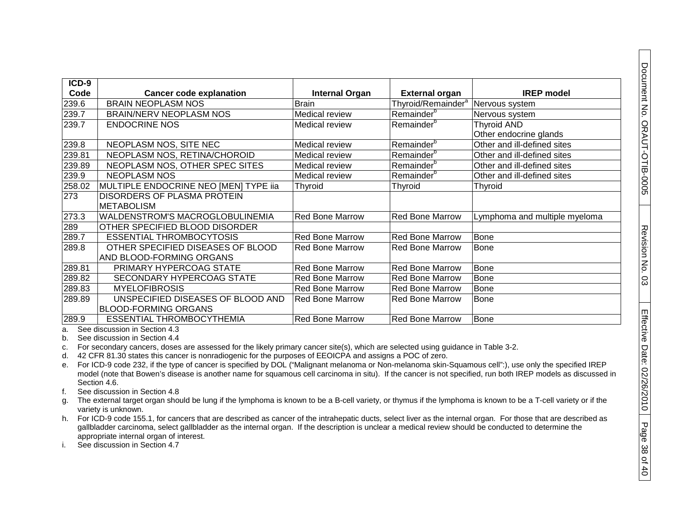| ICD-9  |                                        |                        |                                |                               |
|--------|----------------------------------------|------------------------|--------------------------------|-------------------------------|
| Code   | <b>Cancer code explanation</b>         | <b>Internal Organ</b>  | <b>External organ</b>          | <b>IREP</b> model             |
| 239.6  | <b>BRAIN NEOPLASM NOS</b>              | <b>Brain</b>           | Thyroid/Remainder <sup>a</sup> | Nervous system                |
| 239.7  | <b>BRAIN/NERV NEOPLASM NOS</b>         | Medical review         | Remainder <sup>b</sup>         | Nervous system                |
| 239.7  | <b>ENDOCRINE NOS</b>                   | Medical review         | Remainder <sup>b</sup>         | <b>Thyroid AND</b>            |
|        |                                        |                        |                                | Other endocrine glands        |
| 239.8  | NEOPLASM NOS, SITE NEC                 | Medical review         | Remainder <sup>b</sup>         | Other and ill-defined sites   |
| 239.81 | NEOPLASM NOS, RETINA/CHOROID           | Medical review         | Remainder <sup>b</sup>         | Other and ill-defined sites   |
| 239.89 | NEOPLASM NOS, OTHER SPEC SITES         | Medical review         | Remainder <sup>b</sup>         | Other and ill-defined sites   |
| 239.9  | <b>NEOPLASM NOS</b>                    | Medical review         | Remainder <sup>b</sup>         | Other and ill-defined sites   |
| 258.02 | MULTIPLE ENDOCRINE NEO [MEN] TYPE iia  | Thyroid                | Thyroid                        | Thyroid                       |
| 273    | <b>DISORDERS OF PLASMA PROTEIN</b>     |                        |                                |                               |
|        | <b>METABOLISM</b>                      |                        |                                |                               |
| 273.3  | <b>WALDENSTROM'S MACROGLOBULINEMIA</b> | <b>Red Bone Marrow</b> | <b>Red Bone Marrow</b>         | Lymphoma and multiple myeloma |
| 289    | OTHER SPECIFIED BLOOD DISORDER         |                        |                                |                               |
| 289.7  | <b>ESSENTIAL THROMBOCYTOSIS</b>        | <b>Red Bone Marrow</b> | <b>Red Bone Marrow</b>         | <b>Bone</b>                   |
| 289.8  | OTHER SPECIFIED DISEASES OF BLOOD      | <b>Red Bone Marrow</b> | <b>Red Bone Marrow</b>         | <b>Bone</b>                   |
|        | AND BLOOD-FORMING ORGANS               |                        |                                |                               |
| 289.81 | PRIMARY HYPERCOAG STATE                | <b>Red Bone Marrow</b> | <b>Red Bone Marrow</b>         | <b>Bone</b>                   |
| 289.82 | SECONDARY HYPERCOAG STATE              | <b>Red Bone Marrow</b> | <b>Red Bone Marrow</b>         | <b>Bone</b>                   |
| 289.83 | <b>MYELOFIBROSIS</b>                   | <b>Red Bone Marrow</b> | <b>Red Bone Marrow</b>         | <b>Bone</b>                   |
| 289.89 | UNSPECIFIED DISEASES OF BLOOD AND      | <b>Red Bone Marrow</b> | Red Bone Marrow                | <b>Bone</b>                   |
|        | <b>BLOOD-FORMING ORGANS</b>            |                        |                                |                               |
| 289.9  | <b>ESSENTIAL THROMBOCYTHEMIA</b>       | <b>Red Bone Marrow</b> | <b>Red Bone Marrow</b>         | Bone                          |

a. See discussion in Section 4.3

b. See discussion in Section 4.4

c. For secondary cancers, doses are assessed for the likely primary cancer site(s), which are selected using guidance in Table 3-2.

d. 42 CFR 81.30 states this cancer is nonradiogenic for the purposes of EEOICPA and assigns a POC of zero.

e. For ICD-9 code 232, if the type of cancer is specified by DOL ("Malignant melanoma or Non-melanoma skin-Squamous cell":), use only the specified IREP model (note that Bowen's disease is another name for squamous cell carcinoma in situ). If the cancer is not specified, run both IREP models as discussed in Section 4.6.

f. See discussion in Section 4.8

g. The external target organ should be lung if the lymphoma is known to be a B-cell variety, or thymus if the lymphoma is known to be a T-cell variety or if the variety is unknown.

h. For ICD-9 code 155.1, for cancers that are described as cancer of the intrahepatic ducts, select liver as the internal organ. For those that are described as gallbladder carcinoma, select gallbladder as the internal organ. If the description is unclear a medical review should be conducted to determine the appropriate internal organ of interest.

i. See discussion in Section 4.7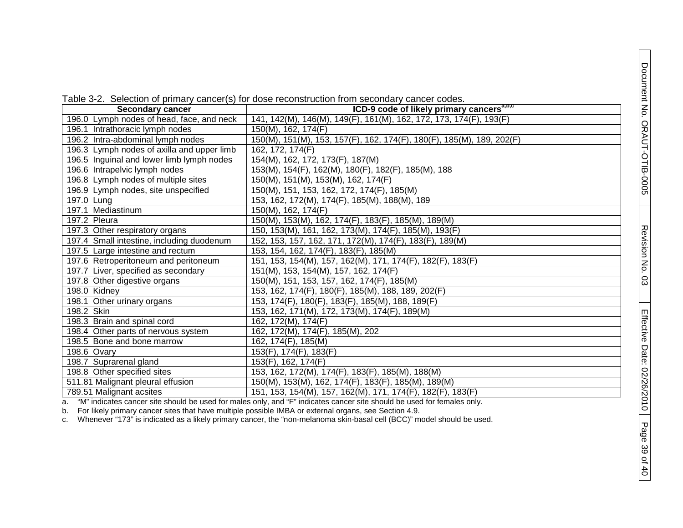| <b>Secondary cancer</b>                    | ICD-9 code of likely primary cancers <sup>a, p,c</sup>                |
|--------------------------------------------|-----------------------------------------------------------------------|
| 196.0 Lymph nodes of head, face, and neck  | 141, 142(M), 146(M), 149(F), 161(M), 162, 172, 173, 174(F), 193(F)    |
| 196.1 Intrathoracic lymph nodes            | 150(M), 162, 174(F)                                                   |
| 196.2 Intra-abdominal lymph nodes          | 150(M), 151(M), 153, 157(F), 162, 174(F), 180(F), 185(M), 189, 202(F) |
| 196.3 Lymph nodes of axilla and upper limb | 162, 172, 174(F)                                                      |
| 196.5 Inguinal and lower limb lymph nodes  | 154(M), 162, 172, 173(F), 187(M)                                      |
| 196.6 Intrapelvic lymph nodes              | 153(M), 154(F), 162(M), 180(F), 182(F), 185(M), 188                   |
| 196.8 Lymph nodes of multiple sites        | 150(M), 151(M), 153(M), 162, 174(F)                                   |
| 196.9 Lymph nodes, site unspecified        | 150(M), 151, 153, 162, 172, 174(F), 185(M)                            |
| $197.0$ Lung                               | 153, 162, 172(M), 174(F), 185(M), 188(M), 189                         |
| 197.1 Mediastinum                          | 150(M), 162, 174(F)                                                   |
| 197.2 Pleura                               | 150(M), 153(M), 162, 174(F), 183(F), 185(M), 189(M)                   |
| 197.3 Other respiratory organs             | 150, 153(M), 161, 162, 173(M), 174(F), 185(M), 193(F)                 |
| 197.4 Small intestine, including duodenum  | 152, 153, 157, 162, 171, 172(M), 174(F), 183(F), 189(M)               |
| 197.5 Large intestine and rectum           | 153, 154, 162, 174(F), 183(F), 185(M)                                 |
| 197.6 Retroperitoneum and peritoneum       | 151, 153, 154(M), 157, 162(M), 171, 174(F), 182(F), 183(F)            |
| 197.7 Liver, specified as secondary        | 151(M), 153, 154(M), 157, 162, 174(F)                                 |
| 197.8 Other digestive organs               | 150(M), 151, 153, 157, 162, 174(F), 185(M)                            |
| $198.0$ Kidney                             | 153, 162, 174(F), 180(F), 185(M), 188, 189, 202(F)                    |
| 198.1 Other urinary organs                 | 153, 174(F), 180(F), 183(F), 185(M), 188, 189(F)                      |
| 198.2 Skin                                 | 153, 162, 171(M), 172, 173(M), 174(F), 189(M)                         |
| 198.3 Brain and spinal cord                | 162, 172(M), 174(F)                                                   |
| 198.4 Other parts of nervous system        | 162, 172(M), 174(F), 185(M), 202                                      |
| 198.5 Bone and bone marrow                 | 162, 174(F), 185(M)                                                   |
| 198.6 Ovary                                | 153(F), 174(F), 183(F)                                                |
| 198.7 Suprarenal gland                     | 153(F), 162, 174(F)                                                   |
| 198.8 Other specified sites                | 153, 162, 172(M), 174(F), 183(F), 185(M), 188(M)                      |
| 511.81 Malignant pleural effusion          | 150(M), 153(M), 162, 174(F), 183(F), 185(M), 189(M)                   |
| 789.51 Malignant acsites                   | 151, 153, 154(M), 157, 162(M), 171, 174(F), 182(F), 183(F)            |

a. "M" indicates cancer site should be used for males only, and "F" indicates cancer site should be used for females only.

b. For likely primary cancer sites that have multiple possible IMBA or external organs, see Section 4.9.

c. Whenever "173" is indicated as a likely primary cancer, the "non -melanoma skin -basal cell (BCC)" model should be used.